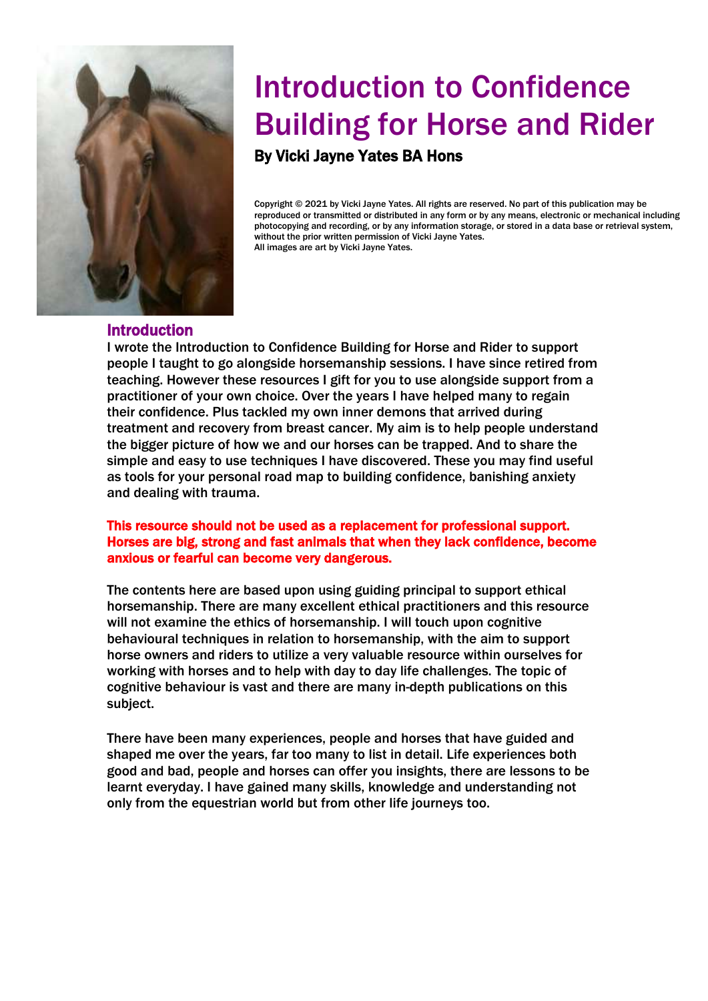

# Introduction to Confidence Building for Horse and Rider

By Vicki Jayne Yates BA Hons

 Copyright © 2021 by Vicki Jayne Yates. All rights are reserved. No part of this publication may be reproduced or transmitted or distributed in any form or by any means, electronic or mechanical includin<br>photocopying and recording, or by any information storage, or stored in a data base or retrieval system, without the prior written permission of Vicki Jayne Yates.<br>All images are art by Vicki Jayne Yates. reproduced or transmitted or distributed in any form or by any means, electronic or mechanical including All images are art by Vicki Jayne Yates.

### Introduction

I wrote the Introduction to Confidence Building for Horse and Rider to support people I taught to go alongside horsemanship sessions. I have since retired from teaching. However these resources I gift for you to use alongside support from a practitioner of your own choice. Over the years I have helped many to regain their confidence. Plus tackled my own inner demons that arrived during treatment and recovery from breast cancer. My aim is to help people understand the bigger picture of how we and our horses can be trapped. And to share the simple and easy to use techniques I have discovered. These you may find useful as tools for your personal road map to building confidence, banishing anxiety and dealing with trauma.

### This resource should not be used as a replacement for professional support. Horses are big, strong and fast animals that when they lack confidence, become anxious or fearful can become very dangerous.

The contents here are based upon using guiding principal to support ethical horsemanship. There are many excellent ethical practitioners and this resource will not examine the ethics of horsemanship. I will touch upon cognitive behavioural techniques in relation to horsemanship, with the aim to support horse owners and riders to utilize a very valuable resource within ourselves for working with horses and to help with day to day life challenges. The topic of cognitive behaviour is vast and there are many in-depth publications on this subject.

There have been many experiences, people and horses that have guided and shaped me over the years, far too many to list in detail. Life experiences both good and bad, people and horses can offer you insights, there are lessons to be learnt everyday. I have gained many skills, knowledge and understanding not only from the equestrian world but from other life journeys too.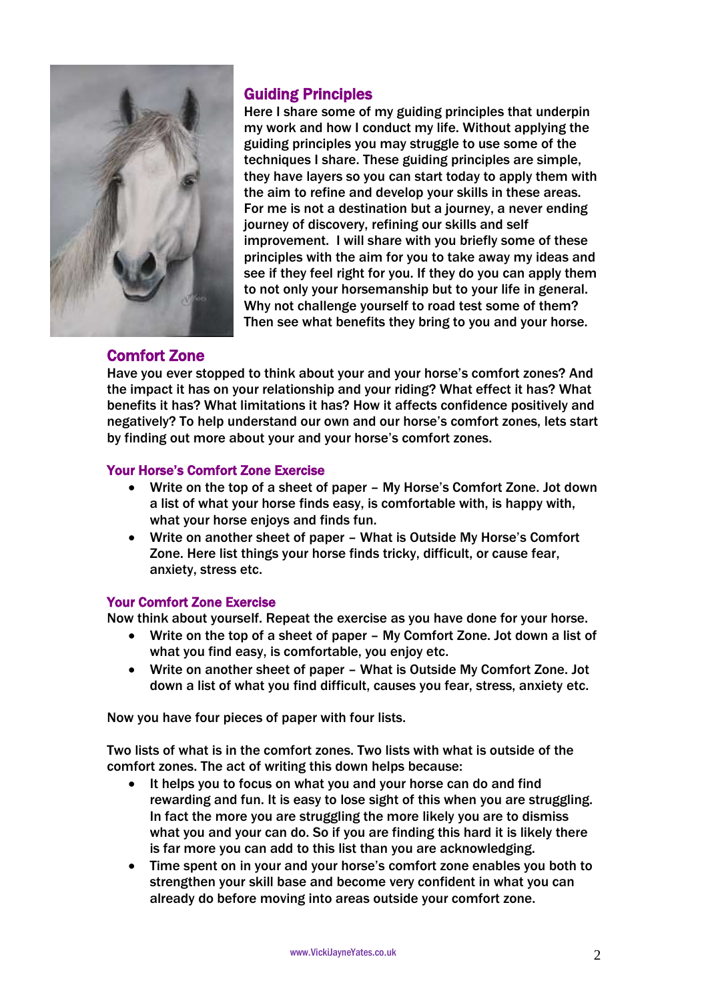

# Guiding Principles

Here I share some of my guiding principles that underpin my work and how I conduct my life. Without applying the guiding principles you may struggle to use some of the techniques I share. These guiding principles are simple, they have layers so you can start today to apply them with the aim to refine and develop your skills in these areas. For me is not a destination but a journey, a never ending journey of discovery, refining our skills and self improvement. I will share with you briefly some of these principles with the aim for you to take away my ideas and see if they feel right for you. If they do you can apply them to not only your horsemanship but to your life in general. Why not challenge yourself to road test some of them? Then see what benefits they bring to you and your horse.

# Comfort Zone

Have you ever stopped to think about your and your horse's comfort zones? And the impact it has on your relationship and your riding? What effect it has? What benefits it has? What limitations it has? How it affects confidence positively and negatively? To help understand our own and our horse's comfort zones, lets start by finding out more about your and your horse's comfort zones.

### Your Horse's Comfort Zone Exercise

- Write on the top of a sheet of paper My Horse's Comfort Zone. Jot down a list of what your horse finds easy, is comfortable with, is happy with, what your horse enjoys and finds fun.
- Write on another sheet of paper What is Outside My Horse's Comfort Zone. Here list things your horse finds tricky, difficult, or cause fear, anxiety, stress etc.

# Your Comfort Zone Exercise

Now think about yourself. Repeat the exercise as you have done for your horse.

- Write on the top of a sheet of paper My Comfort Zone. Jot down a list of what you find easy, is comfortable, you enjoy etc.
- Write on another sheet of paper What is Outside My Comfort Zone. Jot down a list of what you find difficult, causes you fear, stress, anxiety etc.

Now you have four pieces of paper with four lists.

Two lists of what is in the comfort zones. Two lists with what is outside of the comfort zones. The act of writing this down helps because:

- It helps you to focus on what you and your horse can do and find rewarding and fun. It is easy to lose sight of this when you are struggling. In fact the more you are struggling the more likely you are to dismiss what you and your can do. So if you are finding this hard it is likely there is far more you can add to this list than you are acknowledging.
- Time spent on in your and your horse's comfort zone enables you both to strengthen your skill base and become very confident in what you can already do before moving into areas outside your comfort zone.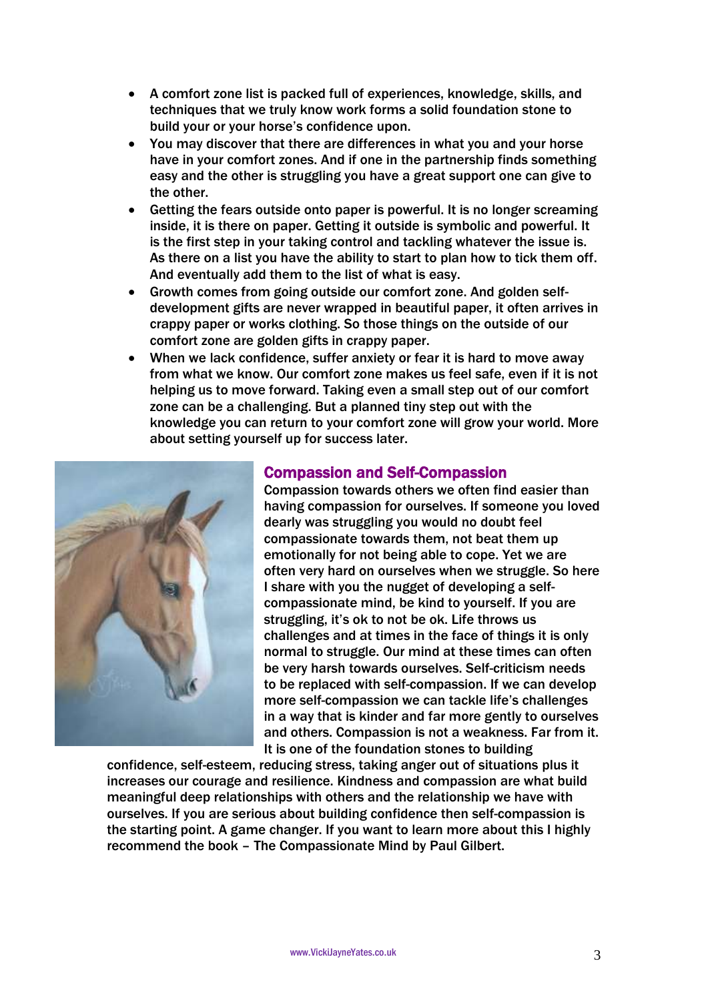- A comfort zone list is packed full of experiences, knowledge, skills, and techniques that we truly know work forms a solid foundation stone to build your or your horse's confidence upon.
- You may discover that there are differences in what you and your horse have in your comfort zones. And if one in the partnership finds something easy and the other is struggling you have a great support one can give to the other.
- Getting the fears outside onto paper is powerful. It is no longer screaming inside, it is there on paper. Getting it outside is symbolic and powerful. It is the first step in your taking control and tackling whatever the issue is. As there on a list you have the ability to start to plan how to tick them off. And eventually add them to the list of what is easy.
- Growth comes from going outside our comfort zone. And golden selfdevelopment gifts are never wrapped in beautiful paper, it often arrives in crappy paper or works clothing. So those things on the outside of our comfort zone are golden gifts in crappy paper.
- When we lack confidence, suffer anxiety or fear it is hard to move away from what we know. Our comfort zone makes us feel safe, even if it is not helping us to move forward. Taking even a small step out of our comfort zone can be a challenging. But a planned tiny step out with the knowledge you can return to your comfort zone will grow your world. More about setting yourself up for success later.



# Compassion and Self-Compassion

Compassion towards others we often find easier than having compassion for ourselves. If someone you loved dearly was struggling you would no doubt feel compassionate towards them, not beat them up emotionally for not being able to cope. Yet we are often very hard on ourselves when we struggle. So here I share with you the nugget of developing a selfcompassionate mind, be kind to yourself. If you are struggling, it's ok to not be ok. Life throws us challenges and at times in the face of things it is only normal to struggle. Our mind at these times can often be very harsh towards ourselves. Self-criticism needs to be replaced with self-compassion. If we can develop more self-compassion we can tackle life's challenges in a way that is kinder and far more gently to ourselves and others. Compassion is not a weakness. Far from it. It is one of the foundation stones to building

confidence, self-esteem, reducing stress, taking anger out of situations plus it increases our courage and resilience. Kindness and compassion are what build meaningful deep relationships with others and the relationship we have with ourselves. If you are serious about building confidence then self-compassion is the starting point. A game changer. If you want to learn more about this I highly recommend the book – The Compassionate Mind by Paul Gilbert.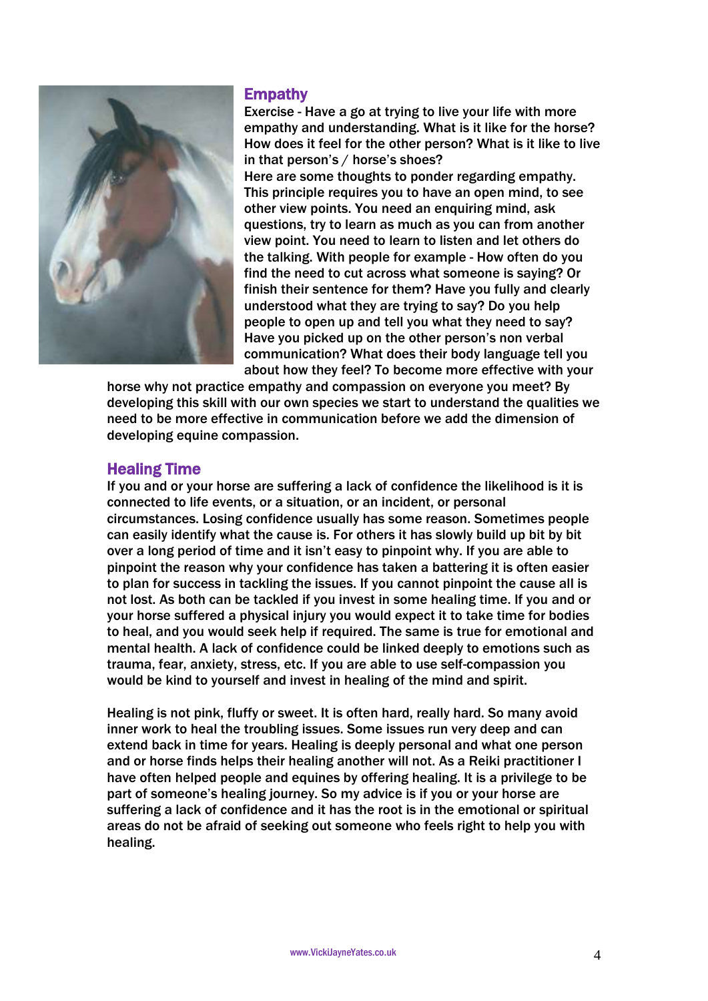

### **Empathy**

Exercise - Have a go at trying to live your life with more empathy and understanding. What is it like for the horse? How does it feel for the other person? What is it like to live in that person's / horse's shoes? Here are some thoughts to ponder regarding empathy. This principle requires you to have an open mind, to see other view points. You need an enquiring mind, ask questions, try to learn as much as you can from another view point. You need to learn to listen and let others do the talking. With people for example - How often do you find the need to cut across what someone is saying? Or finish their sentence for them? Have you fully and clearly understood what they are trying to say? Do you help people to open up and tell you what they need to say? Have you picked up on the other person's non verbal communication? What does their body language tell you about how they feel? To become more effective with your

horse why not practice empathy and compassion on everyone you meet? By developing this skill with our own species we start to understand the qualities we need to be more effective in communication before we add the dimension of developing equine compassion.

# Healing Time

If you and or your horse are suffering a lack of confidence the likelihood is it is connected to life events, or a situation, or an incident, or personal circumstances. Losing confidence usually has some reason. Sometimes people can easily identify what the cause is. For others it has slowly build up bit by bit over a long period of time and it isn't easy to pinpoint why. If you are able to pinpoint the reason why your confidence has taken a battering it is often easier to plan for success in tackling the issues. If you cannot pinpoint the cause all is not lost. As both can be tackled if you invest in some healing time. If you and or your horse suffered a physical injury you would expect it to take time for bodies to heal, and you would seek help if required. The same is true for emotional and mental health. A lack of confidence could be linked deeply to emotions such as trauma, fear, anxiety, stress, etc. If you are able to use self-compassion you would be kind to yourself and invest in healing of the mind and spirit.

Healing is not pink, fluffy or sweet. It is often hard, really hard. So many avoid inner work to heal the troubling issues. Some issues run very deep and can extend back in time for years. Healing is deeply personal and what one person and or horse finds helps their healing another will not. As a Reiki practitioner I have often helped people and equines by offering healing. It is a privilege to be part of someone's healing journey. So my advice is if you or your horse are suffering a lack of confidence and it has the root is in the emotional or spiritual areas do not be afraid of seeking out someone who feels right to help you with healing.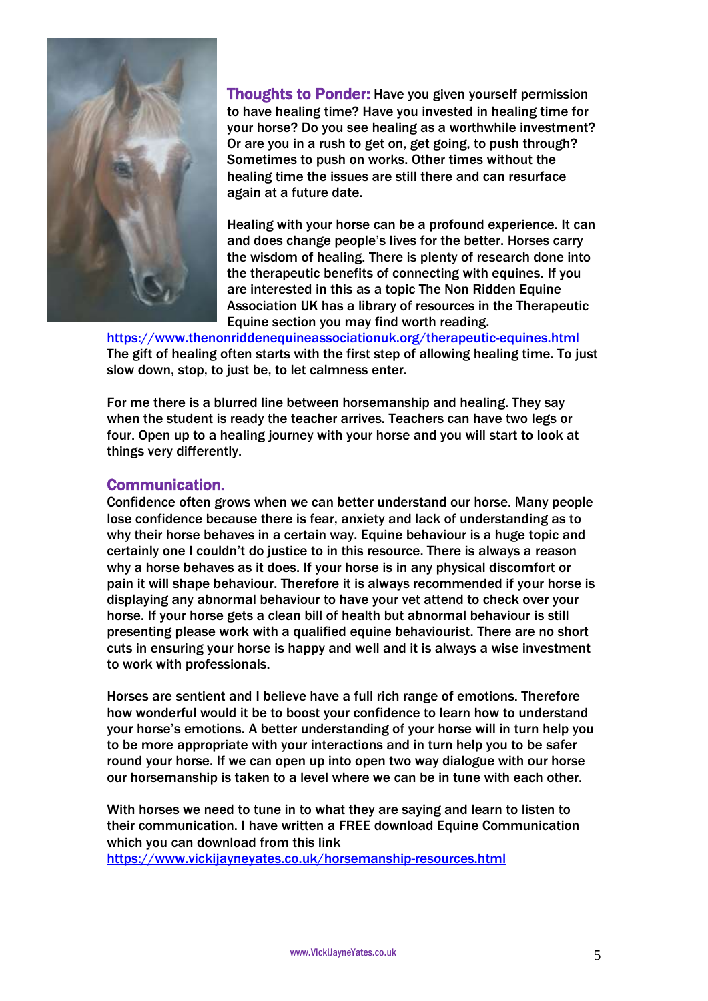

Thoughts to Ponder: Have you given yourself permission to have healing time? Have you invested in healing time for your horse? Do you see healing as a worthwhile investment? Or are you in a rush to get on, get going, to push through? Sometimes to push on works. Other times without the healing time the issues are still there and can resurface again at a future date.

Healing with your horse can be a profound experience. It can and does change people's lives for the better. Horses carry the wisdom of healing. There is plenty of research done into the therapeutic benefits of connecting with equines. If you are interested in this as a topic The Non Ridden Equine Association UK has a library of resources in the Therapeutic Equine section you may find worth reading.

<https://www.thenonriddenequineassociationuk.org/therapeutic-equines.html> The gift of healing often starts with the first step of allowing healing time. To just slow down, stop, to just be, to let calmness enter.

For me there is a blurred line between horsemanship and healing. They say when the student is ready the teacher arrives. Teachers can have two legs or four. Open up to a healing journey with your horse and you will start to look at things very differently.

# Communication.

Confidence often grows when we can better understand our horse. Many people lose confidence because there is fear, anxiety and lack of understanding as to why their horse behaves in a certain way. Equine behaviour is a huge topic and certainly one I couldn't do justice to in this resource. There is always a reason why a horse behaves as it does. If your horse is in any physical discomfort or pain it will shape behaviour. Therefore it is always recommended if your horse is displaying any abnormal behaviour to have your vet attend to check over your horse. If your horse gets a clean bill of health but abnormal behaviour is still presenting please work with a qualified equine behaviourist. There are no short cuts in ensuring your horse is happy and well and it is always a wise investment to work with professionals.

Horses are sentient and I believe have a full rich range of emotions. Therefore how wonderful would it be to boost your confidence to learn how to understand your horse's emotions. A better understanding of your horse will in turn help you to be more appropriate with your interactions and in turn help you to be safer round your horse. If we can open up into open two way dialogue with our horse our horsemanship is taken to a level where we can be in tune with each other.

With horses we need to tune in to what they are saying and learn to listen to their communication. I have written a FREE download Equine Communication which you can download from this link

<https://www.vickijayneyates.co.uk/horsemanship-resources.html>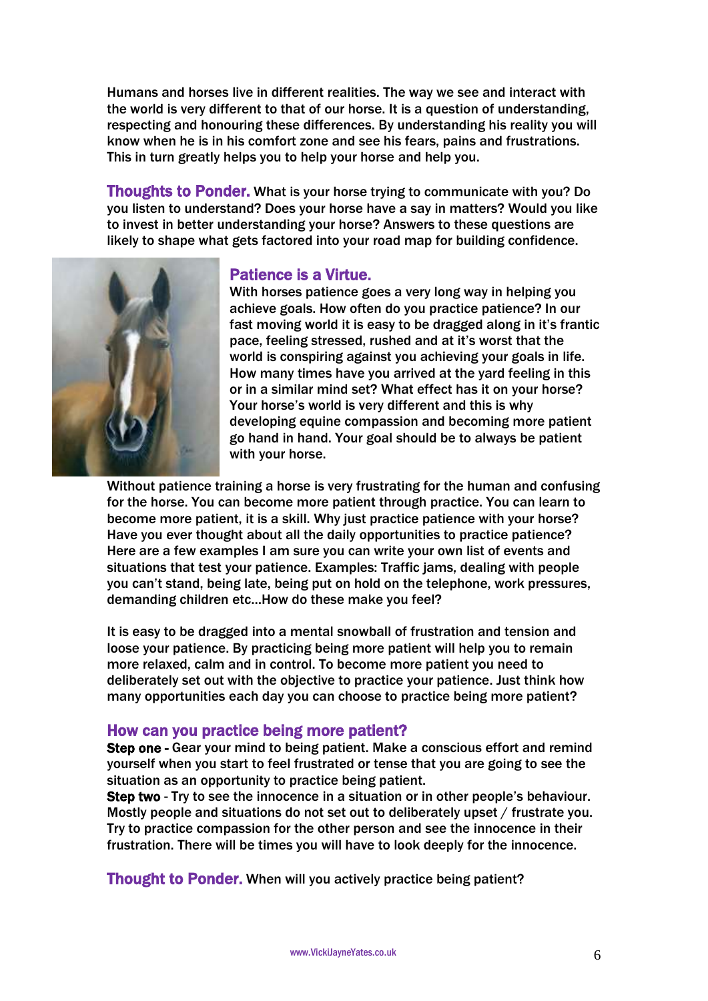Humans and horses live in different realities. The way we see and interact with the world is very different to that of our horse. It is a question of understanding, respecting and honouring these differences. By understanding his reality you will know when he is in his comfort zone and see his fears, pains and frustrations. This in turn greatly helps you to help your horse and help you.

Thoughts to Ponder. What is your horse trying to communicate with you? Do you listen to understand? Does your horse have a say in matters? Would you like to invest in better understanding your horse? Answers to these questions are likely to shape what gets factored into your road map for building confidence.



### Patience is a Virtue.

With horses patience goes a very long way in helping you achieve goals. How often do you practice patience? In our fast moving world it is easy to be dragged along in it's frantic pace, feeling stressed, rushed and at it's worst that the world is conspiring against you achieving your goals in life. How many times have you arrived at the yard feeling in this or in a similar mind set? What effect has it on your horse? Your horse's world is very different and this is why developing equine compassion and becoming more patient go hand in hand. Your goal should be to always be patient with your horse.

Without patience training a horse is very frustrating for the human and confusing for the horse. You can become more patient through practice. You can learn to become more patient, it is a skill. Why just practice patience with your horse? Have you ever thought about all the daily opportunities to practice patience? Here are a few examples I am sure you can write your own list of events and situations that test your patience. Examples: Traffic jams, dealing with people you can't stand, being late, being put on hold on the telephone, work pressures, demanding children etc…How do these make you feel?

It is easy to be dragged into a mental snowball of frustration and tension and loose your patience. By practicing being more patient will help you to remain more relaxed, calm and in control. To become more patient you need to deliberately set out with the objective to practice your patience. Just think how many opportunities each day you can choose to practice being more patient?

# How can you practice being more patient?

Step one - Gear your mind to being patient. Make a conscious effort and remind yourself when you start to feel frustrated or tense that you are going to see the situation as an opportunity to practice being patient.

Step two - Try to see the innocence in a situation or in other people's behaviour. Mostly people and situations do not set out to deliberately upset / frustrate you. Try to practice compassion for the other person and see the innocence in their frustration. There will be times you will have to look deeply for the innocence.

Thought to Ponder. When will you actively practice being patient?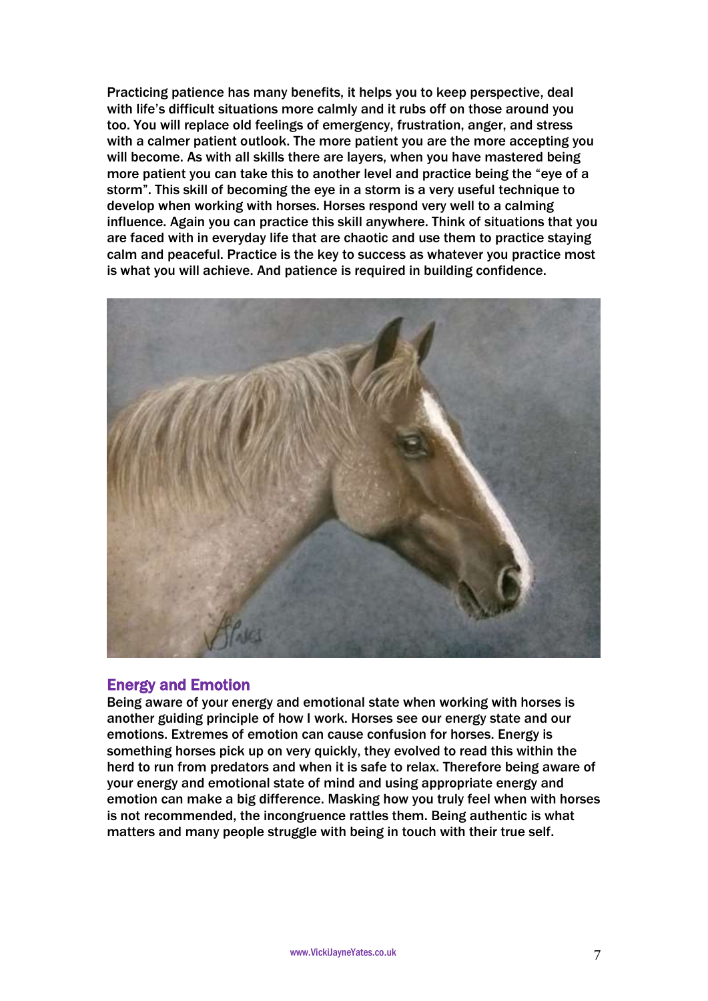Practicing patience has many benefits, it helps you to keep perspective, deal with life's difficult situations more calmly and it rubs off on those around you too. You will replace old feelings of emergency, frustration, anger, and stress with a calmer patient outlook. The more patient you are the more accepting you will become. As with all skills there are layers, when you have mastered being more patient you can take this to another level and practice being the "eye of a storm". This skill of becoming the eye in a storm is a very useful technique to develop when working with horses. Horses respond very well to a calming influence. Again you can practice this skill anywhere. Think of situations that you are faced with in everyday life that are chaotic and use them to practice staying calm and peaceful. Practice is the key to success as whatever you practice most is what you will achieve. And patience is required in building confidence.



# Energy and Emotion

Being aware of your energy and emotional state when working with horses is another guiding principle of how I work. Horses see our energy state and our emotions. Extremes of emotion can cause confusion for horses. Energy is something horses pick up on very quickly, they evolved to read this within the herd to run from predators and when it is safe to relax. Therefore being aware of your energy and emotional state of mind and using appropriate energy and emotion can make a big difference. Masking how you truly feel when with horses is not recommended, the incongruence rattles them. Being authentic is what matters and many people struggle with being in touch with their true self.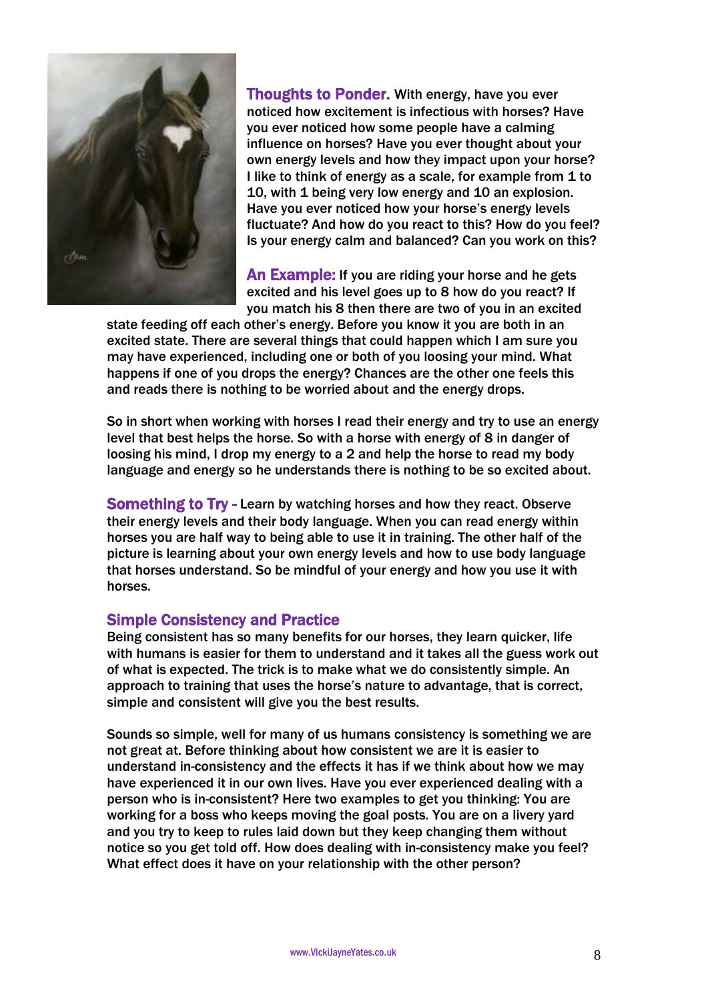

**Thoughts to Ponder.** With energy, have you ever noticed how excitement is infectious with horses? Have you ever noticed how some people have a calming influence on horses? Have you ever thought about your own energy levels and how they impact upon your horse? I like to think of energy as a scale, for example from 1 to 10, with 1 being very low energy and 10 an explosion. Have you ever noticed how your horse's energy levels fluctuate? And how do you react to this? How do you feel? Is your energy calm and balanced? Can you work on this?

An Example: If you are riding your horse and he gets excited and his level goes up to 8 how do you react? If you match his 8 then there are two of you in an excited

state feeding off each other's energy. Before you know it you are both in an excited state. There are several things that could happen which I am sure you may have experienced, including one or both of you loosing your mind. What happens if one of you drops the energy? Chances are the other one feels this and reads there is nothing to be worried about and the energy drops.

So in short when working with horses I read their energy and try to use an energy level that best helps the horse. So with a horse with energy of 8 in danger of loosing his mind, I drop my energy to a 2 and help the horse to read my body language and energy so he understands there is nothing to be so excited about.

**Something to Try - Learn by watching horses and how they react. Observe** their energy levels and their body language. When you can read energy within horses you are half way to being able to use it in training. The other half of the picture is learning about your own energy levels and how to use body language that horses understand. So be mindful of your energy and how you use it with horses.

# Simple Consistency and Practice

Being consistent has so many benefits for our horses, they learn quicker, life with humans is easier for them to understand and it takes all the guess work out of what is expected. The trick is to make what we do consistently simple. An approach to training that uses the horse's nature to advantage, that is correct, simple and consistent will give you the best results.

Sounds so simple, well for many of us humans consistency is something we are not great at. Before thinking about how consistent we are it is easier to understand in-consistency and the effects it has if we think about how we may have experienced it in our own lives. Have you ever experienced dealing with a person who is in-consistent? Here two examples to get you thinking: You are working for a boss who keeps moving the goal posts. You are on a livery yard and you try to keep to rules laid down but they keep changing them without notice so you get told off. How does dealing with in-consistency make you feel? What effect does it have on your relationship with the other person?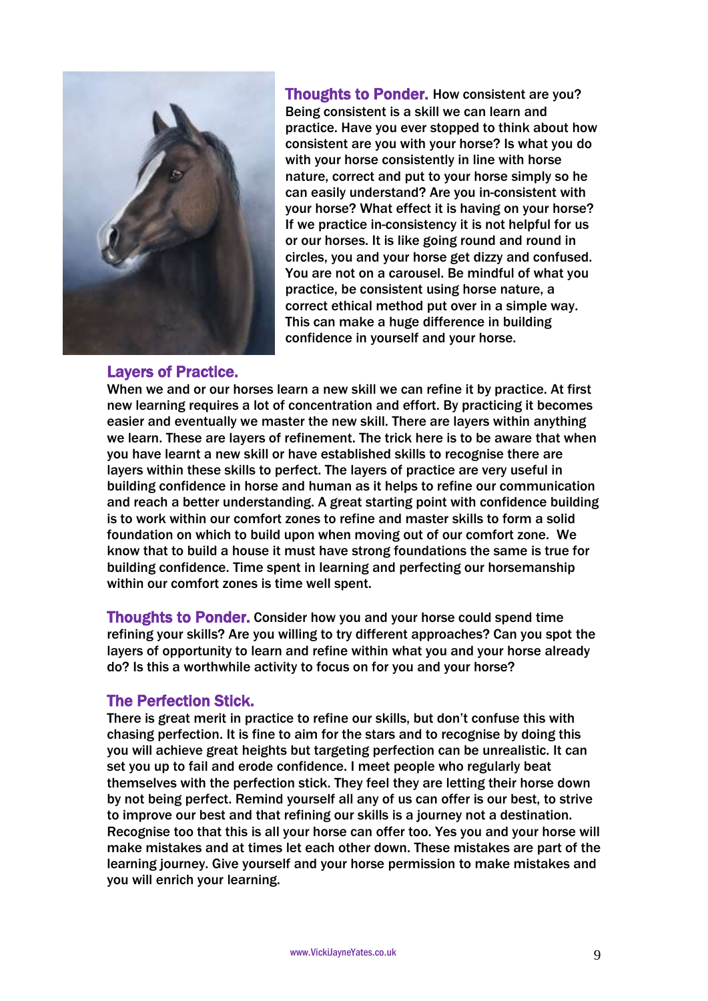

Thoughts to Ponder. How consistent are you? Being consistent is a skill we can learn and practice. Have you ever stopped to think about how consistent are you with your horse? Is what you do with your horse consistently in line with horse nature, correct and put to your horse simply so he can easily understand? Are you in-consistent with your horse? What effect it is having on your horse? If we practice in-consistency it is not helpful for us or our horses. It is like going round and round in circles, you and your horse get dizzy and confused. You are not on a carousel. Be mindful of what you practice, be consistent using horse nature, a correct ethical method put over in a simple way. This can make a huge difference in building confidence in yourself and your horse.

### Layers of Practice.

When we and or our horses learn a new skill we can refine it by practice. At first new learning requires a lot of concentration and effort. By practicing it becomes easier and eventually we master the new skill. There are layers within anything we learn. These are layers of refinement. The trick here is to be aware that when you have learnt a new skill or have established skills to recognise there are layers within these skills to perfect. The layers of practice are very useful in building confidence in horse and human as it helps to refine our communication and reach a better understanding. A great starting point with confidence building is to work within our comfort zones to refine and master skills to form a solid foundation on which to build upon when moving out of our comfort zone. We know that to build a house it must have strong foundations the same is true for building confidence. Time spent in learning and perfecting our horsemanship within our comfort zones is time well spent.

Thoughts to Ponder. Consider how you and your horse could spend time refining your skills? Are you willing to try different approaches? Can you spot the layers of opportunity to learn and refine within what you and your horse already do? Is this a worthwhile activity to focus on for you and your horse?

### The Perfection Stick.

There is great merit in practice to refine our skills, but don't confuse this with chasing perfection. It is fine to aim for the stars and to recognise by doing this you will achieve great heights but targeting perfection can be unrealistic. It can set you up to fail and erode confidence. I meet people who regularly beat themselves with the perfection stick. They feel they are letting their horse down by not being perfect. Remind yourself all any of us can offer is our best, to strive to improve our best and that refining our skills is a journey not a destination. Recognise too that this is all your horse can offer too. Yes you and your horse will make mistakes and at times let each other down. These mistakes are part of the learning journey. Give yourself and your horse permission to make mistakes and you will enrich your learning.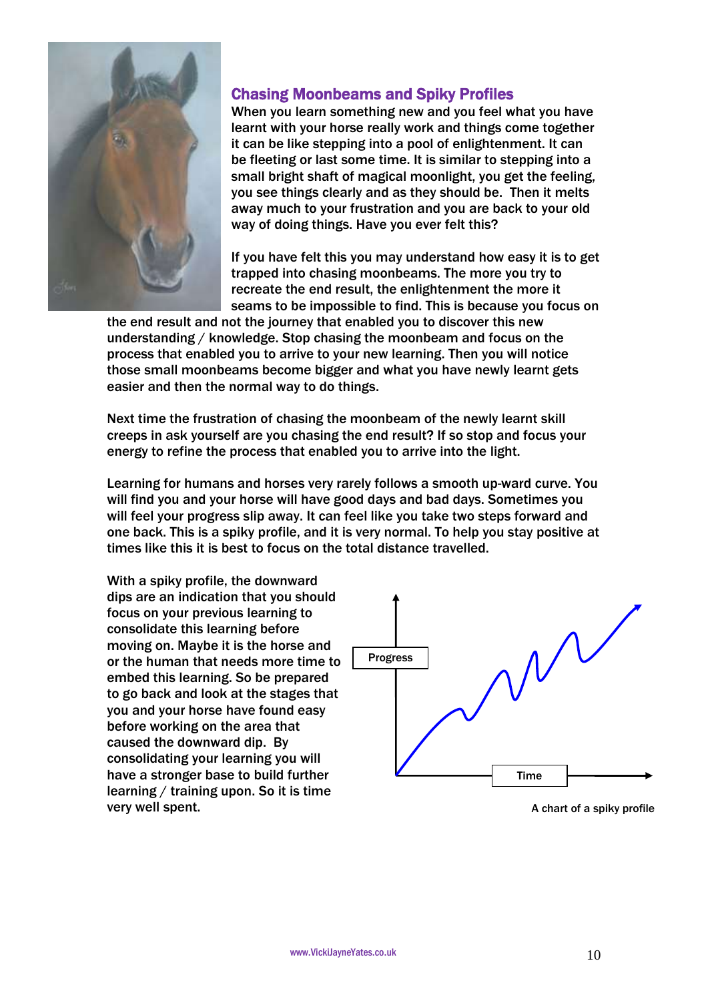

# Chasing Moonbeams and Spiky Profiles

When you learn something new and you feel what you have learnt with your horse really work and things come together it can be like stepping into a pool of enlightenment. It can be fleeting or last some time. It is similar to stepping into a small bright shaft of magical moonlight, you get the feeling, you see things clearly and as they should be. Then it melts away much to your frustration and you are back to your old way of doing things. Have you ever felt this?

If you have felt this you may understand how easy it is to get trapped into chasing moonbeams. The more you try to recreate the end result, the enlightenment the more it seams to be impossible to find. This is because you focus on

the end result and not the journey that enabled you to discover this new understanding / knowledge. Stop chasing the moonbeam and focus on the process that enabled you to arrive to your new learning. Then you will notice those small moonbeams become bigger and what you have newly learnt gets easier and then the normal way to do things.

Next time the frustration of chasing the moonbeam of the newly learnt skill creeps in ask yourself are you chasing the end result? If so stop and focus your energy to refine the process that enabled you to arrive into the light.

Learning for humans and horses very rarely follows a smooth up-ward curve. You will find you and your horse will have good days and bad days. Sometimes you will feel your progress slip away. It can feel like you take two steps forward and one back. This is a spiky profile, and it is very normal. To help you stay positive at times like this it is best to focus on the total distance travelled.

With a spiky profile, the downward dips are an indication that you should focus on your previous learning to consolidate this learning before moving on. Maybe it is the horse and or the human that needs more time to embed this learning. So be prepared to go back and look at the stages that you and your horse have found easy before working on the area that caused the downward dip. By consolidating your learning you will have a stronger base to build further learning / training upon. So it is time very well spent.



A chart of a spiky profile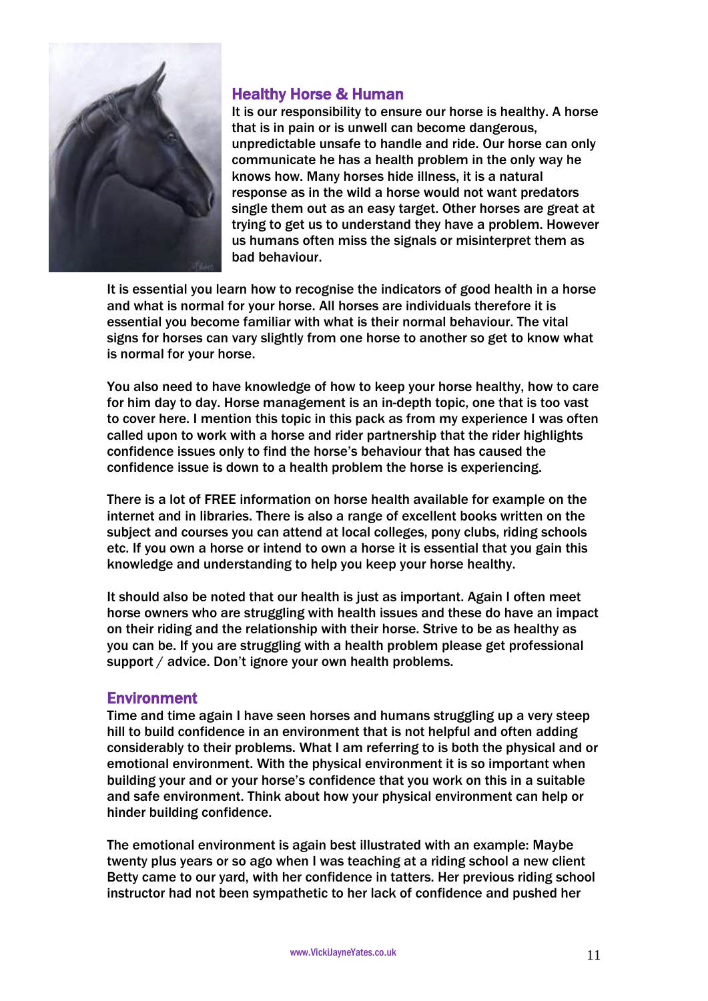

# Healthy Horse & Human

It is our responsibility to ensure our horse is healthy. A horse that is in pain or is unwell can become dangerous, unpredictable unsafe to handle and ride. Our horse can only communicate he has a health problem in the only way he knows how. Many horses hide illness, it is a natural response as in the wild a horse would not want predators single them out as an easy target. Other horses are great at trying to get us to understand they have a problem. However us humans often miss the signals or misinterpret them as bad behaviour.

It is essential you learn how to recognise the indicators of good health in a horse and what is normal for your horse. All horses are individuals therefore it is essential you become familiar with what is their normal behaviour. The vital signs for horses can vary slightly from one horse to another so get to know what is normal for your horse.

You also need to have knowledge of how to keep your horse healthy, how to care for him day to day. Horse management is an in-depth topic, one that is too vast to cover here. I mention this topic in this pack as from my experience I was often called upon to work with a horse and rider partnership that the rider highlights confidence issues only to find the horse's behaviour that has caused the confidence issue is down to a health problem the horse is experiencing.

There is a lot of FREE information on horse health available for example on the internet and in libraries. There is also a range of excellent books written on the subject and courses you can attend at local colleges, pony clubs, riding schools etc. If you own a horse or intend to own a horse it is essential that you gain this knowledge and understanding to help you keep your horse healthy.

It should also be noted that our health is just as important. Again I often meet horse owners who are struggling with health issues and these do have an impact on their riding and the relationship with their horse. Strive to be as healthy as you can be. If you are struggling with a health problem please get professional support / advice. Don't ignore your own health problems.

# Environment

Time and time again I have seen horses and humans struggling up a very steep hill to build confidence in an environment that is not helpful and often adding considerably to their problems. What I am referring to is both the physical and or emotional environment. With the physical environment it is so important when building your and or your horse's confidence that you work on this in a suitable and safe environment. Think about how your physical environment can help or hinder building confidence.

The emotional environment is again best illustrated with an example: Maybe twenty plus years or so ago when I was teaching at a riding school a new client Betty came to our yard, with her confidence in tatters. Her previous riding school instructor had not been sympathetic to her lack of confidence and pushed her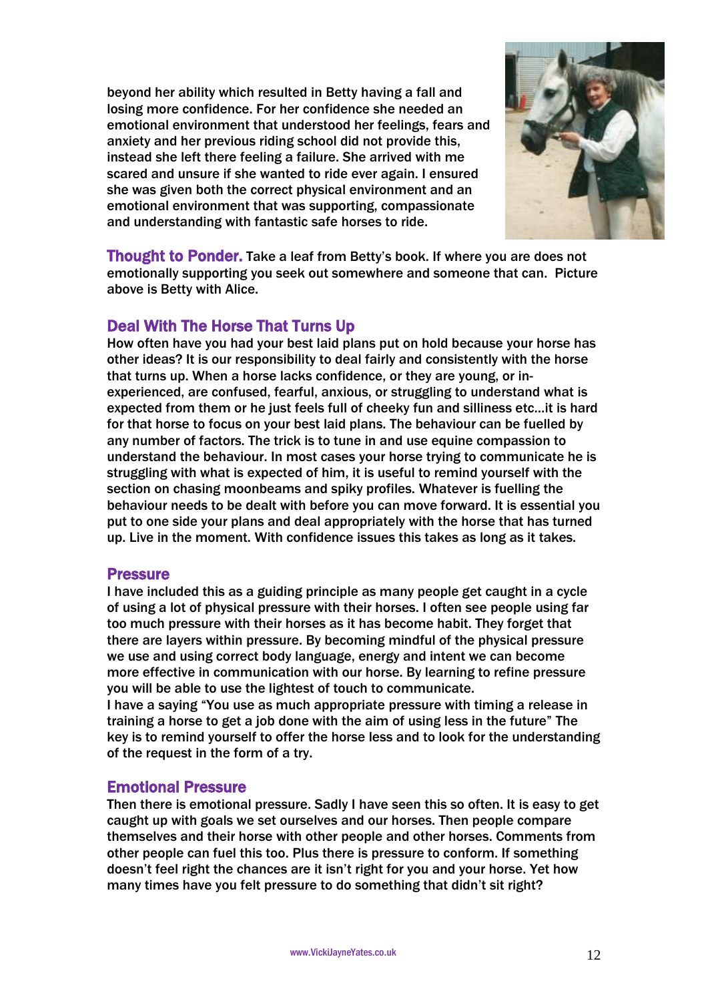beyond her ability which resulted in Betty having a fall and losing more confidence. For her confidence she needed an emotional environment that understood her feelings, fears and anxiety and her previous riding school did not provide this, instead she left there feeling a failure. She arrived with me scared and unsure if she wanted to ride ever again. I ensured she was given both the correct physical environment and an emotional environment that was supporting, compassionate and understanding with fantastic safe horses to ride.



Thought to Ponder. Take a leaf from Betty's book. If where you are does not emotionally supporting you seek out somewhere and someone that can. Picture above is Betty with Alice.

# Deal With The Horse That Turns Up

How often have you had your best laid plans put on hold because your horse has other ideas? It is our responsibility to deal fairly and consistently with the horse that turns up. When a horse lacks confidence, or they are young, or inexperienced, are confused, fearful, anxious, or struggling to understand what is expected from them or he just feels full of cheeky fun and silliness etc…it is hard for that horse to focus on your best laid plans. The behaviour can be fuelled by any number of factors. The trick is to tune in and use equine compassion to understand the behaviour. In most cases your horse trying to communicate he is struggling with what is expected of him, it is useful to remind yourself with the section on chasing moonbeams and spiky profiles. Whatever is fuelling the behaviour needs to be dealt with before you can move forward. It is essential you put to one side your plans and deal appropriately with the horse that has turned up. Live in the moment. With confidence issues this takes as long as it takes.

### **Pressure**

I have included this as a guiding principle as many people get caught in a cycle of using a lot of physical pressure with their horses. I often see people using far too much pressure with their horses as it has become habit. They forget that there are layers within pressure. By becoming mindful of the physical pressure we use and using correct body language, energy and intent we can become more effective in communication with our horse. By learning to refine pressure you will be able to use the lightest of touch to communicate.

I have a saying "You use as much appropriate pressure with timing a release in training a horse to get a job done with the aim of using less in the future" The key is to remind yourself to offer the horse less and to look for the understanding of the request in the form of a try.

# Emotional Pressure

Then there is emotional pressure. Sadly I have seen this so often. It is easy to get caught up with goals we set ourselves and our horses. Then people compare themselves and their horse with other people and other horses. Comments from other people can fuel this too. Plus there is pressure to conform. If something doesn't feel right the chances are it isn't right for you and your horse. Yet how many times have you felt pressure to do something that didn't sit right?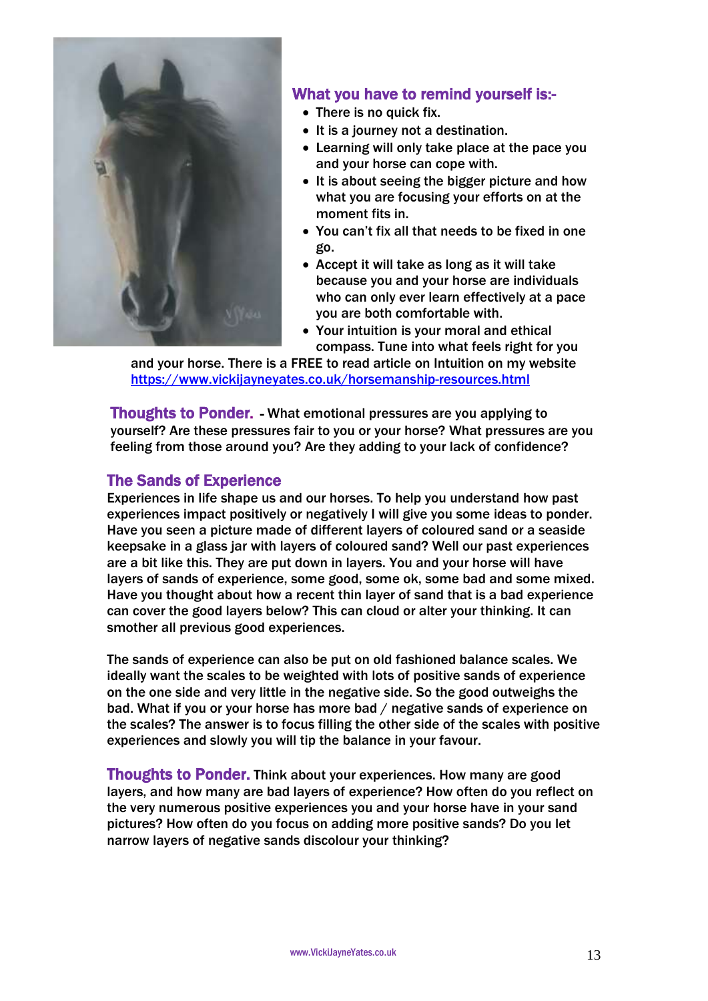

# What you have to remind yourself is:-

- There is no quick fix.
- It is a journey not a destination.
- Learning will only take place at the pace you and your horse can cope with.
- It is about seeing the bigger picture and how what you are focusing your efforts on at the moment fits in.
- You can't fix all that needs to be fixed in one go.
- Accept it will take as long as it will take because you and your horse are individuals who can only ever learn effectively at a pace you are both comfortable with.
- Your intuition is your moral and ethical compass. Tune into what feels right for you

and your horse. There is a FREE to read article on Intuition on my website <https://www.vickijayneyates.co.uk/horsemanship-resources.html>

Thoughts to Ponder. - What emotional pressures are you applying to yourself? Are these pressures fair to you or your horse? What pressures are you feeling from those around you? Are they adding to your lack of confidence?

# The Sands of Experience

Experiences in life shape us and our horses. To help you understand how past experiences impact positively or negatively I will give you some ideas to ponder. Have you seen a picture made of different layers of coloured sand or a seaside keepsake in a glass jar with layers of coloured sand? Well our past experiences are a bit like this. They are put down in layers. You and your horse will have layers of sands of experience, some good, some ok, some bad and some mixed. Have you thought about how a recent thin layer of sand that is a bad experience can cover the good layers below? This can cloud or alter your thinking. It can smother all previous good experiences.

The sands of experience can also be put on old fashioned balance scales. We ideally want the scales to be weighted with lots of positive sands of experience on the one side and very little in the negative side. So the good outweighs the bad. What if you or your horse has more bad / negative sands of experience on the scales? The answer is to focus filling the other side of the scales with positive experiences and slowly you will tip the balance in your favour.

Thoughts to Ponder. Think about your experiences. How many are good layers, and how many are bad layers of experience? How often do you reflect on the very numerous positive experiences you and your horse have in your sand pictures? How often do you focus on adding more positive sands? Do you let narrow layers of negative sands discolour your thinking?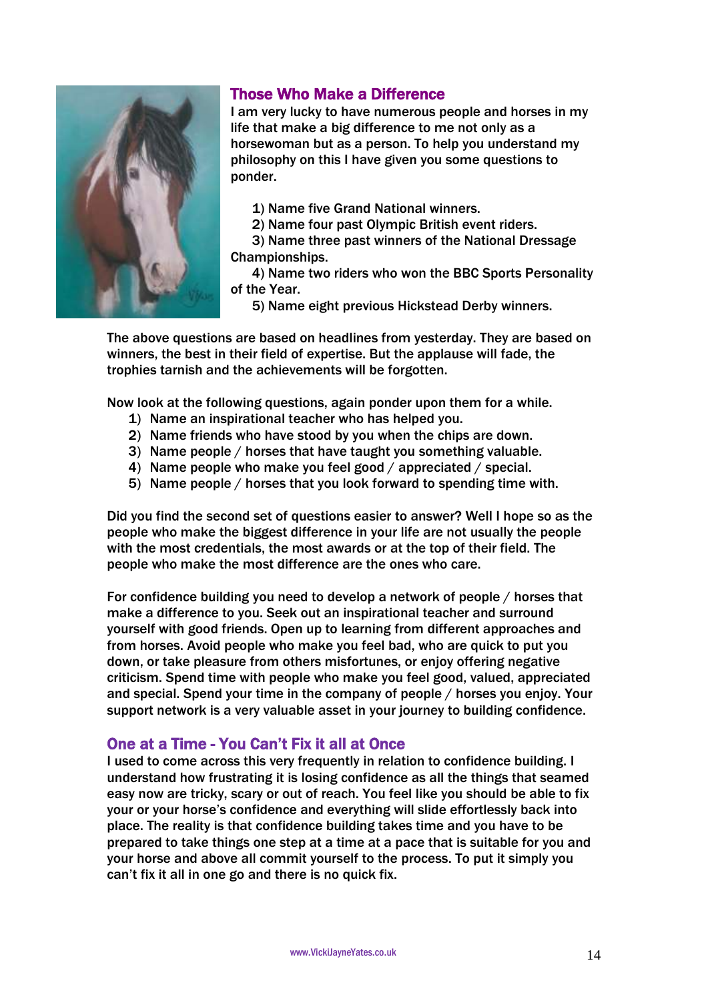

# Those Who Make a Difference

I am very lucky to have numerous people and horses in my life that make a big difference to me not only as a horsewoman but as a person. To help you understand my philosophy on this I have given you some questions to ponder.

1) Name five Grand National winners.

2) Name four past Olympic British event riders.

3) Name three past winners of the National Dressage Championships.

4) Name two riders who won the BBC Sports Personality of the Year.

5) Name eight previous Hickstead Derby winners.

The above questions are based on headlines from yesterday. They are based on winners, the best in their field of expertise. But the applause will fade, the trophies tarnish and the achievements will be forgotten.

Now look at the following questions, again ponder upon them for a while.

- 1) Name an inspirational teacher who has helped you.
- 2) Name friends who have stood by you when the chips are down.
- 3) Name people / horses that have taught you something valuable.
- 4) Name people who make you feel good / appreciated / special.
- 5) Name people / horses that you look forward to spending time with.

Did you find the second set of questions easier to answer? Well I hope so as the people who make the biggest difference in your life are not usually the people with the most credentials, the most awards or at the top of their field. The people who make the most difference are the ones who care.

For confidence building you need to develop a network of people / horses that make a difference to you. Seek out an inspirational teacher and surround yourself with good friends. Open up to learning from different approaches and from horses. Avoid people who make you feel bad, who are quick to put you down, or take pleasure from others misfortunes, or enjoy offering negative criticism. Spend time with people who make you feel good, valued, appreciated and special. Spend your time in the company of people / horses you enjoy. Your support network is a very valuable asset in your journey to building confidence.

# One at a Time - You Can't Fix it all at Once

I used to come across this very frequently in relation to confidence building. I understand how frustrating it is losing confidence as all the things that seamed easy now are tricky, scary or out of reach. You feel like you should be able to fix your or your horse's confidence and everything will slide effortlessly back into place. The reality is that confidence building takes time and you have to be prepared to take things one step at a time at a pace that is suitable for you and your horse and above all commit yourself to the process. To put it simply you can't fix it all in one go and there is no quick fix.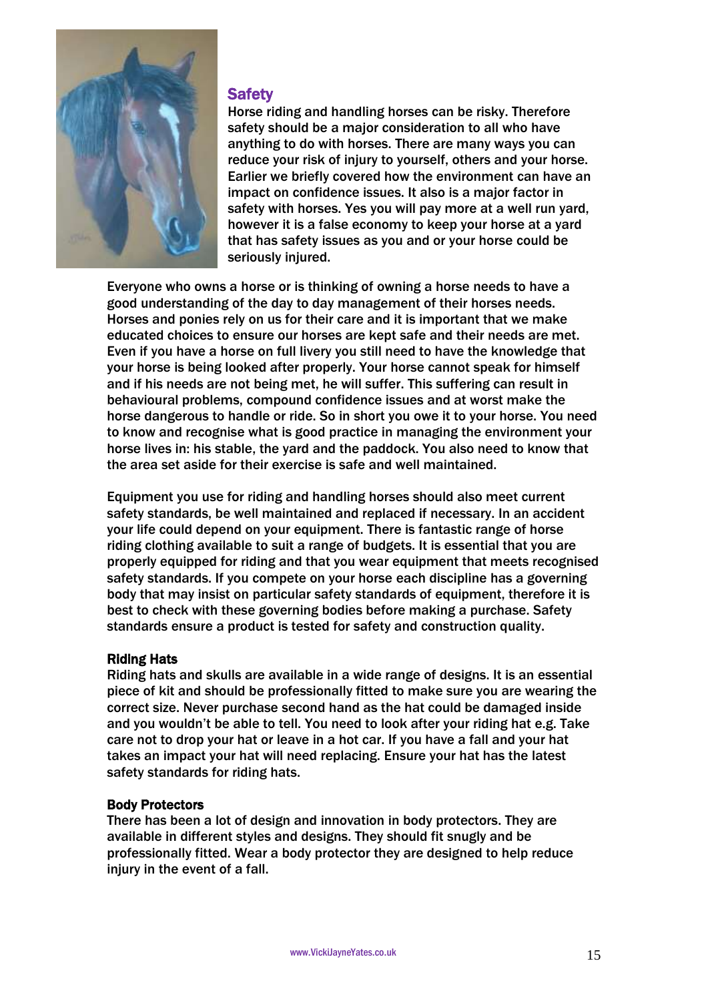

# **Safety**

Horse riding and handling horses can be risky. Therefore safety should be a major consideration to all who have anything to do with horses. There are many ways you can reduce your risk of injury to yourself, others and your horse. Earlier we briefly covered how the environment can have an impact on confidence issues. It also is a major factor in safety with horses. Yes you will pay more at a well run yard, however it is a false economy to keep your horse at a yard that has safety issues as you and or your horse could be seriously injured.

Everyone who owns a horse or is thinking of owning a horse needs to have a good understanding of the day to day management of their horses needs. Horses and ponies rely on us for their care and it is important that we make educated choices to ensure our horses are kept safe and their needs are met. Even if you have a horse on full livery you still need to have the knowledge that your horse is being looked after properly. Your horse cannot speak for himself and if his needs are not being met, he will suffer. This suffering can result in behavioural problems, compound confidence issues and at worst make the horse dangerous to handle or ride. So in short you owe it to your horse. You need to know and recognise what is good practice in managing the environment your horse lives in: his stable, the yard and the paddock. You also need to know that the area set aside for their exercise is safe and well maintained.

Equipment you use for riding and handling horses should also meet current safety standards, be well maintained and replaced if necessary. In an accident your life could depend on your equipment. There is fantastic range of horse riding clothing available to suit a range of budgets. It is essential that you are properly equipped for riding and that you wear equipment that meets recognised safety standards. If you compete on your horse each discipline has a governing body that may insist on particular safety standards of equipment, therefore it is best to check with these governing bodies before making a purchase. Safety standards ensure a product is tested for safety and construction quality.

### Riding Hats

Riding hats and skulls are available in a wide range of designs. It is an essential piece of kit and should be professionally fitted to make sure you are wearing the correct size. Never purchase second hand as the hat could be damaged inside and you wouldn't be able to tell. You need to look after your riding hat e.g. Take care not to drop your hat or leave in a hot car. If you have a fall and your hat takes an impact your hat will need replacing. Ensure your hat has the latest safety standards for riding hats.

### Body Protectors

There has been a lot of design and innovation in body protectors. They are available in different styles and designs. They should fit snugly and be professionally fitted. Wear a body protector they are designed to help reduce injury in the event of a fall.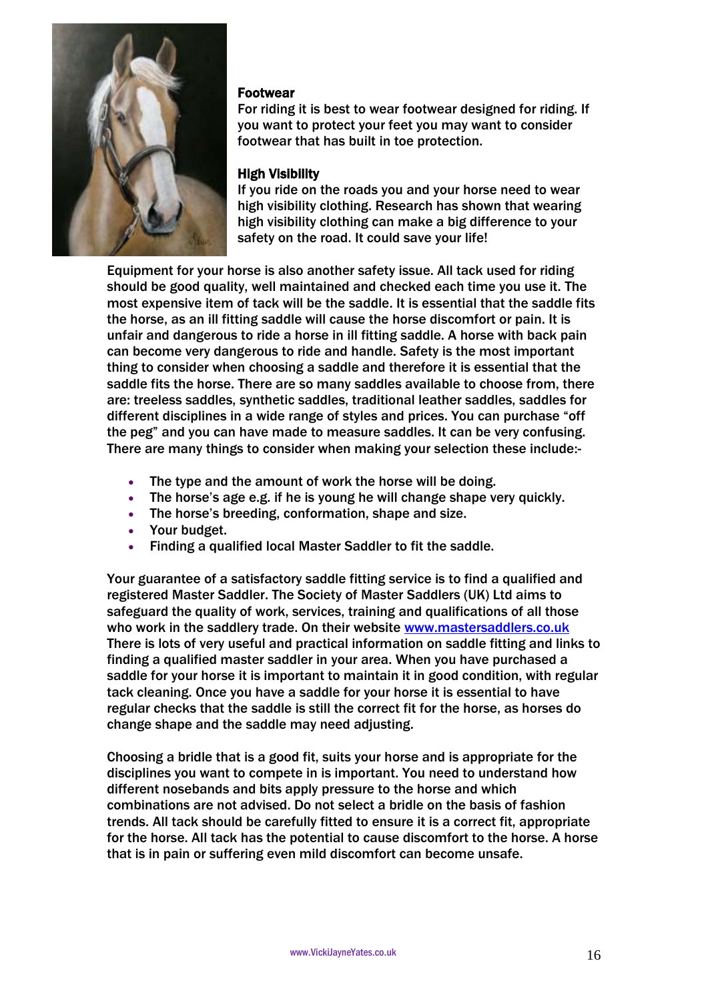

### Footwear

For riding it is best to wear footwear designed for riding. If you want to protect your feet you may want to consider footwear that has built in toe protection.

# High Visibility

If you ride on the roads you and your horse need to wear high visibility clothing. Research has shown that wearing high visibility clothing can make a big difference to your safety on the road. It could save your life!

Equipment for your horse is also another safety issue. All tack used for riding should be good quality, well maintained and checked each time you use it. The most expensive item of tack will be the saddle. It is essential that the saddle fits the horse, as an ill fitting saddle will cause the horse discomfort or pain. It is unfair and dangerous to ride a horse in ill fitting saddle. A horse with back pain can become very dangerous to ride and handle. Safety is the most important thing to consider when choosing a saddle and therefore it is essential that the saddle fits the horse. There are so many saddles available to choose from, there are: treeless saddles, synthetic saddles, traditional leather saddles, saddles for different disciplines in a wide range of styles and prices. You can purchase "off the peg" and you can have made to measure saddles. It can be very confusing. There are many things to consider when making your selection these include:-

- The type and the amount of work the horse will be doing.
- The horse's age e.g. if he is young he will change shape very quickly.
- The horse's breeding, conformation, shape and size.
- Your budget.
- Finding a qualified local Master Saddler to fit the saddle.

Your guarantee of a satisfactory saddle fitting service is to find a qualified and registered Master Saddler. The Society of Master Saddlers (UK) Ltd aims to safeguard the quality of work, services, training and qualifications of all those who work in the saddlery trade. On their website [www.mastersaddlers.co.uk](http://www.mastersaddlers.co.uk/) There is lots of very useful and practical information on saddle fitting and links to finding a qualified master saddler in your area. When you have purchased a saddle for your horse it is important to maintain it in good condition, with regular tack cleaning. Once you have a saddle for your horse it is essential to have regular checks that the saddle is still the correct fit for the horse, as horses do change shape and the saddle may need adjusting.

Choosing a bridle that is a good fit, suits your horse and is appropriate for the disciplines you want to compete in is important. You need to understand how different nosebands and bits apply pressure to the horse and which combinations are not advised. Do not select a bridle on the basis of fashion trends. All tack should be carefully fitted to ensure it is a correct fit, appropriate for the horse. All tack has the potential to cause discomfort to the horse. A horse that is in pain or suffering even mild discomfort can become unsafe.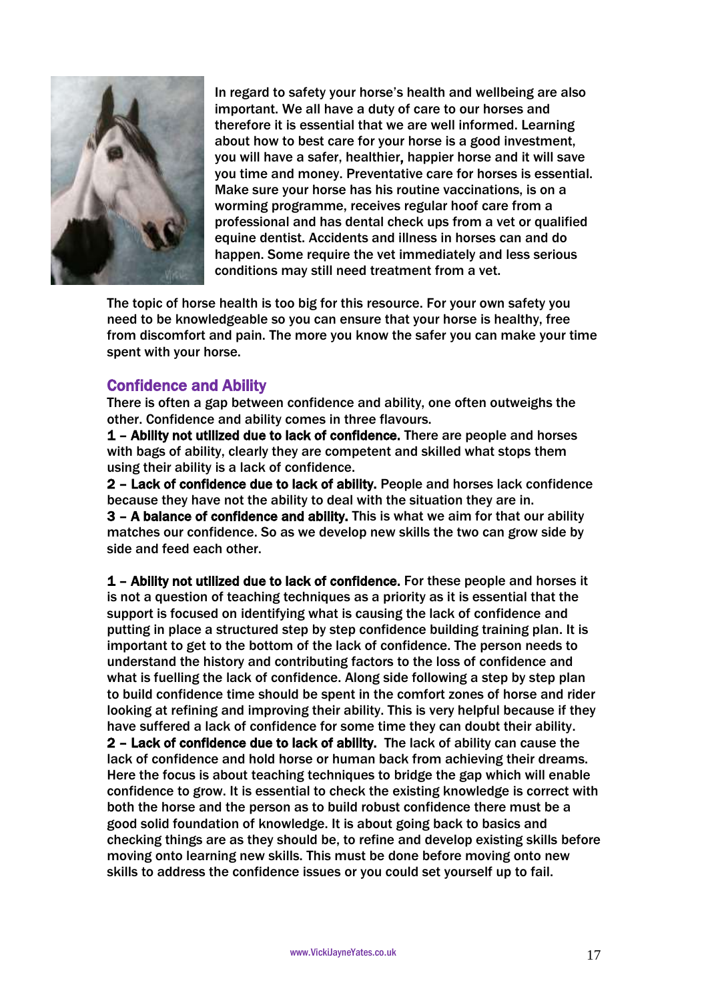

In regard to safety your horse's health and wellbeing are also important. We all have a duty of care to our horses and therefore it is essential that we are well informed. Learning about how to best care for your horse is a good investment, you will have a safer, healthier, happier horse and it will save you time and money. Preventative care for horses is essential. Make sure your horse has his routine vaccinations, is on a worming programme, receives regular hoof care from a professional and has dental check ups from a vet or qualified equine dentist. Accidents and illness in horses can and do happen. Some require the vet immediately and less serious conditions may still need treatment from a vet.

The topic of horse health is too big for this resource. For your own safety you need to be knowledgeable so you can ensure that your horse is healthy, free from discomfort and pain. The more you know the safer you can make your time spent with your horse.

# Confidence and Ability

There is often a gap between confidence and ability, one often outweighs the other. Confidence and ability comes in three flavours.

1 – Ability not utilized due to lack of confidence. There are people and horses with bags of ability, clearly they are competent and skilled what stops them using their ability is a lack of confidence.

2 – Lack of confidence due to lack of ability. People and horses lack confidence because they have not the ability to deal with the situation they are in. 3 – A balance of confidence and ability. This is what we aim for that our ability matches our confidence. So as we develop new skills the two can grow side by side and feed each other.

1 – Ability not utilized due to lack of confidence. For these people and horses it is not a question of teaching techniques as a priority as it is essential that the support is focused on identifying what is causing the lack of confidence and putting in place a structured step by step confidence building training plan. It is important to get to the bottom of the lack of confidence. The person needs to understand the history and contributing factors to the loss of confidence and what is fuelling the lack of confidence. Along side following a step by step plan to build confidence time should be spent in the comfort zones of horse and rider looking at refining and improving their ability. This is very helpful because if they have suffered a lack of confidence for some time they can doubt their ability. 2 – Lack of confidence due to lack of ability. The lack of ability can cause the lack of confidence and hold horse or human back from achieving their dreams. Here the focus is about teaching techniques to bridge the gap which will enable confidence to grow. It is essential to check the existing knowledge is correct with both the horse and the person as to build robust confidence there must be a good solid foundation of knowledge. It is about going back to basics and checking things are as they should be, to refine and develop existing skills before moving onto learning new skills. This must be done before moving onto new skills to address the confidence issues or you could set yourself up to fail.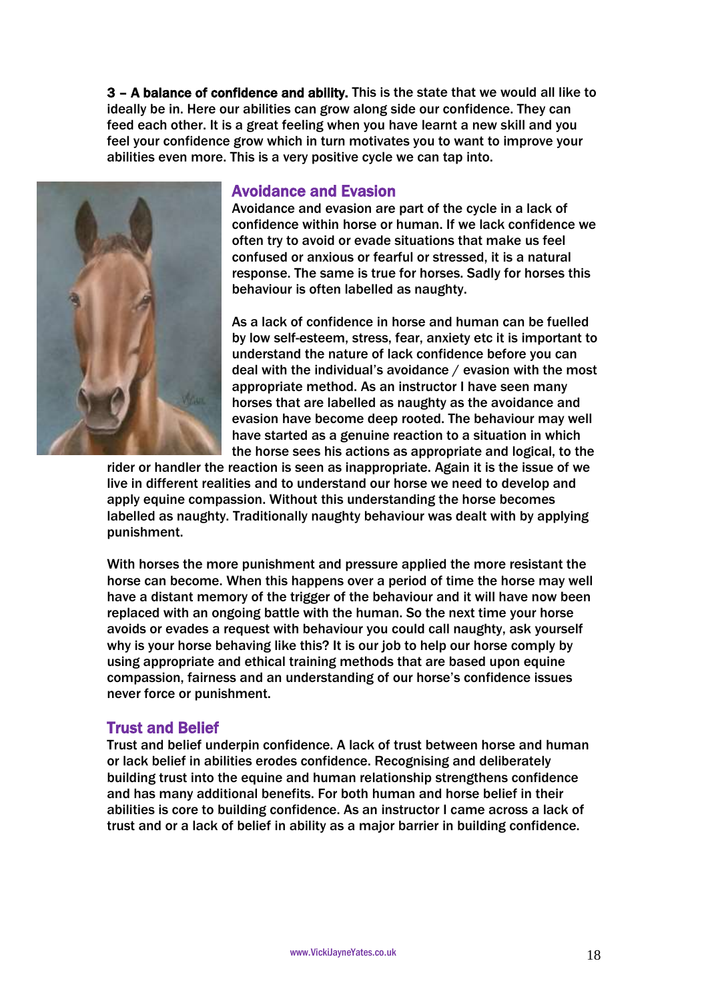3 – A balance of confidence and ability. This is the state that we would all like to ideally be in. Here our abilities can grow along side our confidence. They can feed each other. It is a great feeling when you have learnt a new skill and you feel your confidence grow which in turn motivates you to want to improve your abilities even more. This is a very positive cycle we can tap into.



### Avoidance and Evasion

Avoidance and evasion are part of the cycle in a lack of confidence within horse or human. If we lack confidence we often try to avoid or evade situations that make us feel confused or anxious or fearful or stressed, it is a natural response. The same is true for horses. Sadly for horses this behaviour is often labelled as naughty.

As a lack of confidence in horse and human can be fuelled by low self-esteem, stress, fear, anxiety etc it is important to understand the nature of lack confidence before you can deal with the individual's avoidance / evasion with the most appropriate method. As an instructor I have seen many horses that are labelled as naughty as the avoidance and evasion have become deep rooted. The behaviour may well have started as a genuine reaction to a situation in which the horse sees his actions as appropriate and logical, to the

rider or handler the reaction is seen as inappropriate. Again it is the issue of we live in different realities and to understand our horse we need to develop and apply equine compassion. Without this understanding the horse becomes labelled as naughty. Traditionally naughty behaviour was dealt with by applying punishment.

With horses the more punishment and pressure applied the more resistant the horse can become. When this happens over a period of time the horse may well have a distant memory of the trigger of the behaviour and it will have now been replaced with an ongoing battle with the human. So the next time your horse avoids or evades a request with behaviour you could call naughty, ask yourself why is your horse behaving like this? It is our job to help our horse comply by using appropriate and ethical training methods that are based upon equine compassion, fairness and an understanding of our horse's confidence issues never force or punishment.

# Trust and Belief

Trust and belief underpin confidence. A lack of trust between horse and human or lack belief in abilities erodes confidence. Recognising and deliberately building trust into the equine and human relationship strengthens confidence and has many additional benefits. For both human and horse belief in their abilities is core to building confidence. As an instructor I came across a lack of trust and or a lack of belief in ability as a major barrier in building confidence.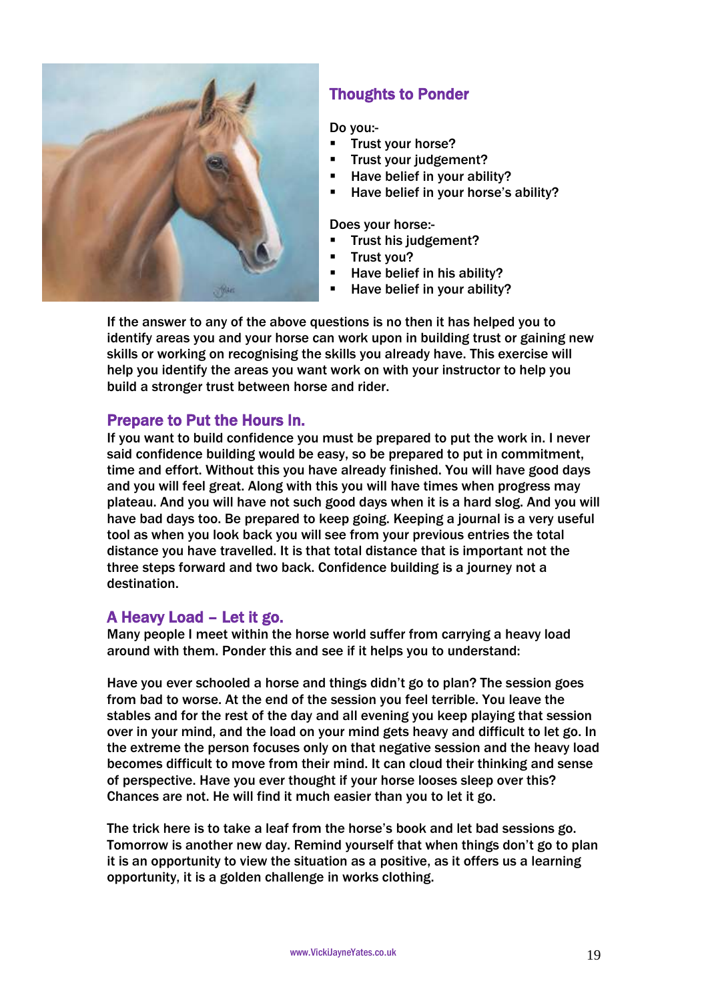

# Thoughts to Ponder

Do you:-

- Trust your horse?
- Trust your judgement?
- Have belief in your ability?
- Have belief in your horse's ability?

Does your horse:-

- Trust his judgement?
- Trust you?
- **Have belief in his ability?** 
	- Have belief in your ability?

If the answer to any of the above questions is no then it has helped you to identify areas you and your horse can work upon in building trust or gaining new skills or working on recognising the skills you already have. This exercise will help you identify the areas you want work on with your instructor to help you build a stronger trust between horse and rider.

# Prepare to Put the Hours In.

If you want to build confidence you must be prepared to put the work in. I never said confidence building would be easy, so be prepared to put in commitment, time and effort. Without this you have already finished. You will have good days and you will feel great. Along with this you will have times when progress may plateau. And you will have not such good days when it is a hard slog. And you will have bad days too. Be prepared to keep going. Keeping a journal is a very useful tool as when you look back you will see from your previous entries the total distance you have travelled. It is that total distance that is important not the three steps forward and two back. Confidence building is a journey not a destination.

# A Heavy Load – Let it go.

Many people I meet within the horse world suffer from carrying a heavy load around with them. Ponder this and see if it helps you to understand:

Have you ever schooled a horse and things didn't go to plan? The session goes from bad to worse. At the end of the session you feel terrible. You leave the stables and for the rest of the day and all evening you keep playing that session over in your mind, and the load on your mind gets heavy and difficult to let go. In the extreme the person focuses only on that negative session and the heavy load becomes difficult to move from their mind. It can cloud their thinking and sense of perspective. Have you ever thought if your horse looses sleep over this? Chances are not. He will find it much easier than you to let it go.

The trick here is to take a leaf from the horse's book and let bad sessions go. Tomorrow is another new day. Remind yourself that when things don't go to plan it is an opportunity to view the situation as a positive, as it offers us a learning opportunity, it is a golden challenge in works clothing.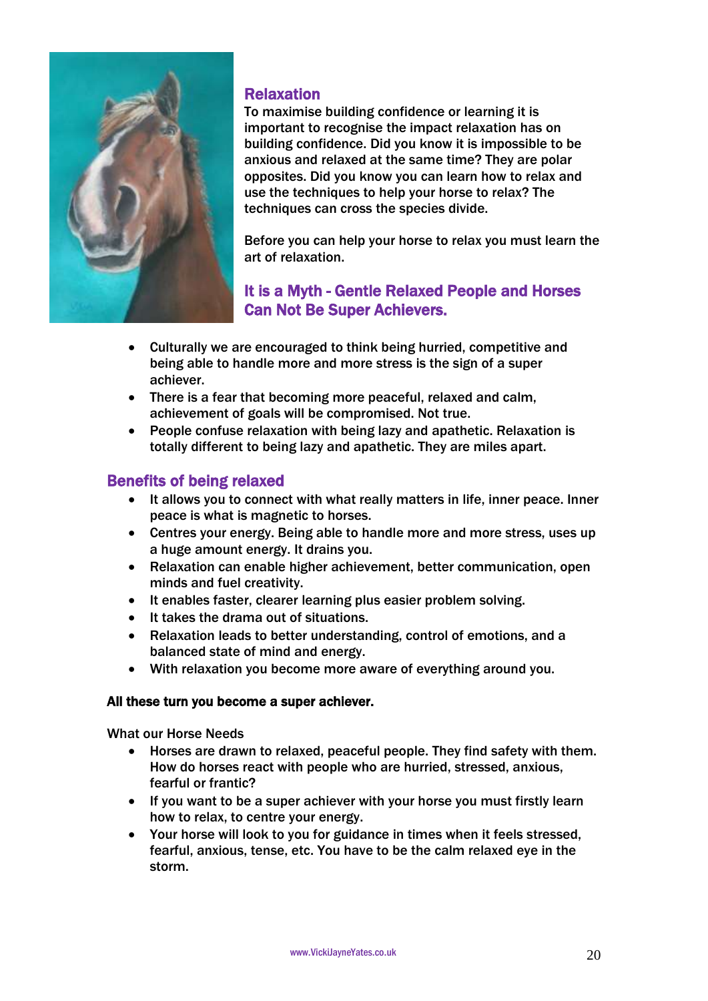

# Relaxation

To maximise building confidence or learning it is important to recognise the impact relaxation has on building confidence. Did you know it is impossible to be anxious and relaxed at the same time? They are polar opposites. Did you know you can learn how to relax and use the techniques to help your horse to relax? The techniques can cross the species divide.

Before you can help your horse to relax you must learn the art of relaxation.

# It is a Myth - Gentle Relaxed People and Horses Can Not Be Super Achievers.

- Culturally we are encouraged to think being hurried, competitive and being able to handle more and more stress is the sign of a super achiever.
- There is a fear that becoming more peaceful, relaxed and calm, achievement of goals will be compromised. Not true.
- People confuse relaxation with being lazy and apathetic. Relaxation is totally different to being lazy and apathetic. They are miles apart.

# Benefits of being relaxed

- It allows you to connect with what really matters in life, inner peace. Inner peace is what is magnetic to horses.
- Centres your energy. Being able to handle more and more stress, uses up a huge amount energy. It drains you.
- Relaxation can enable higher achievement, better communication, open minds and fuel creativity.
- It enables faster, clearer learning plus easier problem solving.
- It takes the drama out of situations.
- Relaxation leads to better understanding, control of emotions, and a balanced state of mind and energy.
- With relaxation you become more aware of everything around you.

### All these turn you become a super achiever.

What our Horse Needs

- Horses are drawn to relaxed, peaceful people. They find safety with them. How do horses react with people who are hurried, stressed, anxious, fearful or frantic?
- If you want to be a super achiever with your horse you must firstly learn how to relax, to centre your energy.
- Your horse will look to you for guidance in times when it feels stressed, fearful, anxious, tense, etc. You have to be the calm relaxed eye in the storm.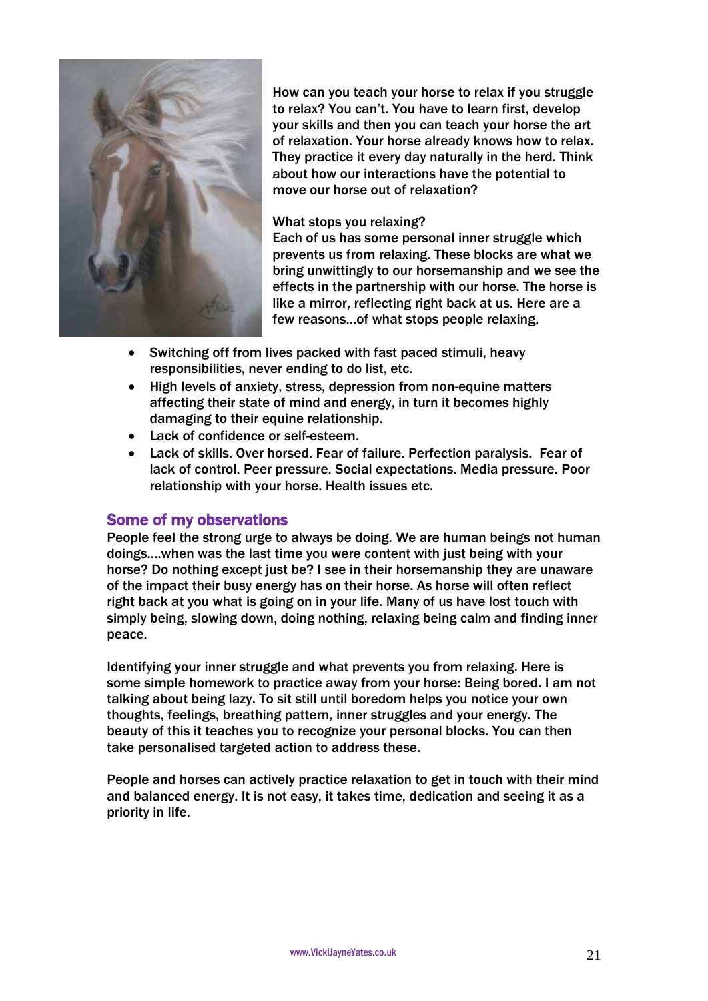

How can you teach your horse to relax if you struggle to relax? You can't. You have to learn first, develop your skills and then you can teach your horse the art of relaxation. Your horse already knows how to relax. They practice it every day naturally in the herd. Think about how our interactions have the potential to move our horse out of relaxation?

### What stops you relaxing?

Each of us has some personal inner struggle which prevents us from relaxing. These blocks are what we bring unwittingly to our horsemanship and we see the effects in the partnership with our horse. The horse is like a mirror, reflecting right back at us. Here are a few reasons…of what stops people relaxing.

- Switching off from lives packed with fast paced stimuli, heavy responsibilities, never ending to do list, etc.
- High levels of anxiety, stress, depression from non-equine matters affecting their state of mind and energy, in turn it becomes highly damaging to their equine relationship.
- Lack of confidence or self-esteem.
- Lack of skills. Over horsed. Fear of failure. Perfection paralysis. Fear of lack of control. Peer pressure. Social expectations. Media pressure. Poor relationship with your horse. Health issues etc.

### Some of my observations

People feel the strong urge to always be doing. We are human beings not human doings….when was the last time you were content with just being with your horse? Do nothing except just be? I see in their horsemanship they are unaware of the impact their busy energy has on their horse. As horse will often reflect right back at you what is going on in your life. Many of us have lost touch with simply being, slowing down, doing nothing, relaxing being calm and finding inner peace.

Identifying your inner struggle and what prevents you from relaxing. Here is some simple homework to practice away from your horse: Being bored. I am not talking about being lazy. To sit still until boredom helps you notice your own thoughts, feelings, breathing pattern, inner struggles and your energy. The beauty of this it teaches you to recognize your personal blocks. You can then take personalised targeted action to address these.

People and horses can actively practice relaxation to get in touch with their mind and balanced energy. It is not easy, it takes time, dedication and seeing it as a priority in life.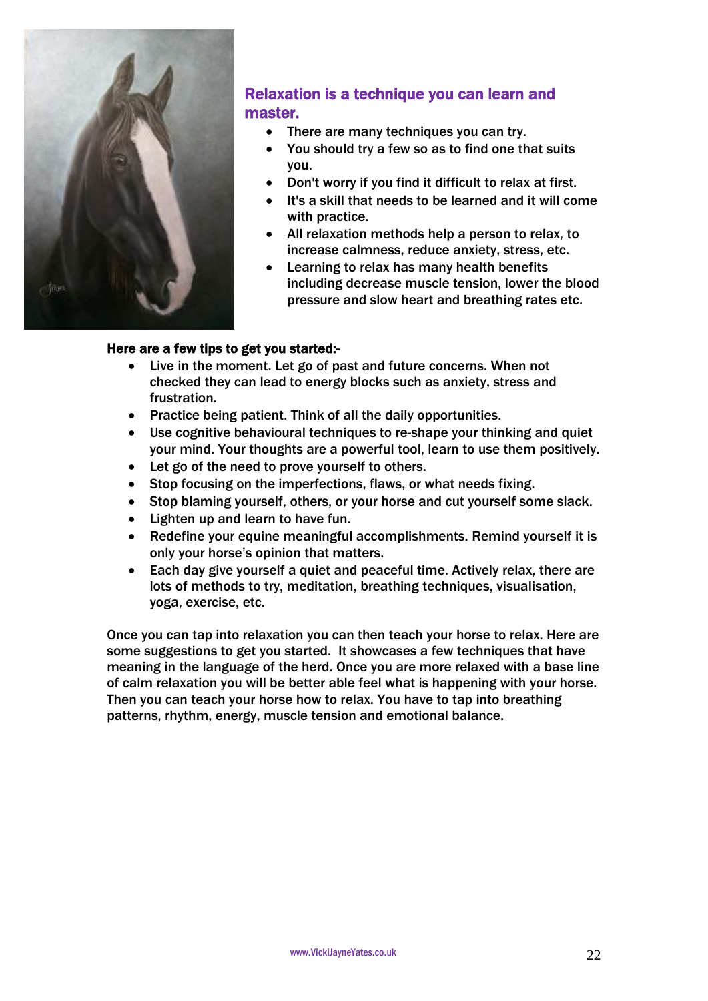

# Relaxation is a technique you can learn and master.

- There are many techniques you can try.
- You should try a few so as to find one that suits you.
- Don't worry if you find it difficult to relax at first.
- It's a skill that needs to be learned and it will come with practice.
- All relaxation methods help a person to relax, to increase calmness, reduce anxiety, stress, etc.
- Learning to relax has many health benefits including decrease muscle tension, lower the blood pressure and slow heart and breathing rates etc.

### Here are a few tips to get you started:-

- Live in the moment. Let go of past and future concerns. When not checked they can lead to energy blocks such as anxiety, stress and frustration.
- Practice being patient. Think of all the daily opportunities.
- Use cognitive behavioural techniques to re-shape your thinking and quiet your mind. Your thoughts are a powerful tool, learn to use them positively.
- Let go of the need to prove yourself to others.
- Stop focusing on the imperfections, flaws, or what needs fixing.
- Stop blaming yourself, others, or your horse and cut yourself some slack.
- Lighten up and learn to have fun.
- Redefine your equine meaningful accomplishments. Remind yourself it is only your horse's opinion that matters.
- Each day give yourself a quiet and peaceful time. Actively relax, there are lots of methods to try, meditation, breathing techniques, visualisation, yoga, exercise, etc.

Once you can tap into relaxation you can then teach your horse to relax. Here are some suggestions to get you started. It showcases a few techniques that have meaning in the language of the herd. Once you are more relaxed with a base line of calm relaxation you will be better able feel what is happening with your horse. Then you can teach your horse how to relax. You have to tap into breathing patterns, rhythm, energy, muscle tension and emotional balance.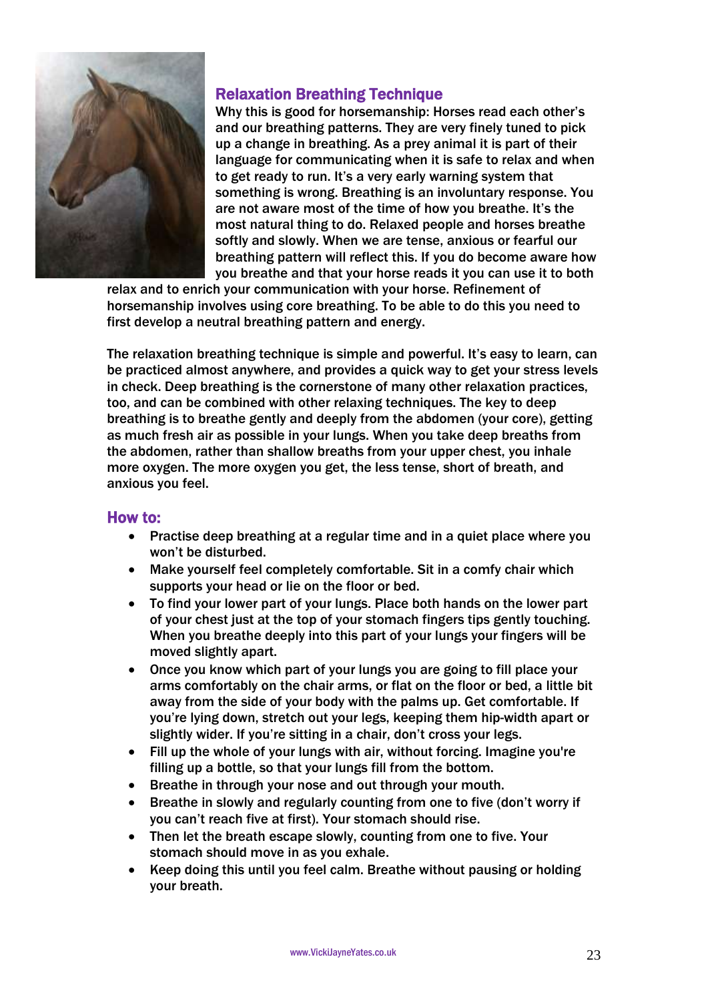

# Relaxation Breathing Technique

Why this is good for horsemanship: Horses read each other's and our breathing patterns. They are very finely tuned to pick up a change in breathing. As a prey animal it is part of their language for communicating when it is safe to relax and when to get ready to run. It's a very early warning system that something is wrong. Breathing is an involuntary response. You are not aware most of the time of how you breathe. It's the most natural thing to do. Relaxed people and horses breathe softly and slowly. When we are tense, anxious or fearful our breathing pattern will reflect this. If you do become aware how you breathe and that your horse reads it you can use it to both

relax and to enrich your communication with your horse. Refinement of horsemanship involves using core breathing. To be able to do this you need to first develop a neutral breathing pattern and energy.

The relaxation breathing technique is simple and powerful. It's easy to learn, can be practiced almost anywhere, and provides a quick way to get your stress levels in check. Deep breathing is the cornerstone of many other relaxation practices, too, and can be combined with other relaxing techniques. The key to deep breathing is to breathe gently and deeply from the abdomen (your core), getting as much fresh air as possible in your lungs. When you take deep breaths from the abdomen, rather than shallow breaths from your upper chest, you inhale more oxygen. The more oxygen you get, the less tense, short of breath, and anxious you feel.

- Practise deep breathing at a regular time and in a quiet place where you won't be disturbed.
- Make yourself feel completely comfortable. Sit in a comfy chair which supports your head or lie on the floor or bed.
- To find your lower part of your lungs. Place both hands on the lower part of your chest just at the top of your stomach fingers tips gently touching. When you breathe deeply into this part of your lungs your fingers will be moved slightly apart.
- Once you know which part of your lungs you are going to fill place your arms comfortably on the chair arms, or flat on the floor or bed, a little bit away from the side of your body with the palms up. Get comfortable. If you're lying down, stretch out your legs, keeping them hip-width apart or slightly wider. If you're sitting in a chair, don't cross your legs.
- Fill up the whole of your lungs with air, without forcing. Imagine you're filling up a bottle, so that your lungs fill from the bottom.
- Breathe in through your nose and out through your mouth.
- Breathe in slowly and regularly counting from one to five (don't worry if you can't reach five at first). Your stomach should rise.
- Then let the breath escape slowly, counting from one to five. Your stomach should move in as you exhale.
- Keep doing this until you feel calm. Breathe without pausing or holding your breath.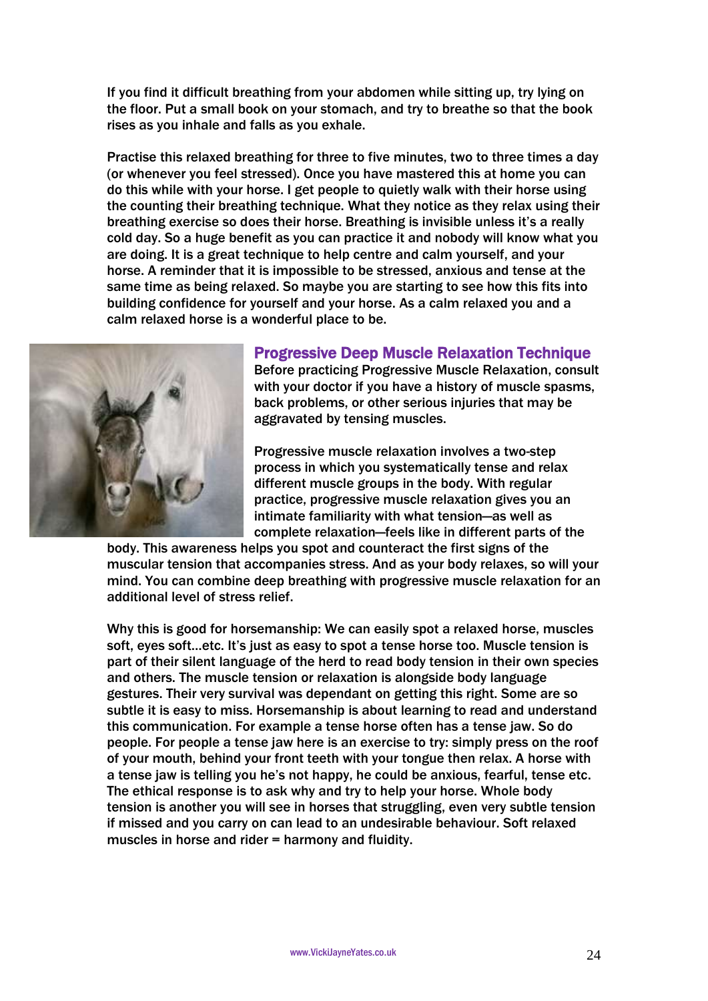If you find it difficult breathing from your abdomen while sitting up, try lying on the floor. Put a small book on your stomach, and try to breathe so that the book rises as you inhale and falls as you exhale.

Practise this relaxed breathing for three to five minutes, two to three times a day (or whenever you feel stressed). Once you have mastered this at home you can do this while with your horse. I get people to quietly walk with their horse using the counting their breathing technique. What they notice as they relax using their breathing exercise so does their horse. Breathing is invisible unless it's a really cold day. So a huge benefit as you can practice it and nobody will know what you are doing. It is a great technique to help centre and calm yourself, and your horse. A reminder that it is impossible to be stressed, anxious and tense at the same time as being relaxed. So maybe you are starting to see how this fits into building confidence for yourself and your horse. As a calm relaxed you and a calm relaxed horse is a wonderful place to be.



### Progressive Deep Muscle Relaxation Technique

Before practicing Progressive Muscle Relaxation, consult with your doctor if you have a history of muscle spasms, back problems, or other serious injuries that may be aggravated by tensing muscles.

Progressive muscle relaxation involves a two-step process in which you systematically tense and relax different muscle groups in the body. With regular practice, progressive muscle relaxation gives you an intimate familiarity with what tension—as well as complete relaxation—feels like in different parts of the

body. This awareness helps you spot and counteract the first signs of the muscular tension that accompanies stress. And as your body relaxes, so will your mind. You can combine deep breathing with progressive muscle relaxation for an additional level of stress relief.

Why this is good for horsemanship: We can easily spot a relaxed horse, muscles soft, eyes soft…etc. It's just as easy to spot a tense horse too. Muscle tension is part of their silent language of the herd to read body tension in their own species and others. The muscle tension or relaxation is alongside body language gestures. Their very survival was dependant on getting this right. Some are so subtle it is easy to miss. Horsemanship is about learning to read and understand this communication. For example a tense horse often has a tense jaw. So do people. For people a tense jaw here is an exercise to try: simply press on the roof of your mouth, behind your front teeth with your tongue then relax. A horse with a tense jaw is telling you he's not happy, he could be anxious, fearful, tense etc. The ethical response is to ask why and try to help your horse. Whole body tension is another you will see in horses that struggling, even very subtle tension if missed and you carry on can lead to an undesirable behaviour. Soft relaxed muscles in horse and rider = harmony and fluidity.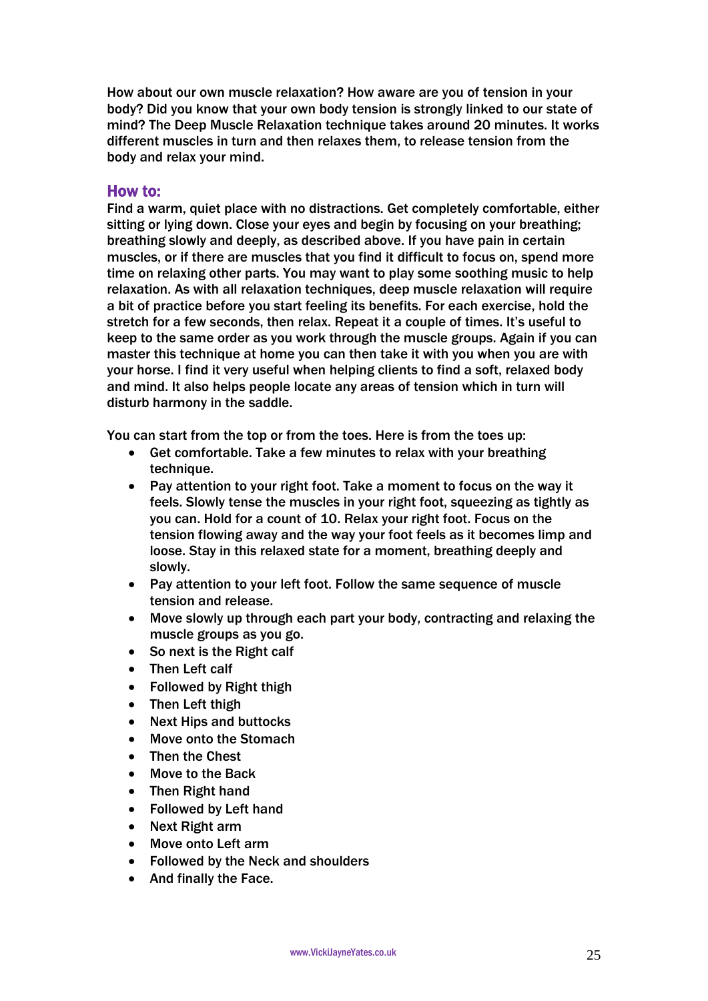How about our own muscle relaxation? How aware are you of tension in your body? Did you know that your own body tension is strongly linked to our state of mind? The Deep Muscle Relaxation technique takes around 20 minutes. It works different muscles in turn and then relaxes them, to release tension from the body and relax your mind.

### How to:

Find a warm, quiet place with no distractions. Get completely comfortable, either sitting or lying down. Close your eyes and begin by focusing on your breathing; breathing slowly and deeply, as described above. If you have pain in certain muscles, or if there are muscles that you find it difficult to focus on, spend more time on relaxing other parts. You may want to play some soothing music to help relaxation. As with all relaxation techniques, deep muscle relaxation will require a bit of practice before you start feeling its benefits. For each exercise, hold the stretch for a few seconds, then relax. Repeat it a couple of times. It's useful to keep to the same order as you work through the muscle groups. Again if you can master this technique at home you can then take it with you when you are with your horse. I find it very useful when helping clients to find a soft, relaxed body and mind. It also helps people locate any areas of tension which in turn will disturb harmony in the saddle.

You can start from the top or from the toes. Here is from the toes up:

- Get comfortable. Take a few minutes to relax with your breathing technique.
- Pay attention to your right foot. Take a moment to focus on the way it feels. Slowly tense the muscles in your right foot, squeezing as tightly as you can. Hold for a count of 10. Relax your right foot. Focus on the tension flowing away and the way your foot feels as it becomes limp and loose. Stay in this relaxed state for a moment, breathing deeply and slowly.
- Pay attention to your left foot. Follow the same sequence of muscle tension and release.
- Move slowly up through each part your body, contracting and relaxing the muscle groups as you go.
- So next is the Right calf
- Then Left calf
- Followed by Right thigh
- Then Left thigh
- Next Hips and buttocks
- Move onto the Stomach
- Then the Chest
- Move to the Back
- Then Right hand
- Followed by Left hand
- Next Right arm
- Move onto Left arm
- Followed by the Neck and shoulders
- And finally the Face.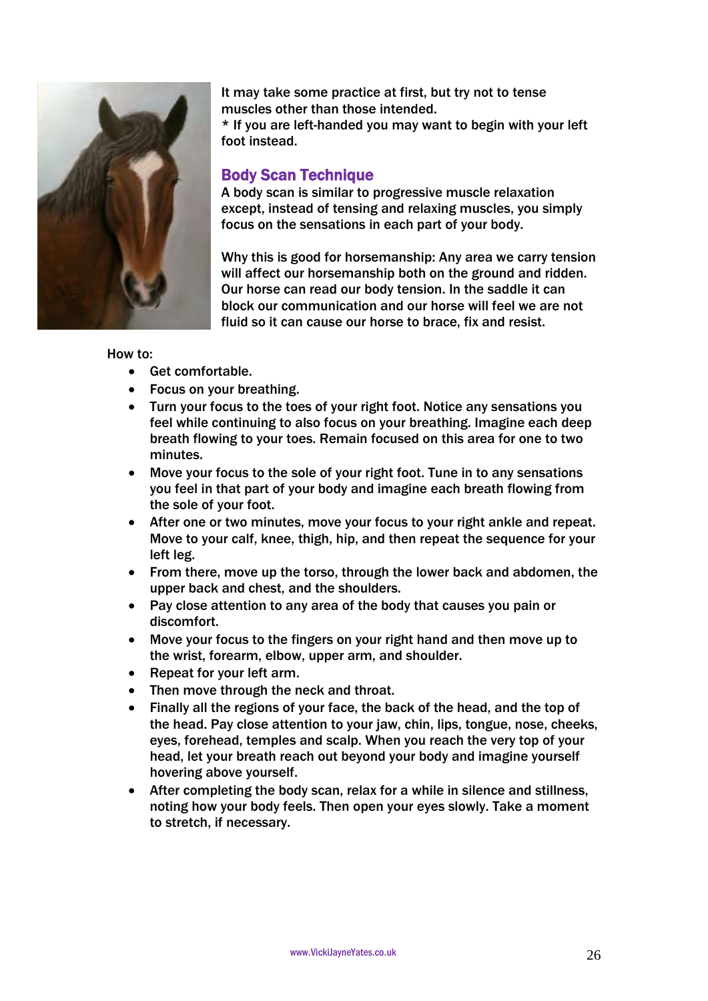

It may take some practice at first, but try not to tense muscles other than those intended.

\* If you are left-handed you may want to begin with your left foot instead.

# Body Scan Technique

A body scan is similar to progressive muscle relaxation except, instead of tensing and relaxing muscles, you simply focus on the sensations in each part of your body.

Why this is good for horsemanship: Any area we carry tension will affect our horsemanship both on the ground and ridden. Our horse can read our body tension. In the saddle it can block our communication and our horse will feel we are not fluid so it can cause our horse to brace, fix and resist.

- Get comfortable.
- Focus on your breathing.
- Turn your focus to the toes of your right foot. Notice any sensations you feel while continuing to also focus on your breathing. Imagine each deep breath flowing to your toes. Remain focused on this area for one to two minutes.
- Move your focus to the sole of your right foot. Tune in to any sensations you feel in that part of your body and imagine each breath flowing from the sole of your foot.
- After one or two minutes, move your focus to your right ankle and repeat. Move to your calf, knee, thigh, hip, and then repeat the sequence for your left leg.
- From there, move up the torso, through the lower back and abdomen, the upper back and chest, and the shoulders.
- Pay close attention to any area of the body that causes you pain or discomfort.
- Move your focus to the fingers on your right hand and then move up to the wrist, forearm, elbow, upper arm, and shoulder.
- Repeat for your left arm.
- Then move through the neck and throat.
- Finally all the regions of your face, the back of the head, and the top of the head. Pay close attention to your jaw, chin, lips, tongue, nose, cheeks, eyes, forehead, temples and scalp. When you reach the very top of your head, let your breath reach out beyond your body and imagine yourself hovering above yourself.
- After completing the body scan, relax for a while in silence and stillness, noting how your body feels. Then open your eyes slowly. Take a moment to stretch, if necessary.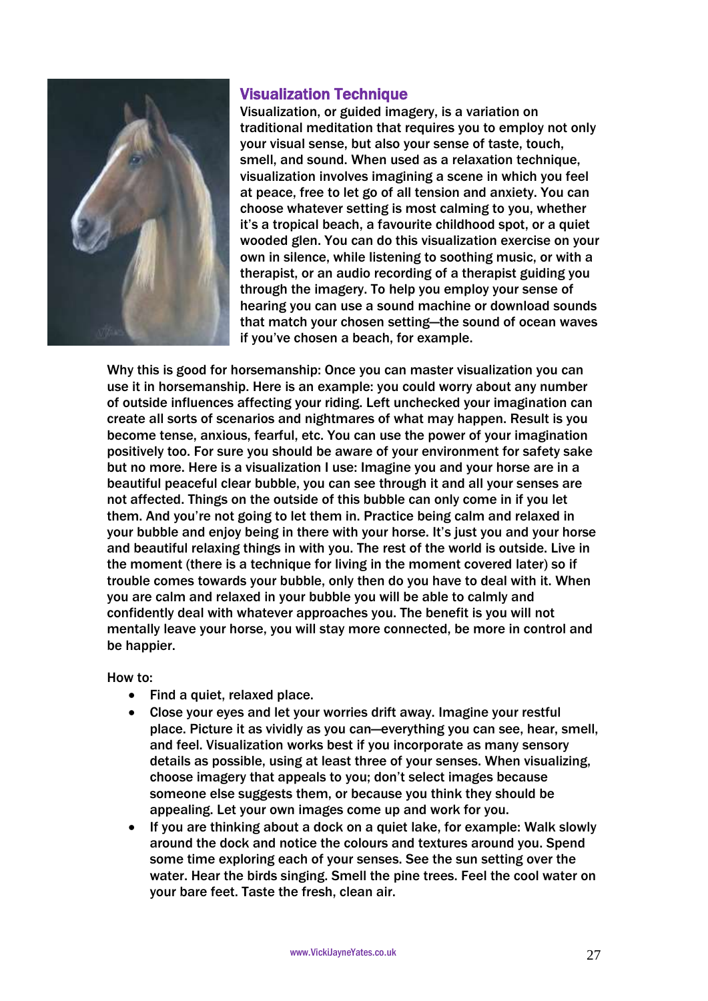

# Visualization Technique

Visualization, or guided imagery, is a variation on traditional meditation that requires you to employ not only your visual sense, but also your sense of taste, touch, smell, and sound. When used as a relaxation technique, visualization involves imagining a scene in which you feel at peace, free to let go of all tension and anxiety. You can choose whatever setting is most calming to you, whether it's a tropical beach, a favourite childhood spot, or a quiet wooded glen. You can do this visualization exercise on your own in silence, while listening to soothing music, or with a therapist, or an audio recording of a therapist guiding you through the imagery. To help you employ your sense of hearing you can use a sound machine or download sounds that match your chosen setting—the sound of ocean waves if you've chosen a beach, for example.

Why this is good for horsemanship: Once you can master visualization you can use it in horsemanship. Here is an example: you could worry about any number of outside influences affecting your riding. Left unchecked your imagination can create all sorts of scenarios and nightmares of what may happen. Result is you become tense, anxious, fearful, etc. You can use the power of your imagination positively too. For sure you should be aware of your environment for safety sake but no more. Here is a visualization I use: Imagine you and your horse are in a beautiful peaceful clear bubble, you can see through it and all your senses are not affected. Things on the outside of this bubble can only come in if you let them. And you're not going to let them in. Practice being calm and relaxed in your bubble and enjoy being in there with your horse. It's just you and your horse and beautiful relaxing things in with you. The rest of the world is outside. Live in the moment (there is a technique for living in the moment covered later) so if trouble comes towards your bubble, only then do you have to deal with it. When you are calm and relaxed in your bubble you will be able to calmly and confidently deal with whatever approaches you. The benefit is you will not mentally leave your horse, you will stay more connected, be more in control and be happier.

- Find a quiet, relaxed place.
- Close your eyes and let your worries drift away. Imagine your restful place. Picture it as vividly as you can—everything you can see, hear, smell, and feel. Visualization works best if you incorporate as many sensory details as possible, using at least three of your senses. When visualizing, choose imagery that appeals to you; don't select images because someone else suggests them, or because you think they should be appealing. Let your own images come up and work for you.
- If you are thinking about a dock on a quiet lake, for example: Walk slowly around the dock and notice the colours and textures around you. Spend some time exploring each of your senses. See the sun setting over the water. Hear the birds singing. Smell the pine trees. Feel the cool water on your bare feet. Taste the fresh, clean air.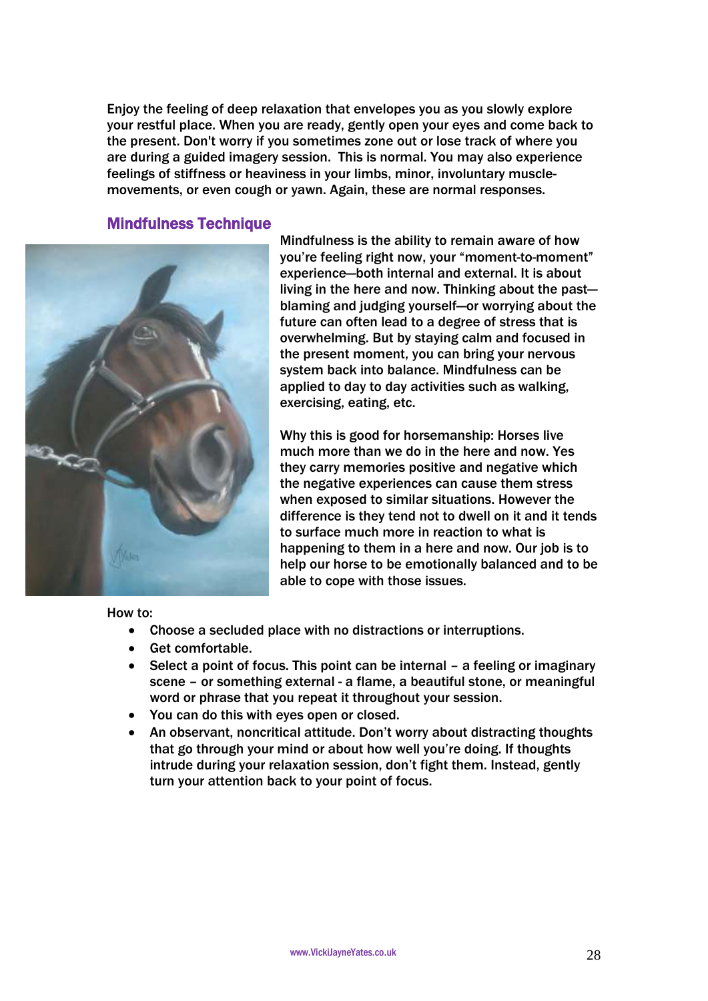Enjoy the feeling of deep relaxation that envelopes you as you slowly explore your restful place. When you are ready, gently open your eyes and come back to the present. Don't worry if you sometimes zone out or lose track of where you are during a guided imagery session. This is normal. You may also experience feelings of stiffness or heaviness in your limbs, minor, involuntary musclemovements, or even cough or yawn. Again, these are normal responses.

### Mindfulness Technique



Mindfulness is the ability to remain aware of how you're feeling right now, your "moment-to-moment" experience—both internal and external. It is about living in the here and now. Thinking about the past blaming and judging yourself—or worrying about the future can often lead to a degree of stress that is overwhelming. But by staying calm and focused in the present moment, you can bring your nervous system back into balance. Mindfulness can be applied to day to day activities such as walking, exercising, eating, etc.

Why this is good for horsemanship: Horses live much more than we do in the here and now. Yes they carry memories positive and negative which the negative experiences can cause them stress when exposed to similar situations. However the difference is they tend not to dwell on it and it tends to surface much more in reaction to what is happening to them in a here and now. Our job is to help our horse to be emotionally balanced and to be able to cope with those issues.

- Choose a secluded place with no distractions or interruptions.
- Get comfortable.
- Select a point of focus. This point can be internal a feeling or imaginary scene – or something external - a flame, a beautiful stone, or meaningful word or phrase that you repeat it throughout your session.
- You can do this with eyes open or closed.
- An observant, noncritical attitude. Don't worry about distracting thoughts that go through your mind or about how well you're doing. If thoughts intrude during your relaxation session, don't fight them. Instead, gently turn your attention back to your point of focus.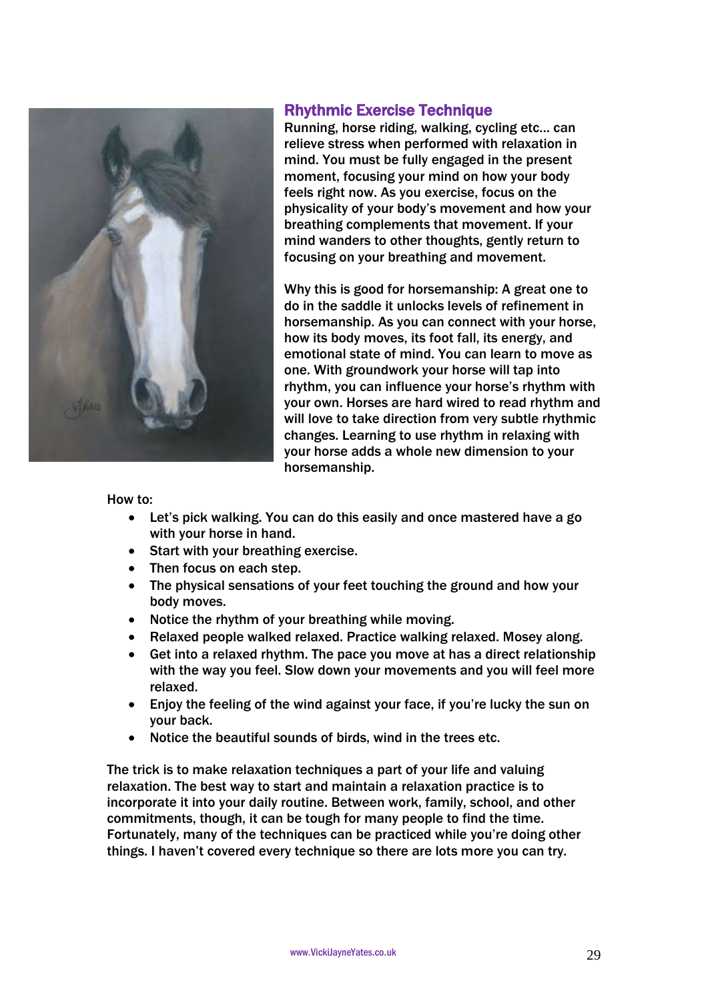

# Rhythmic Exercise Technique

Running, horse riding, walking, cycling etc… can relieve stress when performed with relaxation in mind. You must be fully engaged in the present moment, focusing your mind on how your body feels right now. As you exercise, focus on the physicality of your body's movement and how your breathing complements that movement. If your mind wanders to other thoughts, gently return to focusing on your breathing and movement.

Why this is good for horsemanship: A great one to do in the saddle it unlocks levels of refinement in horsemanship. As you can connect with your horse, how its body moves, its foot fall, its energy, and emotional state of mind. You can learn to move as one. With groundwork your horse will tap into rhythm, you can influence your horse's rhythm with your own. Horses are hard wired to read rhythm and will love to take direction from very subtle rhythmic changes. Learning to use rhythm in relaxing with your horse adds a whole new dimension to your horsemanship.

#### How to:

- Let's pick walking. You can do this easily and once mastered have a go with your horse in hand.
- Start with your breathing exercise.
- Then focus on each step.
- The physical sensations of your feet touching the ground and how your body moves.
- Notice the rhythm of your breathing while moving.
- Relaxed people walked relaxed. Practice walking relaxed. Mosey along.
- Get into a relaxed rhythm. The pace you move at has a direct relationship with the way you feel. Slow down your movements and you will feel more relaxed.
- Enjoy the feeling of the wind against your face, if you're lucky the sun on your back.
- Notice the beautiful sounds of birds, wind in the trees etc.

The trick is to make relaxation techniques a part of your life and valuing relaxation. The best way to start and maintain a relaxation practice is to incorporate it into your daily routine. Between work, family, school, and other commitments, though, it can be tough for many people to find the time. Fortunately, many of the techniques can be practiced while you're doing other things. I haven't covered every technique so there are lots more you can try.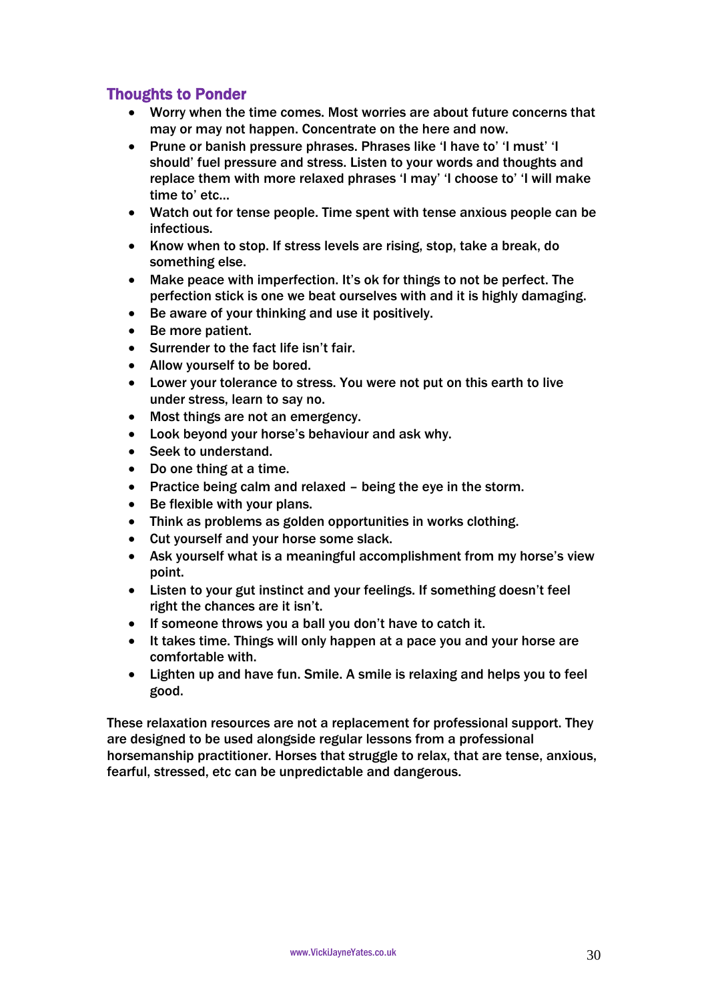# Thoughts to Ponder

- Worry when the time comes. Most worries are about future concerns that may or may not happen. Concentrate on the here and now.
- Prune or banish pressure phrases. Phrases like 'I have to' 'I must' 'I should' fuel pressure and stress. Listen to your words and thoughts and replace them with more relaxed phrases 'I may' 'I choose to' 'I will make time to' etc…
- Watch out for tense people. Time spent with tense anxious people can be infectious.
- Know when to stop. If stress levels are rising, stop, take a break, do something else.
- Make peace with imperfection. It's ok for things to not be perfect. The perfection stick is one we beat ourselves with and it is highly damaging.
- Be aware of your thinking and use it positively.
- Be more patient.
- Surrender to the fact life isn't fair.
- Allow yourself to be bored.
- Lower your tolerance to stress. You were not put on this earth to live under stress, learn to say no.
- Most things are not an emergency.
- Look beyond your horse's behaviour and ask why.
- Seek to understand.
- Do one thing at a time.
- Practice being calm and relaxed being the eye in the storm.
- Be flexible with your plans.
- Think as problems as golden opportunities in works clothing.
- Cut yourself and your horse some slack.
- Ask yourself what is a meaningful accomplishment from my horse's view point.
- Listen to your gut instinct and your feelings. If something doesn't feel right the chances are it isn't.
- If someone throws you a ball you don't have to catch it.
- It takes time. Things will only happen at a pace you and your horse are comfortable with.
- Lighten up and have fun. Smile. A smile is relaxing and helps you to feel good.

These relaxation resources are not a replacement for professional support. They are designed to be used alongside regular lessons from a professional horsemanship practitioner. Horses that struggle to relax, that are tense, anxious, fearful, stressed, etc can be unpredictable and dangerous.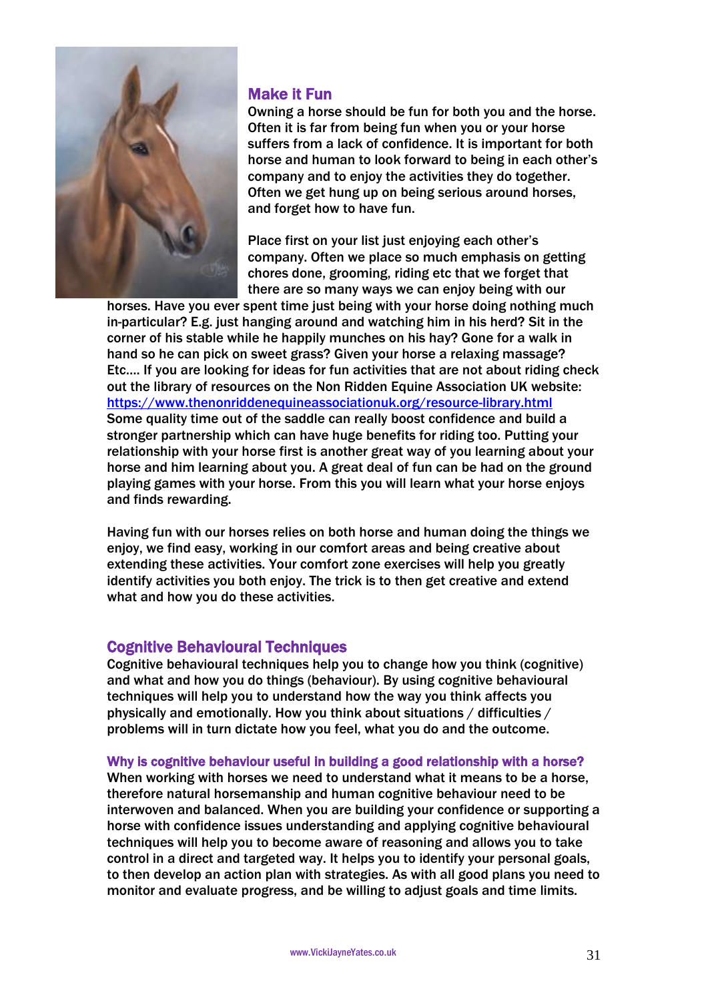

# Make it Fun

Owning a horse should be fun for both you and the horse. Often it is far from being fun when you or your horse suffers from a lack of confidence. It is important for both horse and human to look forward to being in each other's company and to enjoy the activities they do together. Often we get hung up on being serious around horses, and forget how to have fun.

Place first on your list just enjoying each other's company. Often we place so much emphasis on getting chores done, grooming, riding etc that we forget that there are so many ways we can enjoy being with our

horses. Have you ever spent time just being with your horse doing nothing much in-particular? E.g. just hanging around and watching him in his herd? Sit in the corner of his stable while he happily munches on his hay? Gone for a walk in hand so he can pick on sweet grass? Given your horse a relaxing massage? Etc…. If you are looking for ideas for fun activities that are not about riding check out the library of resources on the Non Ridden Equine Association UK website: <https://www.thenonriddenequineassociationuk.org/resource-library.html> Some quality time out of the saddle can really boost confidence and build a stronger partnership which can have huge benefits for riding too. Putting your relationship with your horse first is another great way of you learning about your horse and him learning about you. A great deal of fun can be had on the ground playing games with your horse. From this you will learn what your horse enjoys and finds rewarding.

Having fun with our horses relies on both horse and human doing the things we enjoy, we find easy, working in our comfort areas and being creative about extending these activities. Your comfort zone exercises will help you greatly identify activities you both enjoy. The trick is to then get creative and extend what and how you do these activities.

# Cognitive Behavioural Techniques

Cognitive behavioural techniques help you to change how you think (cognitive) and what and how you do things (behaviour). By using cognitive behavioural techniques will help you to understand how the way you think affects you physically and emotionally. How you think about situations / difficulties / problems will in turn dictate how you feel, what you do and the outcome.

#### Why is cognitive behaviour useful in building a good relationship with a horse?

When working with horses we need to understand what it means to be a horse, therefore natural horsemanship and human cognitive behaviour need to be interwoven and balanced. When you are building your confidence or supporting a horse with confidence issues understanding and applying cognitive behavioural techniques will help you to become aware of reasoning and allows you to take control in a direct and targeted way. It helps you to identify your personal goals, to then develop an action plan with strategies. As with all good plans you need to monitor and evaluate progress, and be willing to adjust goals and time limits.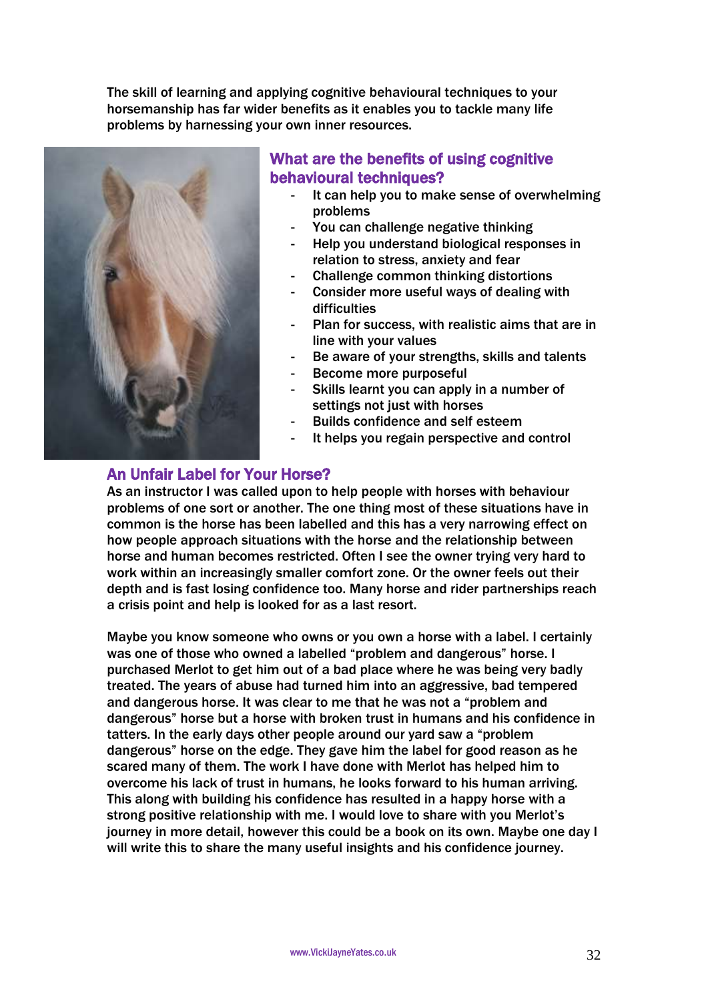The skill of learning and applying cognitive behavioural techniques to your horsemanship has far wider benefits as it enables you to tackle many life problems by harnessing your own inner resources.



# What are the benefits of using cognitive behavioural techniques?

- It can help you to make sense of overwhelming problems
- You can challenge negative thinking
- Help you understand biological responses in relation to stress, anxiety and fear
- Challenge common thinking distortions
- Consider more useful ways of dealing with difficulties
- Plan for success, with realistic aims that are in line with your values
- Be aware of your strengths, skills and talents
- Become more purposeful
- Skills learnt you can apply in a number of settings not just with horses
- Builds confidence and self esteem
- It helps you regain perspective and control

# An Unfair Label for Your Horse?

As an instructor I was called upon to help people with horses with behaviour problems of one sort or another. The one thing most of these situations have in common is the horse has been labelled and this has a very narrowing effect on how people approach situations with the horse and the relationship between horse and human becomes restricted. Often I see the owner trying very hard to work within an increasingly smaller comfort zone. Or the owner feels out their depth and is fast losing confidence too. Many horse and rider partnerships reach a crisis point and help is looked for as a last resort.

Maybe you know someone who owns or you own a horse with a label. I certainly was one of those who owned a labelled "problem and dangerous" horse. I purchased Merlot to get him out of a bad place where he was being very badly treated. The years of abuse had turned him into an aggressive, bad tempered and dangerous horse. It was clear to me that he was not a "problem and dangerous" horse but a horse with broken trust in humans and his confidence in tatters. In the early days other people around our yard saw a "problem dangerous" horse on the edge. They gave him the label for good reason as he scared many of them. The work I have done with Merlot has helped him to overcome his lack of trust in humans, he looks forward to his human arriving. This along with building his confidence has resulted in a happy horse with a strong positive relationship with me. I would love to share with you Merlot's journey in more detail, however this could be a book on its own. Maybe one day I will write this to share the many useful insights and his confidence journey.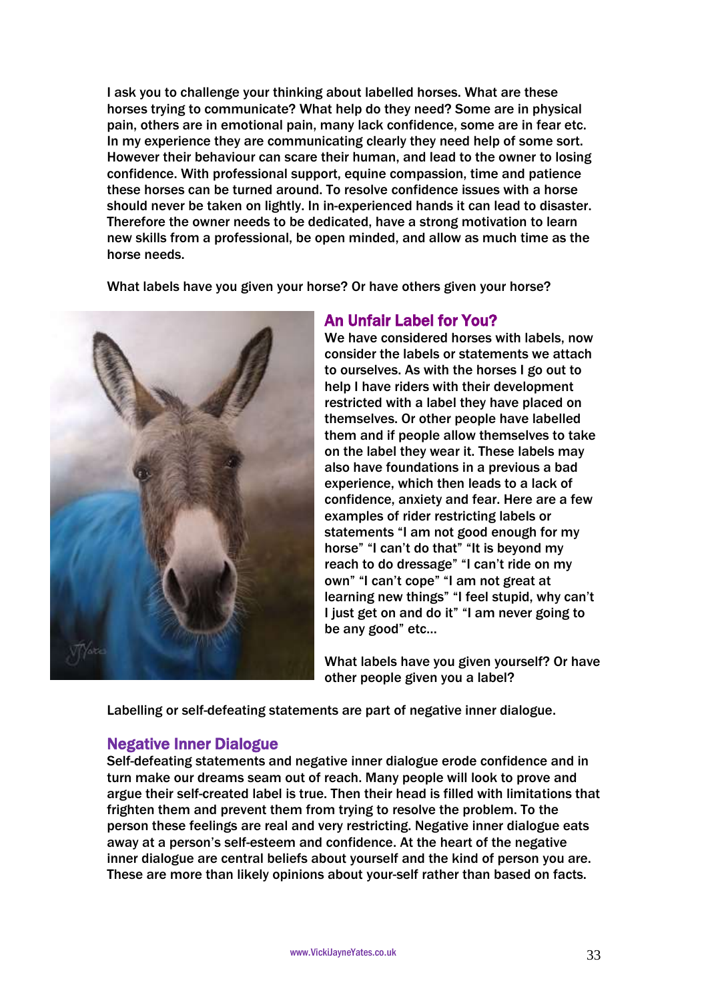I ask you to challenge your thinking about labelled horses. What are these horses trying to communicate? What help do they need? Some are in physical pain, others are in emotional pain, many lack confidence, some are in fear etc. In my experience they are communicating clearly they need help of some sort. However their behaviour can scare their human, and lead to the owner to losing confidence. With professional support, equine compassion, time and patience these horses can be turned around. To resolve confidence issues with a horse should never be taken on lightly. In in-experienced hands it can lead to disaster. Therefore the owner needs to be dedicated, have a strong motivation to learn new skills from a professional, be open minded, and allow as much time as the horse needs.

What labels have you given your horse? Or have others given your horse?



# An Unfair Label for You?

We have considered horses with labels, now consider the labels or statements we attach to ourselves. As with the horses I go out to help I have riders with their development restricted with a label they have placed on themselves. Or other people have labelled them and if people allow themselves to take on the label they wear it. These labels may also have foundations in a previous a bad experience, which then leads to a lack of confidence, anxiety and fear. Here are a few examples of rider restricting labels or statements "I am not good enough for my horse" "I can't do that" "It is beyond my reach to do dressage" "I can't ride on my own" "I can't cope" "I am not great at learning new things" "I feel stupid, why can't I just get on and do it" "I am never going to be any good" etc…

What labels have you given yourself? Or have other people given you a label?

Labelling or self-defeating statements are part of negative inner dialogue.

# Negative Inner Dialogue

Self-defeating statements and negative inner dialogue erode confidence and in turn make our dreams seam out of reach. Many people will look to prove and argue their self-created label is true. Then their head is filled with limitations that frighten them and prevent them from trying to resolve the problem. To the person these feelings are real and very restricting. Negative inner dialogue eats away at a person's self-esteem and confidence. At the heart of the negative inner dialogue are central beliefs about yourself and the kind of person you are. These are more than likely opinions about your-self rather than based on facts.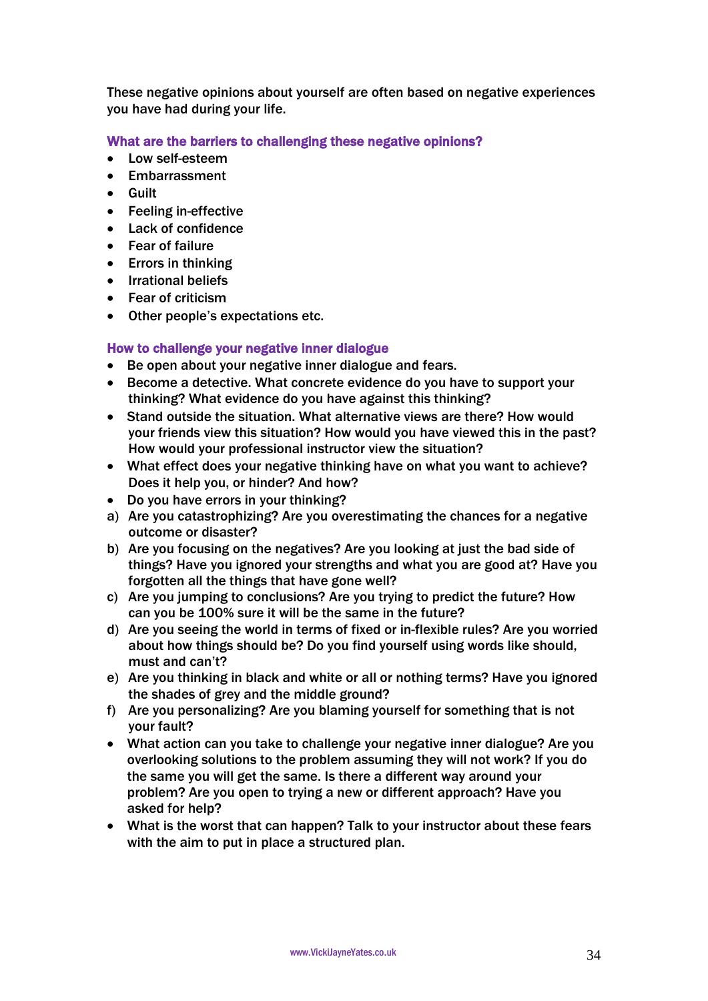These negative opinions about yourself are often based on negative experiences you have had during your life.

### What are the barriers to challenging these negative opinions?

- Low self-esteem
- Embarrassment
- Guilt
- Feeling in-effective
- Lack of confidence
- Fear of failure
- Errors in thinking
- Irrational beliefs
- Fear of criticism
- Other people's expectations etc.

### How to challenge your negative inner dialogue

- Be open about your negative inner dialogue and fears.
- Become a detective. What concrete evidence do you have to support your thinking? What evidence do you have against this thinking?
- Stand outside the situation. What alternative views are there? How would your friends view this situation? How would you have viewed this in the past? How would your professional instructor view the situation?
- What effect does your negative thinking have on what you want to achieve? Does it help you, or hinder? And how?
- Do you have errors in your thinking?
- a) Are you catastrophizing? Are you overestimating the chances for a negative outcome or disaster?
- b) Are you focusing on the negatives? Are you looking at just the bad side of things? Have you ignored your strengths and what you are good at? Have you forgotten all the things that have gone well?
- c) Are you jumping to conclusions? Are you trying to predict the future? How can you be 100% sure it will be the same in the future?
- d) Are you seeing the world in terms of fixed or in-flexible rules? Are you worried about how things should be? Do you find yourself using words like should, must and can't?
- e) Are you thinking in black and white or all or nothing terms? Have you ignored the shades of grey and the middle ground?
- f) Are you personalizing? Are you blaming yourself for something that is not your fault?
- What action can you take to challenge your negative inner dialogue? Are you overlooking solutions to the problem assuming they will not work? If you do the same you will get the same. Is there a different way around your problem? Are you open to trying a new or different approach? Have you asked for help?
- What is the worst that can happen? Talk to your instructor about these fears with the aim to put in place a structured plan.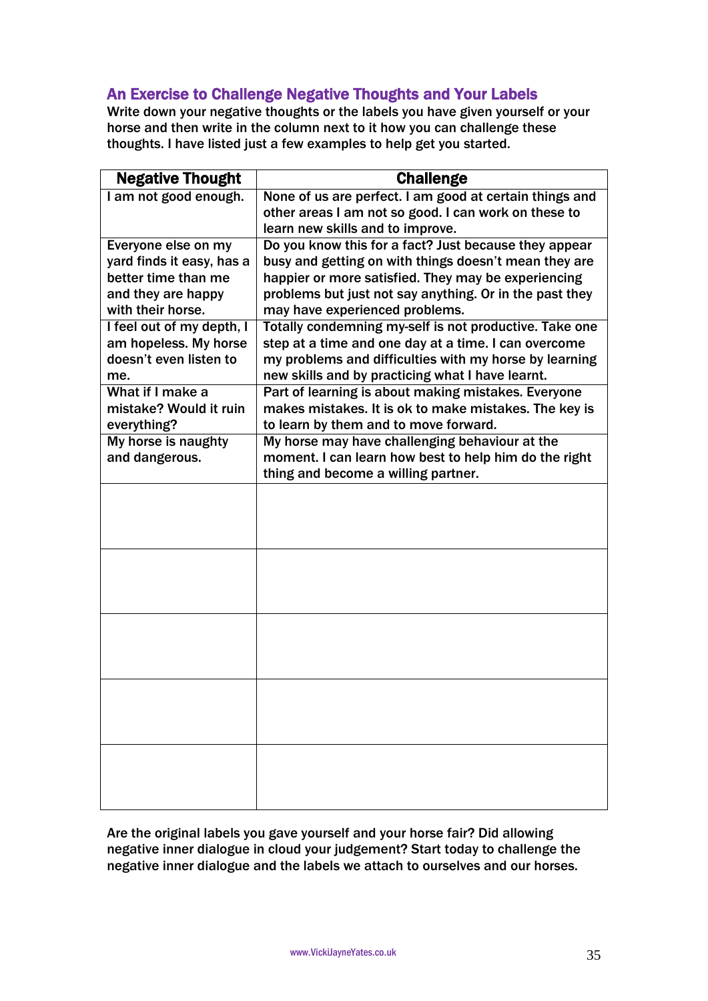# An Exercise to Challenge Negative Thoughts and Your Labels

Write down your negative thoughts or the labels you have given yourself or your horse and then write in the column next to it how you can challenge these thoughts. I have listed just a few examples to help get you started.

| <b>Negative Thought</b>   | <b>Challenge</b>                                        |
|---------------------------|---------------------------------------------------------|
| I am not good enough.     | None of us are perfect. I am good at certain things and |
|                           | other areas I am not so good. I can work on these to    |
|                           | learn new skills and to improve.                        |
| Everyone else on my       | Do you know this for a fact? Just because they appear   |
| yard finds it easy, has a | busy and getting on with things doesn't mean they are   |
| better time than me       | happier or more satisfied. They may be experiencing     |
| and they are happy        | problems but just not say anything. Or in the past they |
| with their horse.         | may have experienced problems.                          |
| I feel out of my depth, I | Totally condemning my-self is not productive. Take one  |
| am hopeless. My horse     | step at a time and one day at a time. I can overcome    |
| doesn't even listen to    | my problems and difficulties with my horse by learning  |
| me.                       | new skills and by practicing what I have learnt.        |
| What if I make a          | Part of learning is about making mistakes. Everyone     |
| mistake? Would it ruin    | makes mistakes. It is ok to make mistakes. The key is   |
| everything?               | to learn by them and to move forward.                   |
| My horse is naughty       | My horse may have challenging behaviour at the          |
| and dangerous.            | moment. I can learn how best to help him do the right   |
|                           | thing and become a willing partner.                     |
|                           |                                                         |
|                           |                                                         |
|                           |                                                         |
|                           |                                                         |
|                           |                                                         |
|                           |                                                         |
|                           |                                                         |
|                           |                                                         |
|                           |                                                         |
|                           |                                                         |
|                           |                                                         |
|                           |                                                         |
|                           |                                                         |
|                           |                                                         |
|                           |                                                         |

Are the original labels you gave yourself and your horse fair? Did allowing negative inner dialogue in cloud your judgement? Start today to challenge the negative inner dialogue and the labels we attach to ourselves and our horses.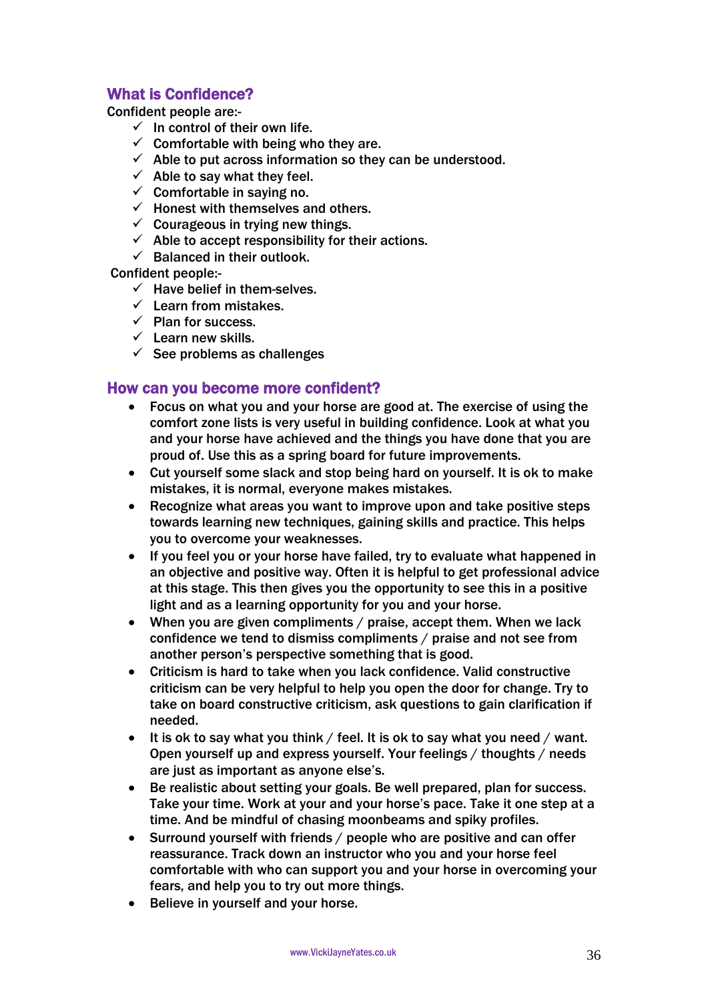# What is Confidence?

Confident people are:-

- $\checkmark$  In control of their own life.
- $\checkmark$  Comfortable with being who they are.
- $\checkmark$  Able to put across information so they can be understood.
- $\checkmark$  Able to say what they feel.
- $\checkmark$  Comfortable in saving no.
- $\checkmark$  Honest with themselves and others.
- $\checkmark$  Courageous in trying new things.
- $\checkmark$  Able to accept responsibility for their actions.
- $\checkmark$  Balanced in their outlook.

Confident people:-

- $\checkmark$  Have belief in them-selves.
- $\checkmark$  Learn from mistakes.
- $\checkmark$  Plan for success.
- $\checkmark$  Learn new skills.
- $\checkmark$  See problems as challenges

# How can you become more confident?

- Focus on what you and your horse are good at. The exercise of using the comfort zone lists is very useful in building confidence. Look at what you and your horse have achieved and the things you have done that you are proud of. Use this as a spring board for future improvements.
- Cut yourself some slack and stop being hard on yourself. It is ok to make mistakes, it is normal, everyone makes mistakes.
- Recognize what areas you want to improve upon and take positive steps towards learning new techniques, gaining skills and practice. This helps you to overcome your weaknesses.
- If you feel you or your horse have failed, try to evaluate what happened in an objective and positive way. Often it is helpful to get professional advice at this stage. This then gives you the opportunity to see this in a positive light and as a learning opportunity for you and your horse.
- When you are given compliments / praise, accept them. When we lack confidence we tend to dismiss compliments / praise and not see from another person's perspective something that is good.
- Criticism is hard to take when you lack confidence. Valid constructive criticism can be very helpful to help you open the door for change. Try to take on board constructive criticism, ask questions to gain clarification if needed.
- $\bullet$  It is ok to say what you think / feel. It is ok to say what you need / want. Open yourself up and express yourself. Your feelings / thoughts / needs are just as important as anyone else's.
- Be realistic about setting your goals. Be well prepared, plan for success. Take your time. Work at your and your horse's pace. Take it one step at a time. And be mindful of chasing moonbeams and spiky profiles.
- Surround yourself with friends / people who are positive and can offer reassurance. Track down an instructor who you and your horse feel comfortable with who can support you and your horse in overcoming your fears, and help you to try out more things.
- Believe in yourself and your horse.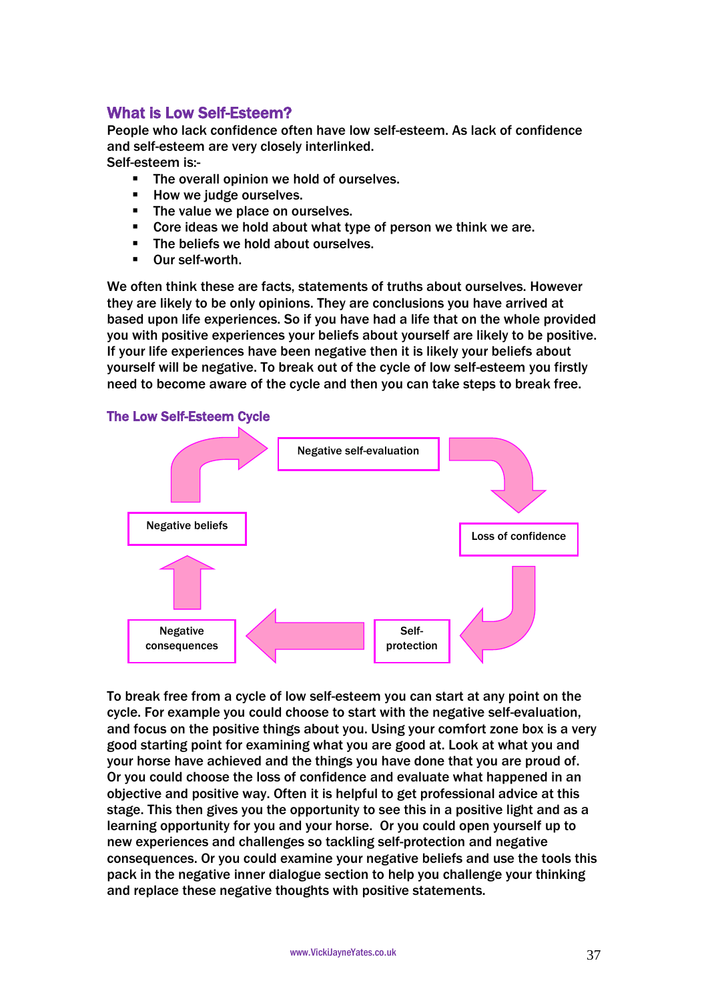# What is Low Self-Esteem?

People who lack confidence often have low self-esteem. As lack of confidence and self-esteem are very closely interlinked. Self-esteem is:-

**The overall opinion we hold of ourselves.** 

- **How we judge ourselves.**
- The value we place on ourselves.
- Core ideas we hold about what type of person we think we are.
- The beliefs we hold about ourselves.
- Our self-worth.

We often think these are facts, statements of truths about ourselves. However they are likely to be only opinions. They are conclusions you have arrived at based upon life experiences. So if you have had a life that on the whole provided you with positive experiences your beliefs about yourself are likely to be positive. If your life experiences have been negative then it is likely your beliefs about yourself will be negative. To break out of the cycle of low self-esteem you firstly need to become aware of the cycle and then you can take steps to break free.



To break free from a cycle of low self-esteem you can start at any point on the cycle. For example you could choose to start with the negative self-evaluation, and focus on the positive things about you. Using your comfort zone box is a very good starting point for examining what you are good at. Look at what you and your horse have achieved and the things you have done that you are proud of. Or you could choose the loss of confidence and evaluate what happened in an objective and positive way. Often it is helpful to get professional advice at this stage. This then gives you the opportunity to see this in a positive light and as a learning opportunity for you and your horse. Or you could open yourself up to new experiences and challenges so tackling self-protection and negative consequences. Or you could examine your negative beliefs and use the tools this pack in the negative inner dialogue section to help you challenge your thinking and replace these negative thoughts with positive statements.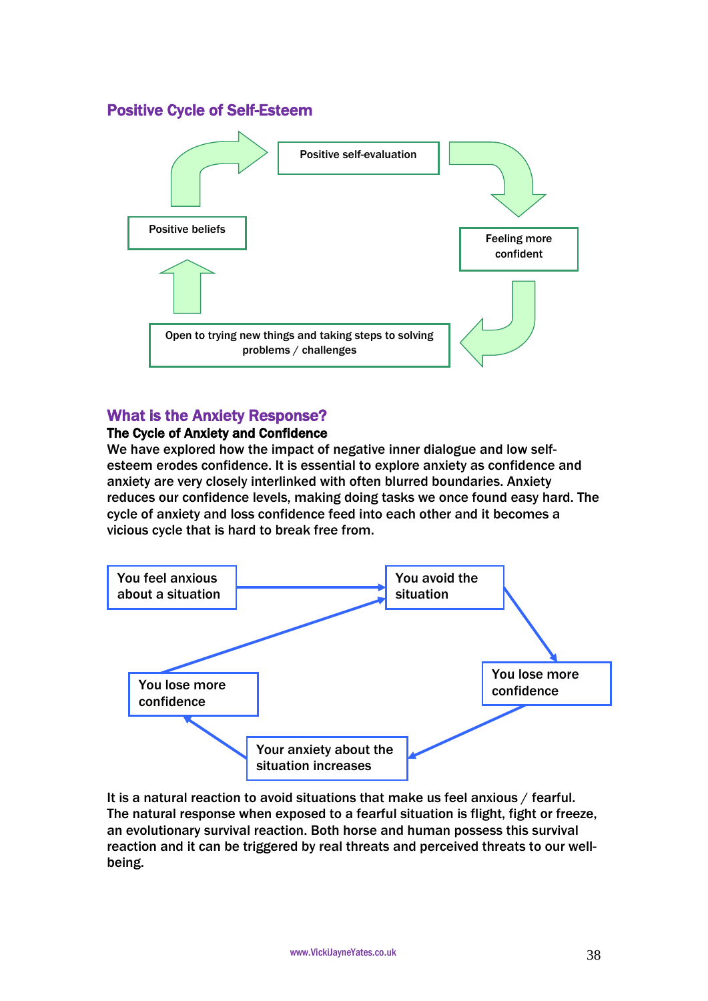# Positive Cycle of Self-Esteem



# What is the Anxiety Response?

### The Cycle of Anxiety and Confidence

We have explored how the impact of negative inner dialogue and low selfesteem erodes confidence. It is essential to explore anxiety as confidence and anxiety are very closely interlinked with often blurred boundaries. Anxiety reduces our confidence levels, making doing tasks we once found easy hard. The cycle of anxiety and loss confidence feed into each other and it becomes a vicious cycle that is hard to break free from.



It is a natural reaction to avoid situations that make us feel anxious / fearful. The natural response when exposed to a fearful situation is flight, fight or freeze, an evolutionary survival reaction. Both horse and human possess this survival reaction and it can be triggered by real threats and perceived threats to our wellbeing.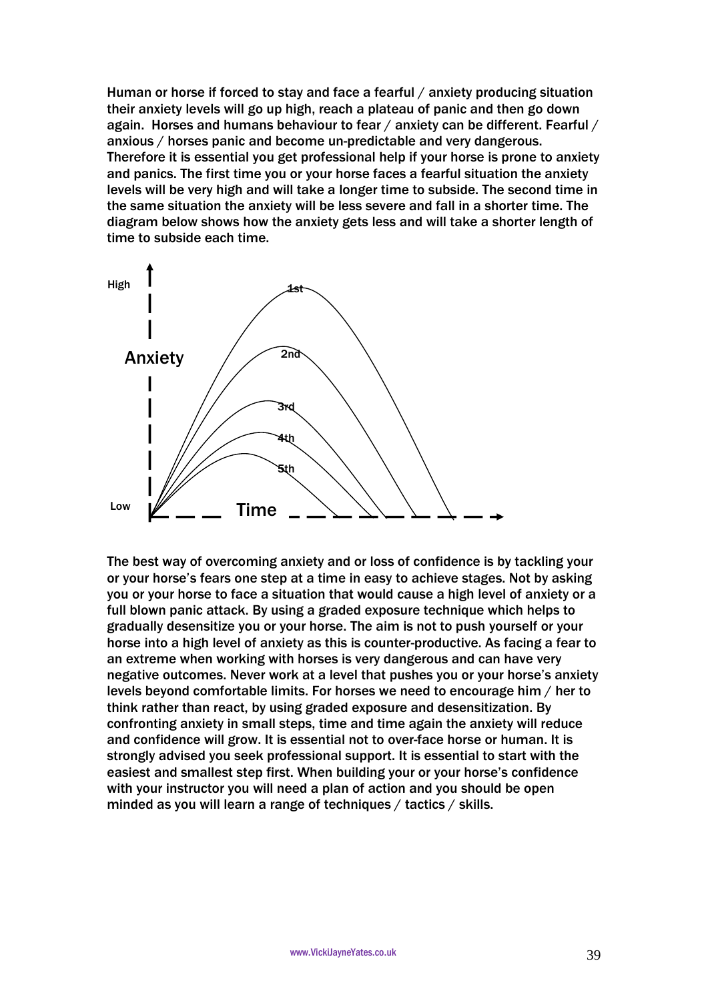Human or horse if forced to stay and face a fearful / anxiety producing situation their anxiety levels will go up high, reach a plateau of panic and then go down again. Horses and humans behaviour to fear / anxiety can be different. Fearful / anxious / horses panic and become un-predictable and very dangerous. Therefore it is essential you get professional help if your horse is prone to anxiety and panics. The first time you or your horse faces a fearful situation the anxiety levels will be very high and will take a longer time to subside. The second time in the same situation the anxiety will be less severe and fall in a shorter time. The diagram below shows how the anxiety gets less and will take a shorter length of time to subside each time.



The best way of overcoming anxiety and or loss of confidence is by tackling your or your horse's fears one step at a time in easy to achieve stages. Not by asking you or your horse to face a situation that would cause a high level of anxiety or a full blown panic attack. By using a graded exposure technique which helps to gradually desensitize you or your horse. The aim is not to push yourself or your horse into a high level of anxiety as this is counter-productive. As facing a fear to an extreme when working with horses is very dangerous and can have very negative outcomes. Never work at a level that pushes you or your horse's anxiety levels beyond comfortable limits. For horses we need to encourage him / her to think rather than react, by using graded exposure and desensitization. By confronting anxiety in small steps, time and time again the anxiety will reduce and confidence will grow. It is essential not to over-face horse or human. It is strongly advised you seek professional support. It is essential to start with the easiest and smallest step first. When building your or your horse's confidence with your instructor you will need a plan of action and you should be open minded as you will learn a range of techniques / tactics / skills.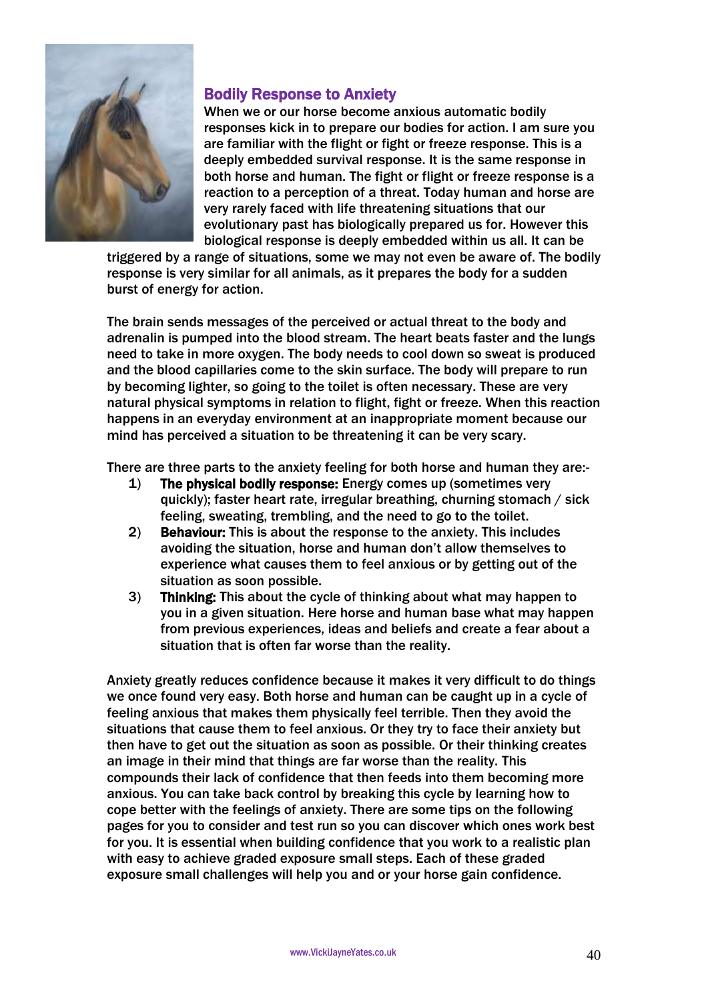

# Bodily Response to Anxiety

When we or our horse become anxious automatic bodily responses kick in to prepare our bodies for action. I am sure you are familiar with the flight or fight or freeze response. This is a deeply embedded survival response. It is the same response in both horse and human. The fight or flight or freeze response is a reaction to a perception of a threat. Today human and horse are very rarely faced with life threatening situations that our evolutionary past has biologically prepared us for. However this biological response is deeply embedded within us all. It can be

triggered by a range of situations, some we may not even be aware of. The bodily response is very similar for all animals, as it prepares the body for a sudden burst of energy for action.

The brain sends messages of the perceived or actual threat to the body and adrenalin is pumped into the blood stream. The heart beats faster and the lungs need to take in more oxygen. The body needs to cool down so sweat is produced and the blood capillaries come to the skin surface. The body will prepare to run by becoming lighter, so going to the toilet is often necessary. These are very natural physical symptoms in relation to flight, fight or freeze. When this reaction happens in an everyday environment at an inappropriate moment because our mind has perceived a situation to be threatening it can be very scary.

There are three parts to the anxiety feeling for both horse and human they are:-

- 1) The physical bodily response: Energy comes up (sometimes very quickly); faster heart rate, irregular breathing, churning stomach / sick feeling, sweating, trembling, and the need to go to the toilet.
- 2) Behaviour: This is about the response to the anxiety. This includes avoiding the situation, horse and human don't allow themselves to experience what causes them to feel anxious or by getting out of the situation as soon possible.
- 3) Thinking: This about the cycle of thinking about what may happen to you in a given situation. Here horse and human base what may happen from previous experiences, ideas and beliefs and create a fear about a situation that is often far worse than the reality.

Anxiety greatly reduces confidence because it makes it very difficult to do things we once found very easy. Both horse and human can be caught up in a cycle of feeling anxious that makes them physically feel terrible. Then they avoid the situations that cause them to feel anxious. Or they try to face their anxiety but then have to get out the situation as soon as possible. Or their thinking creates an image in their mind that things are far worse than the reality. This compounds their lack of confidence that then feeds into them becoming more anxious. You can take back control by breaking this cycle by learning how to cope better with the feelings of anxiety. There are some tips on the following pages for you to consider and test run so you can discover which ones work best for you. It is essential when building confidence that you work to a realistic plan with easy to achieve graded exposure small steps. Each of these graded exposure small challenges will help you and or your horse gain confidence.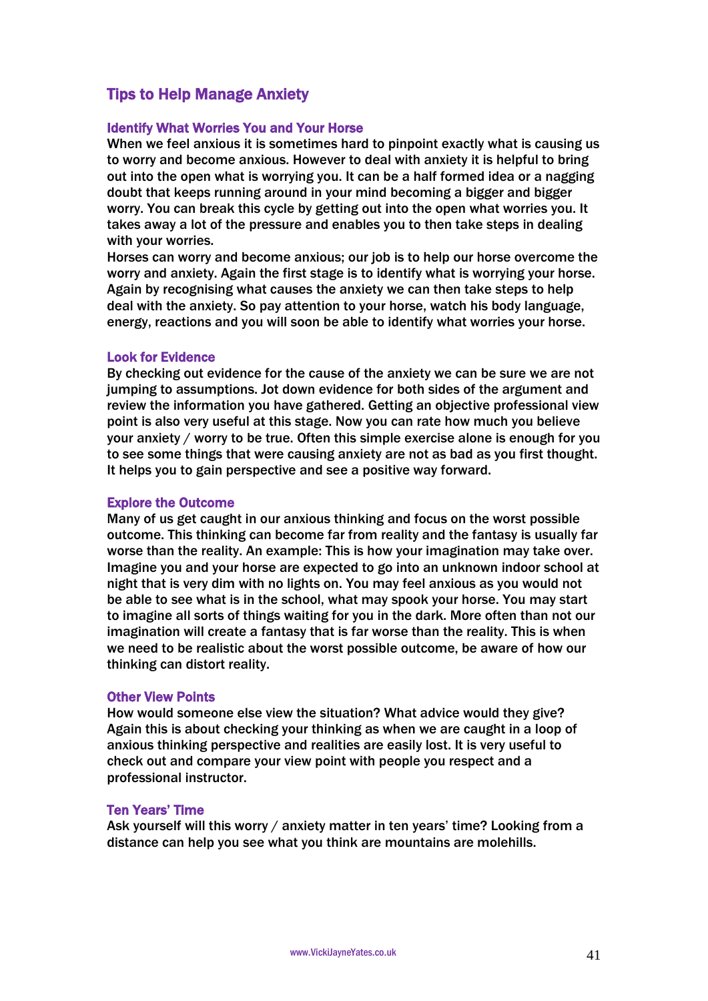# Tips to Help Manage Anxiety

#### Identify What Worries You and Your Horse

When we feel anxious it is sometimes hard to pinpoint exactly what is causing us to worry and become anxious. However to deal with anxiety it is helpful to bring out into the open what is worrying you. It can be a half formed idea or a nagging doubt that keeps running around in your mind becoming a bigger and bigger worry. You can break this cycle by getting out into the open what worries you. It takes away a lot of the pressure and enables you to then take steps in dealing with your worries.

Horses can worry and become anxious; our job is to help our horse overcome the worry and anxiety. Again the first stage is to identify what is worrying your horse. Again by recognising what causes the anxiety we can then take steps to help deal with the anxiety. So pay attention to your horse, watch his body language, energy, reactions and you will soon be able to identify what worries your horse.

#### Look for Evidence

By checking out evidence for the cause of the anxiety we can be sure we are not jumping to assumptions. Jot down evidence for both sides of the argument and review the information you have gathered. Getting an objective professional view point is also very useful at this stage. Now you can rate how much you believe your anxiety / worry to be true. Often this simple exercise alone is enough for you to see some things that were causing anxiety are not as bad as you first thought. It helps you to gain perspective and see a positive way forward.

#### Explore the Outcome

Many of us get caught in our anxious thinking and focus on the worst possible outcome. This thinking can become far from reality and the fantasy is usually far worse than the reality. An example: This is how your imagination may take over. Imagine you and your horse are expected to go into an unknown indoor school at night that is very dim with no lights on. You may feel anxious as you would not be able to see what is in the school, what may spook your horse. You may start to imagine all sorts of things waiting for you in the dark. More often than not our imagination will create a fantasy that is far worse than the reality. This is when we need to be realistic about the worst possible outcome, be aware of how our thinking can distort reality.

#### Other View Points

How would someone else view the situation? What advice would they give? Again this is about checking your thinking as when we are caught in a loop of anxious thinking perspective and realities are easily lost. It is very useful to check out and compare your view point with people you respect and a professional instructor.

#### Ten Years' Time

Ask yourself will this worry / anxiety matter in ten years' time? Looking from a distance can help you see what you think are mountains are molehills.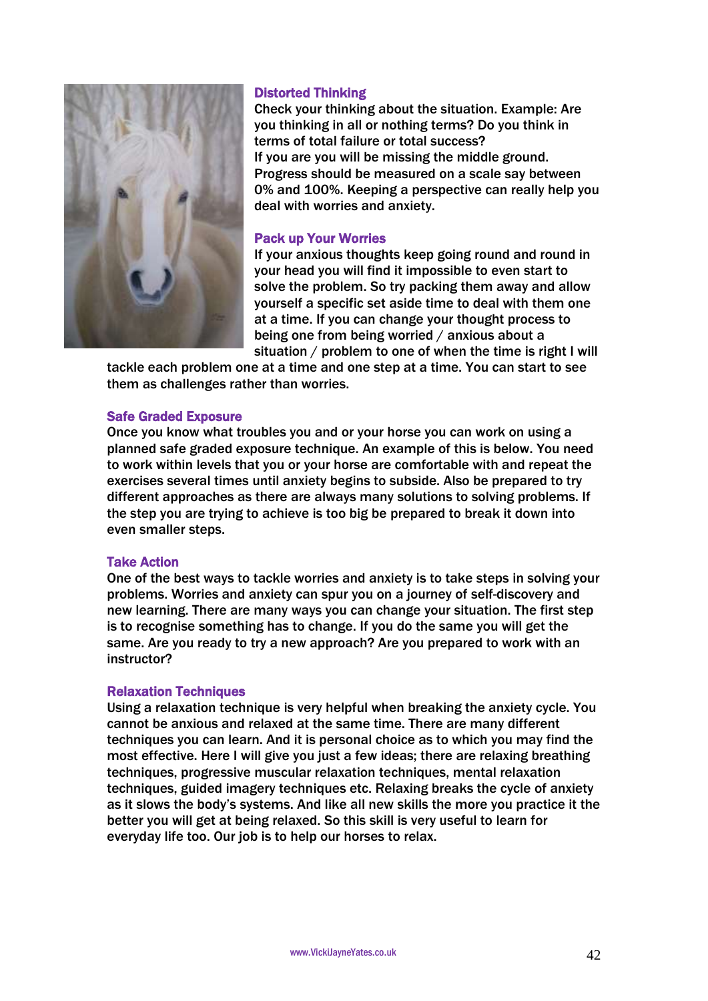

#### Distorted Thinking

Check your thinking about the situation. Example: Are you thinking in all or nothing terms? Do you think in terms of total failure or total success? If you are you will be missing the middle ground. Progress should be measured on a scale say between 0% and 100%. Keeping a perspective can really help you deal with worries and anxiety.

#### Pack up Your Worries

If your anxious thoughts keep going round and round in your head you will find it impossible to even start to solve the problem. So try packing them away and allow yourself a specific set aside time to deal with them one at a time. If you can change your thought process to being one from being worried / anxious about a situation / problem to one of when the time is right I will

tackle each problem one at a time and one step at a time. You can start to see them as challenges rather than worries.

#### Safe Graded Exposure

Once you know what troubles you and or your horse you can work on using a planned safe graded exposure technique. An example of this is below. You need to work within levels that you or your horse are comfortable with and repeat the exercises several times until anxiety begins to subside. Also be prepared to try different approaches as there are always many solutions to solving problems. If the step you are trying to achieve is too big be prepared to break it down into even smaller steps.

### Take Action

One of the best ways to tackle worries and anxiety is to take steps in solving your problems. Worries and anxiety can spur you on a journey of self-discovery and new learning. There are many ways you can change your situation. The first step is to recognise something has to change. If you do the same you will get the same. Are you ready to try a new approach? Are you prepared to work with an instructor?

#### Relaxation Techniques

Using a relaxation technique is very helpful when breaking the anxiety cycle. You cannot be anxious and relaxed at the same time. There are many different techniques you can learn. And it is personal choice as to which you may find the most effective. Here I will give you just a few ideas; there are relaxing breathing techniques, progressive muscular relaxation techniques, mental relaxation techniques, guided imagery techniques etc. Relaxing breaks the cycle of anxiety as it slows the body's systems. And like all new skills the more you practice it the better you will get at being relaxed. So this skill is very useful to learn for everyday life too. Our job is to help our horses to relax.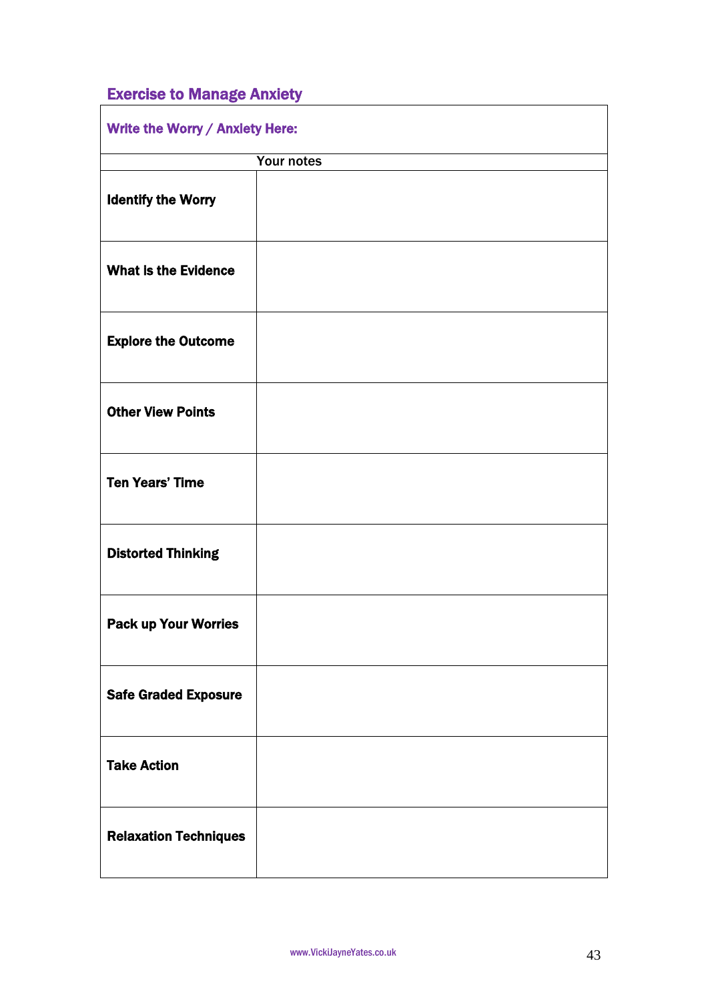# Exercise to Manage Anxiety

| Write the Worry / Anxiety Here: |            |  |
|---------------------------------|------------|--|
|                                 | Your notes |  |
| <b>Identify the Worry</b>       |            |  |
| <b>What is the Evidence</b>     |            |  |
| <b>Explore the Outcome</b>      |            |  |
| <b>Other View Points</b>        |            |  |
| <b>Ten Years' Time</b>          |            |  |
| <b>Distorted Thinking</b>       |            |  |
| <b>Pack up Your Worries</b>     |            |  |
| <b>Safe Graded Exposure</b>     |            |  |
| <b>Take Action</b>              |            |  |
| <b>Relaxation Techniques</b>    |            |  |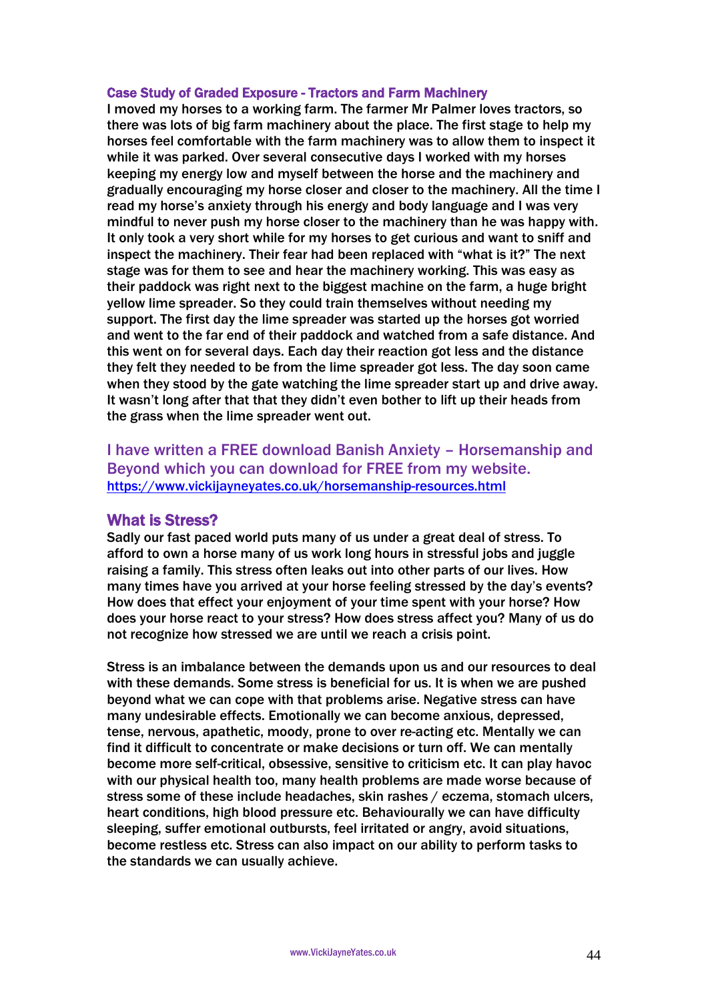#### Case Study of Graded Exposure - Tractors and Farm Machinery

I moved my horses to a working farm. The farmer Mr Palmer loves tractors, so there was lots of big farm machinery about the place. The first stage to help my horses feel comfortable with the farm machinery was to allow them to inspect it while it was parked. Over several consecutive days I worked with my horses keeping my energy low and myself between the horse and the machinery and gradually encouraging my horse closer and closer to the machinery. All the time I read my horse's anxiety through his energy and body language and I was very mindful to never push my horse closer to the machinery than he was happy with. It only took a very short while for my horses to get curious and want to sniff and inspect the machinery. Their fear had been replaced with "what is it?" The next stage was for them to see and hear the machinery working. This was easy as their paddock was right next to the biggest machine on the farm, a huge bright yellow lime spreader. So they could train themselves without needing my support. The first day the lime spreader was started up the horses got worried and went to the far end of their paddock and watched from a safe distance. And this went on for several days. Each day their reaction got less and the distance they felt they needed to be from the lime spreader got less. The day soon came when they stood by the gate watching the lime spreader start up and drive away. It wasn't long after that that they didn't even bother to lift up their heads from the grass when the lime spreader went out.

I have written a FREE download Banish Anxiety – Horsemanship and Beyond which you can download for FREE from my website. <https://www.vickijayneyates.co.uk/horsemanship-resources.html>

### What is Stress?

Sadly our fast paced world puts many of us under a great deal of stress. To afford to own a horse many of us work long hours in stressful jobs and juggle raising a family. This stress often leaks out into other parts of our lives. How many times have you arrived at your horse feeling stressed by the day's events? How does that effect your enjoyment of your time spent with your horse? How does your horse react to your stress? How does stress affect you? Many of us do not recognize how stressed we are until we reach a crisis point.

Stress is an imbalance between the demands upon us and our resources to deal with these demands. Some stress is beneficial for us. It is when we are pushed beyond what we can cope with that problems arise. Negative stress can have many undesirable effects. Emotionally we can become anxious, depressed, tense, nervous, apathetic, moody, prone to over re-acting etc. Mentally we can find it difficult to concentrate or make decisions or turn off. We can mentally become more self-critical, obsessive, sensitive to criticism etc. It can play havoc with our physical health too, many health problems are made worse because of stress some of these include headaches, skin rashes / eczema, stomach ulcers, heart conditions, high blood pressure etc. Behaviourally we can have difficulty sleeping, suffer emotional outbursts, feel irritated or angry, avoid situations, become restless etc. Stress can also impact on our ability to perform tasks to the standards we can usually achieve.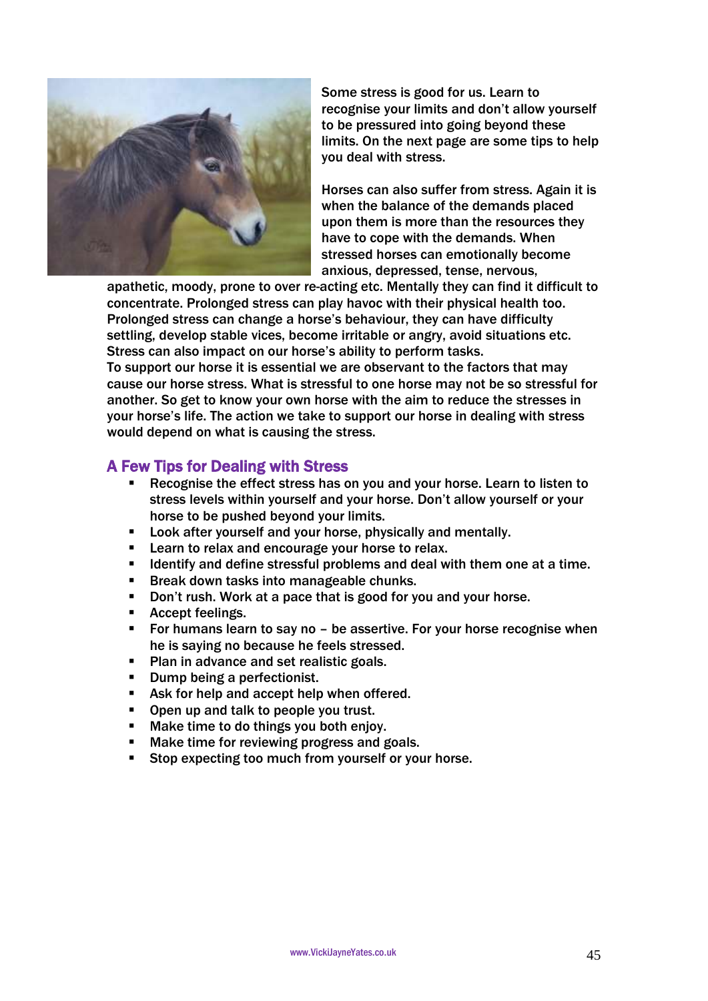

Some stress is good for us. Learn to recognise your limits and don't allow yourself to be pressured into going beyond these limits. On the next page are some tips to help you deal with stress.

Horses can also suffer from stress. Again it is when the balance of the demands placed upon them is more than the resources they have to cope with the demands. When stressed horses can emotionally become anxious, depressed, tense, nervous,

apathetic, moody, prone to over re-acting etc. Mentally they can find it difficult to concentrate. Prolonged stress can play havoc with their physical health too. Prolonged stress can change a horse's behaviour, they can have difficulty settling, develop stable vices, become irritable or angry, avoid situations etc. Stress can also impact on our horse's ability to perform tasks. To support our horse it is essential we are observant to the factors that may cause our horse stress. What is stressful to one horse may not be so stressful for another. So get to know your own horse with the aim to reduce the stresses in your horse's life. The action we take to support our horse in dealing with stress would depend on what is causing the stress.

# A Few Tips for Dealing with Stress

- Recognise the effect stress has on you and your horse. Learn to listen to stress levels within yourself and your horse. Don't allow yourself or your horse to be pushed beyond your limits.
- **EXECT:** Look after yourself and your horse, physically and mentally.
- Learn to relax and encourage your horse to relax.
- Identify and define stressful problems and deal with them one at a time.
- Break down tasks into manageable chunks.
- Don't rush. Work at a pace that is good for you and your horse.
- **Accept feelings.**
- **For humans learn to say no be assertive. For your horse recognise when** he is saying no because he feels stressed.
- Plan in advance and set realistic goals.
- Dump being a perfectionist.
- Ask for help and accept help when offered.
- Open up and talk to people you trust.
- Make time to do things you both enjoy.
- Make time for reviewing progress and goals.
- Stop expecting too much from yourself or your horse.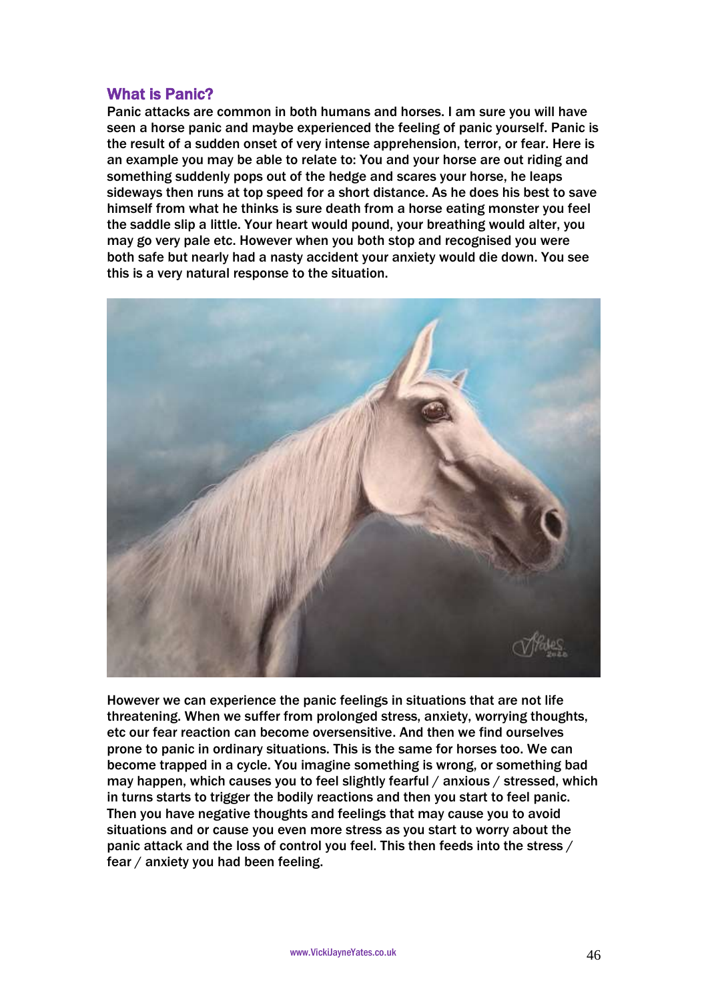# What is Panic?

Panic attacks are common in both humans and horses. I am sure you will have seen a horse panic and maybe experienced the feeling of panic yourself. Panic is the result of a sudden onset of very intense apprehension, terror, or fear. Here is an example you may be able to relate to: You and your horse are out riding and something suddenly pops out of the hedge and scares your horse, he leaps sideways then runs at top speed for a short distance. As he does his best to save himself from what he thinks is sure death from a horse eating monster you feel the saddle slip a little. Your heart would pound, your breathing would alter, you may go very pale etc. However when you both stop and recognised you were both safe but nearly had a nasty accident your anxiety would die down. You see this is a very natural response to the situation.



However we can experience the panic feelings in situations that are not life threatening. When we suffer from prolonged stress, anxiety, worrying thoughts, etc our fear reaction can become oversensitive. And then we find ourselves prone to panic in ordinary situations. This is the same for horses too. We can become trapped in a cycle. You imagine something is wrong, or something bad may happen, which causes you to feel slightly fearful / anxious / stressed, which in turns starts to trigger the bodily reactions and then you start to feel panic. Then you have negative thoughts and feelings that may cause you to avoid situations and or cause you even more stress as you start to worry about the panic attack and the loss of control you feel. This then feeds into the stress / fear / anxiety you had been feeling.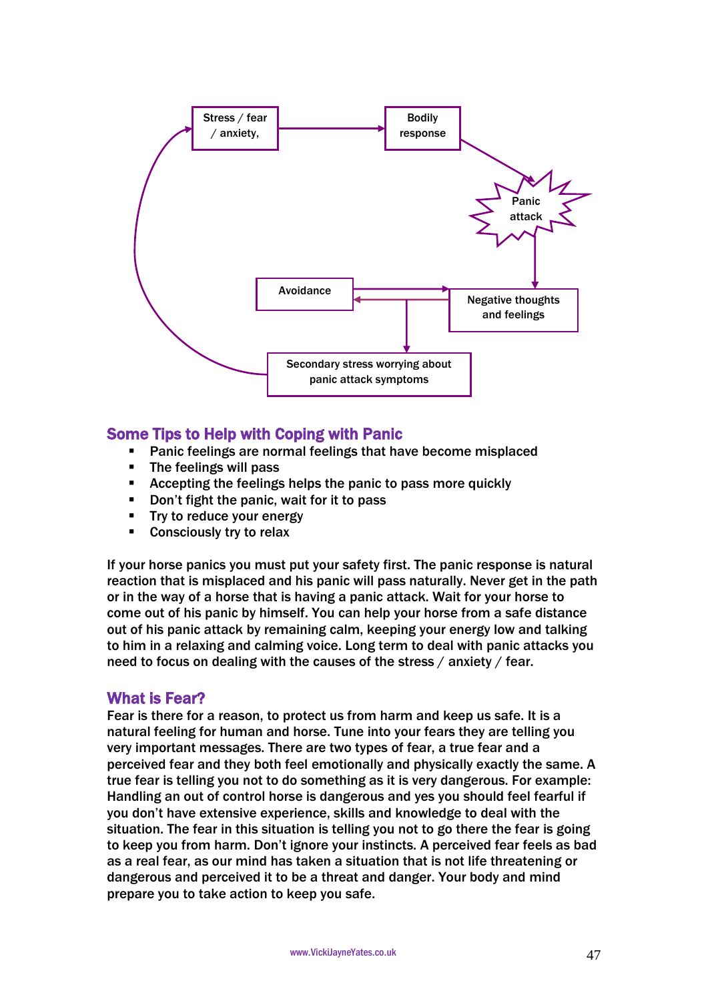

# Some Tips to Help with Coping with Panic

- Panic feelings are normal feelings that have become misplaced
- The feelings will pass
- **EXECT** Accepting the feelings helps the panic to pass more quickly
- Don't fight the panic, wait for it to pass
- **Try to reduce your energy**
- **Consciously try to relax**

If your horse panics you must put your safety first. The panic response is natural reaction that is misplaced and his panic will pass naturally. Never get in the path or in the way of a horse that is having a panic attack. Wait for your horse to come out of his panic by himself. You can help your horse from a safe distance out of his panic attack by remaining calm, keeping your energy low and talking to him in a relaxing and calming voice. Long term to deal with panic attacks you need to focus on dealing with the causes of the stress / anxiety / fear.

# What is Fear?

Fear is there for a reason, to protect us from harm and keep us safe. It is a natural feeling for human and horse. Tune into your fears they are telling you very important messages. There are two types of fear, a true fear and a perceived fear and they both feel emotionally and physically exactly the same. A true fear is telling you not to do something as it is very dangerous. For example: Handling an out of control horse is dangerous and yes you should feel fearful if you don't have extensive experience, skills and knowledge to deal with the situation. The fear in this situation is telling you not to go there the fear is going to keep you from harm. Don't ignore your instincts. A perceived fear feels as bad as a real fear, as our mind has taken a situation that is not life threatening or dangerous and perceived it to be a threat and danger. Your body and mind prepare you to take action to keep you safe.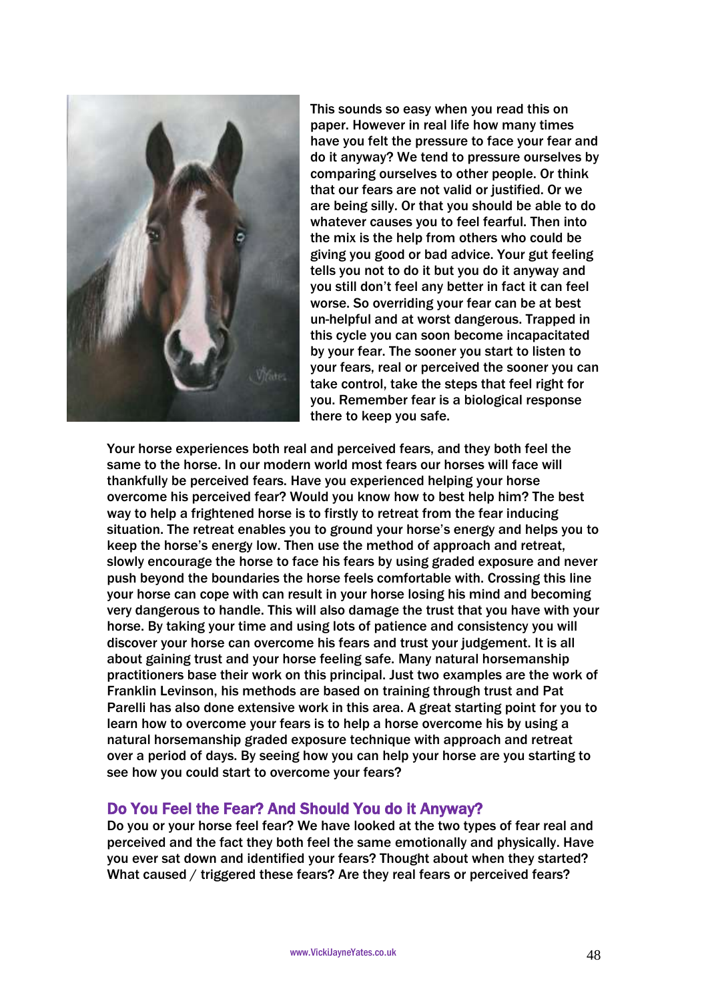

This sounds so easy when you read this on paper. However in real life how many times have you felt the pressure to face your fear and do it anyway? We tend to pressure ourselves by comparing ourselves to other people. Or think that our fears are not valid or justified. Or we are being silly. Or that you should be able to do whatever causes you to feel fearful. Then into the mix is the help from others who could be giving you good or bad advice. Your gut feeling tells you not to do it but you do it anyway and you still don't feel any better in fact it can feel worse. So overriding your fear can be at best un-helpful and at worst dangerous. Trapped in this cycle you can soon become incapacitated by your fear. The sooner you start to listen to your fears, real or perceived the sooner you can take control, take the steps that feel right for you. Remember fear is a biological response there to keep you safe.

Your horse experiences both real and perceived fears, and they both feel the same to the horse. In our modern world most fears our horses will face will thankfully be perceived fears. Have you experienced helping your horse overcome his perceived fear? Would you know how to best help him? The best way to help a frightened horse is to firstly to retreat from the fear inducing situation. The retreat enables you to ground your horse's energy and helps you to keep the horse's energy low. Then use the method of approach and retreat, slowly encourage the horse to face his fears by using graded exposure and never push beyond the boundaries the horse feels comfortable with. Crossing this line your horse can cope with can result in your horse losing his mind and becoming very dangerous to handle. This will also damage the trust that you have with your horse. By taking your time and using lots of patience and consistency you will discover your horse can overcome his fears and trust your judgement. It is all about gaining trust and your horse feeling safe. Many natural horsemanship practitioners base their work on this principal. Just two examples are the work of Franklin Levinson, his methods are based on training through trust and Pat Parelli has also done extensive work in this area. A great starting point for you to learn how to overcome your fears is to help a horse overcome his by using a natural horsemanship graded exposure technique with approach and retreat over a period of days. By seeing how you can help your horse are you starting to see how you could start to overcome your fears?

# Do You Feel the Fear? And Should You do it Anyway?

Do you or your horse feel fear? We have looked at the two types of fear real and perceived and the fact they both feel the same emotionally and physically. Have you ever sat down and identified your fears? Thought about when they started? What caused / triggered these fears? Are they real fears or perceived fears?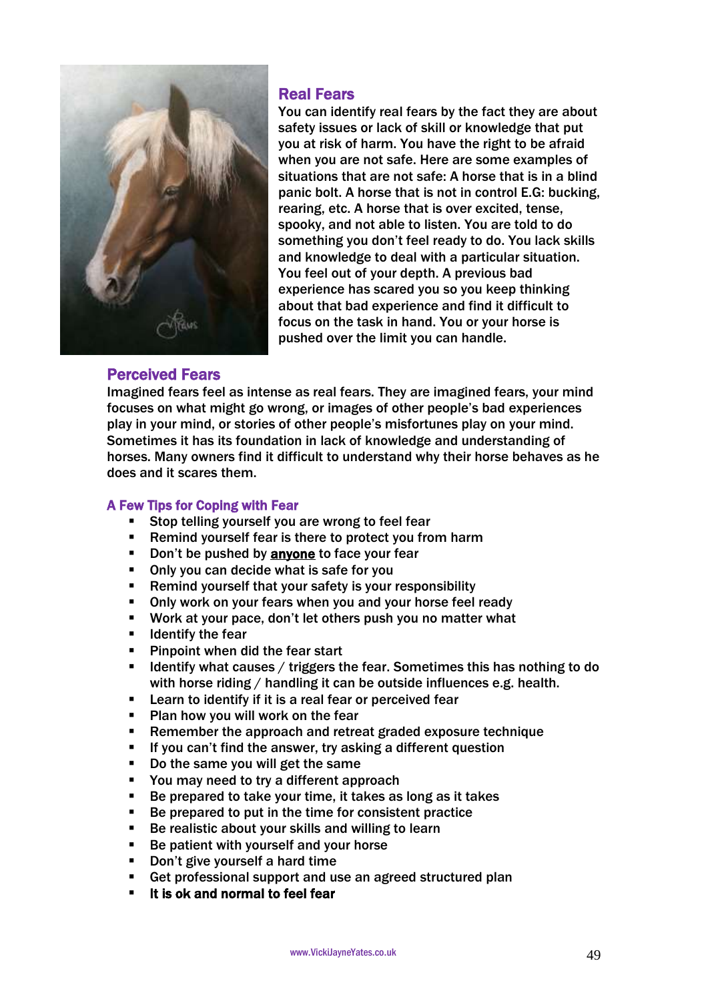

# Real Fears

You can identify real fears by the fact they are about safety issues or lack of skill or knowledge that put you at risk of harm. You have the right to be afraid when you are not safe. Here are some examples of situations that are not safe: A horse that is in a blind panic bolt. A horse that is not in control E.G: bucking, rearing, etc. A horse that is over excited, tense, spooky, and not able to listen. You are told to do something you don't feel ready to do. You lack skills and knowledge to deal with a particular situation. You feel out of your depth. A previous bad experience has scared you so you keep thinking about that bad experience and find it difficult to focus on the task in hand. You or your horse is pushed over the limit you can handle.

# Perceived Fears

Imagined fears feel as intense as real fears. They are imagined fears, your mind focuses on what might go wrong, or images of other people's bad experiences play in your mind, or stories of other people's misfortunes play on your mind. Sometimes it has its foundation in lack of knowledge and understanding of horses. Many owners find it difficult to understand why their horse behaves as he does and it scares them.

### A Few Tips for Coping with Fear

- Stop telling yourself you are wrong to feel fear
- Remind yourself fear is there to protect you from harm
- Don't be pushed by anyone to face your fear
- Only you can decide what is safe for you
- Remind yourself that your safety is your responsibility
- **Only work on your fears when you and your horse feel ready**
- Work at your pace, don't let others push you no matter what
- $\blacksquare$  Identify the fear
- **Pinpoint when did the fear start**
- **If Identify what causes / triggers the fear. Sometimes this has nothing to do** with horse riding / handling it can be outside influences e.g. health.
- Learn to identify if it is a real fear or perceived fear
- **Plan how you will work on the fear**
- Remember the approach and retreat graded exposure technique
- If you can't find the answer, try asking a different question
- Do the same you will get the same
- You may need to try a different approach
- Be prepared to take your time, it takes as long as it takes
- Be prepared to put in the time for consistent practice
- Be realistic about your skills and willing to learn
- Be patient with yourself and your horse
- Don't give yourself a hard time
- Get professional support and use an agreed structured plan
- It is ok and normal to feel fear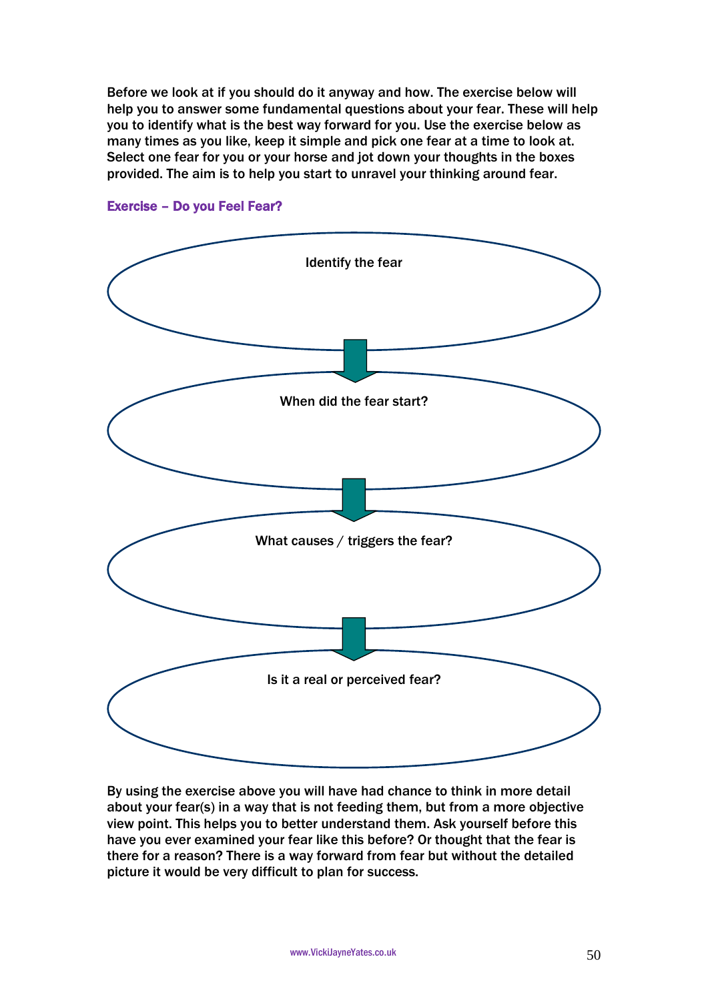Before we look at if you should do it anyway and how. The exercise below will help you to answer some fundamental questions about your fear. These will help you to identify what is the best way forward for you. Use the exercise below as many times as you like, keep it simple and pick one fear at a time to look at. Select one fear for you or your horse and jot down your thoughts in the boxes provided. The aim is to help you start to unravel your thinking around fear.



Exercise – Do you Feel Fear?

By using the exercise above you will have had chance to think in more detail about your fear(s) in a way that is not feeding them, but from a more objective view point. This helps you to better understand them. Ask yourself before this have you ever examined your fear like this before? Or thought that the fear is there for a reason? There is a way forward from fear but without the detailed picture it would be very difficult to plan for success.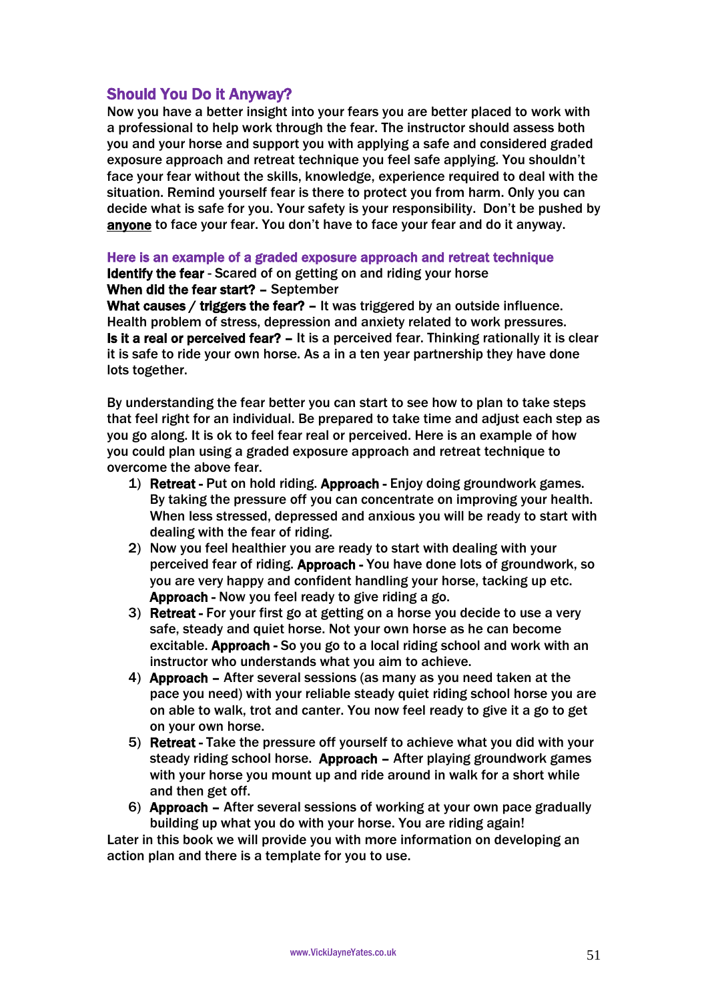# Should You Do it Anyway?

Now you have a better insight into your fears you are better placed to work with a professional to help work through the fear. The instructor should assess both you and your horse and support you with applying a safe and considered graded exposure approach and retreat technique you feel safe applying. You shouldn't face your fear without the skills, knowledge, experience required to deal with the situation. Remind yourself fear is there to protect you from harm. Only you can decide what is safe for you. Your safety is your responsibility. Don't be pushed by anyone to face your fear. You don't have to face your fear and do it anyway.

Here is an example of a graded exposure approach and retreat technique

Identify the fear - Scared of on getting on and riding your horse When did the fear start? – September

What causes / triggers the fear? - It was triggered by an outside influence. Health problem of stress, depression and anxiety related to work pressures. Is it a real or perceived fear? – It is a perceived fear. Thinking rationally it is clear it is safe to ride your own horse. As a in a ten year partnership they have done lots together.

By understanding the fear better you can start to see how to plan to take steps that feel right for an individual. Be prepared to take time and adjust each step as you go along. It is ok to feel fear real or perceived. Here is an example of how you could plan using a graded exposure approach and retreat technique to overcome the above fear.

- 1) Retreat Put on hold riding. Approach Enjoy doing groundwork games. By taking the pressure off you can concentrate on improving your health. When less stressed, depressed and anxious you will be ready to start with dealing with the fear of riding.
- 2) Now you feel healthier you are ready to start with dealing with your perceived fear of riding. Approach - You have done lots of groundwork, so you are very happy and confident handling your horse, tacking up etc. Approach - Now you feel ready to give riding a go.
- 3) Retreat For your first go at getting on a horse you decide to use a very safe, steady and quiet horse. Not your own horse as he can become excitable. Approach - So you go to a local riding school and work with an instructor who understands what you aim to achieve.
- 4) Approach After several sessions (as many as you need taken at the pace you need) with your reliable steady quiet riding school horse you are on able to walk, trot and canter. You now feel ready to give it a go to get on your own horse.
- 5) Retreat Take the pressure off yourself to achieve what you did with your steady riding school horse. Approach – After playing groundwork games with your horse you mount up and ride around in walk for a short while and then get off.
- 6) Approach After several sessions of working at your own pace gradually building up what you do with your horse. You are riding again!

Later in this book we will provide you with more information on developing an action plan and there is a template for you to use.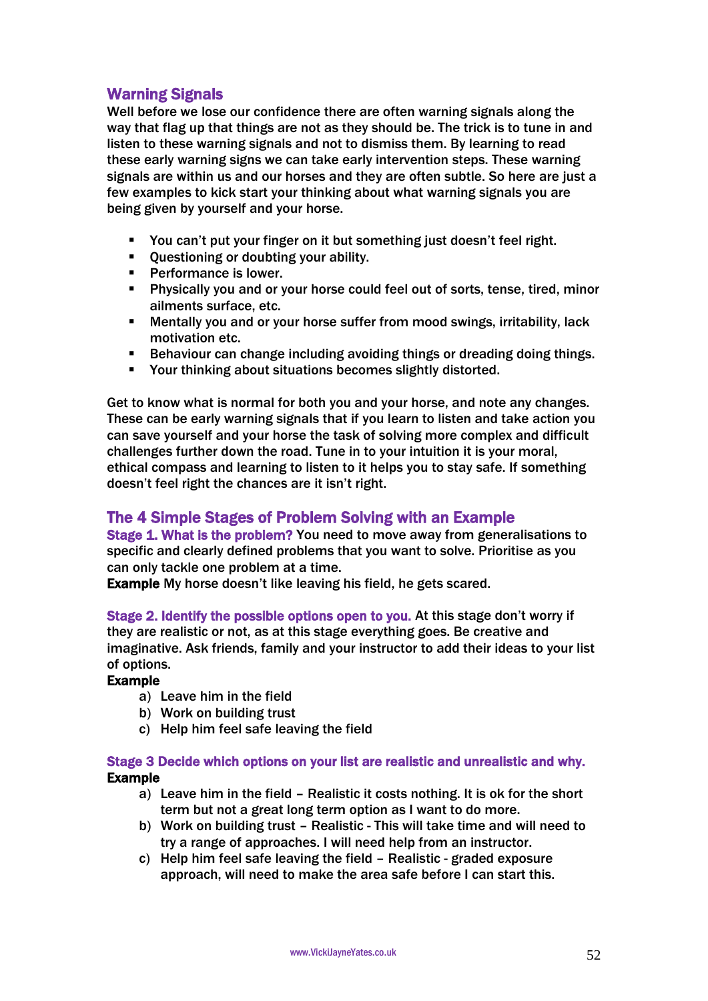# Warning Signals

Well before we lose our confidence there are often warning signals along the way that flag up that things are not as they should be. The trick is to tune in and listen to these warning signals and not to dismiss them. By learning to read these early warning signs we can take early intervention steps. These warning signals are within us and our horses and they are often subtle. So here are just a few examples to kick start your thinking about what warning signals you are being given by yourself and your horse.

- You can't put your finger on it but something just doesn't feel right.
- Questioning or doubting your ability.
- **Performance is lower.**
- Physically you and or your horse could feel out of sorts, tense, tired, minor ailments surface, etc.
- Mentally you and or your horse suffer from mood swings, irritability, lack motivation etc.
- Behaviour can change including avoiding things or dreading doing things.
- Your thinking about situations becomes slightly distorted.

Get to know what is normal for both you and your horse, and note any changes. These can be early warning signals that if you learn to listen and take action you can save yourself and your horse the task of solving more complex and difficult challenges further down the road. Tune in to your intuition it is your moral, ethical compass and learning to listen to it helps you to stay safe. If something doesn't feel right the chances are it isn't right.

# The 4 Simple Stages of Problem Solving with an Example

Stage 1. What is the problem? You need to move away from generalisations to specific and clearly defined problems that you want to solve. Prioritise as you can only tackle one problem at a time.

Example My horse doesn't like leaving his field, he gets scared.

Stage 2. Identify the possible options open to you. At this stage don't worry if they are realistic or not, as at this stage everything goes. Be creative and imaginative. Ask friends, family and your instructor to add their ideas to your list of options.

### Example

- a) Leave him in the field
- b) Work on building trust
- c) Help him feel safe leaving the field

### Stage 3 Decide which options on your list are realistic and unrealistic and why. Example

- a) Leave him in the field Realistic it costs nothing. It is ok for the short term but not a great long term option as I want to do more.
- b) Work on building trust Realistic This will take time and will need to try a range of approaches. I will need help from an instructor.
- c) Help him feel safe leaving the field Realistic graded exposure approach, will need to make the area safe before I can start this.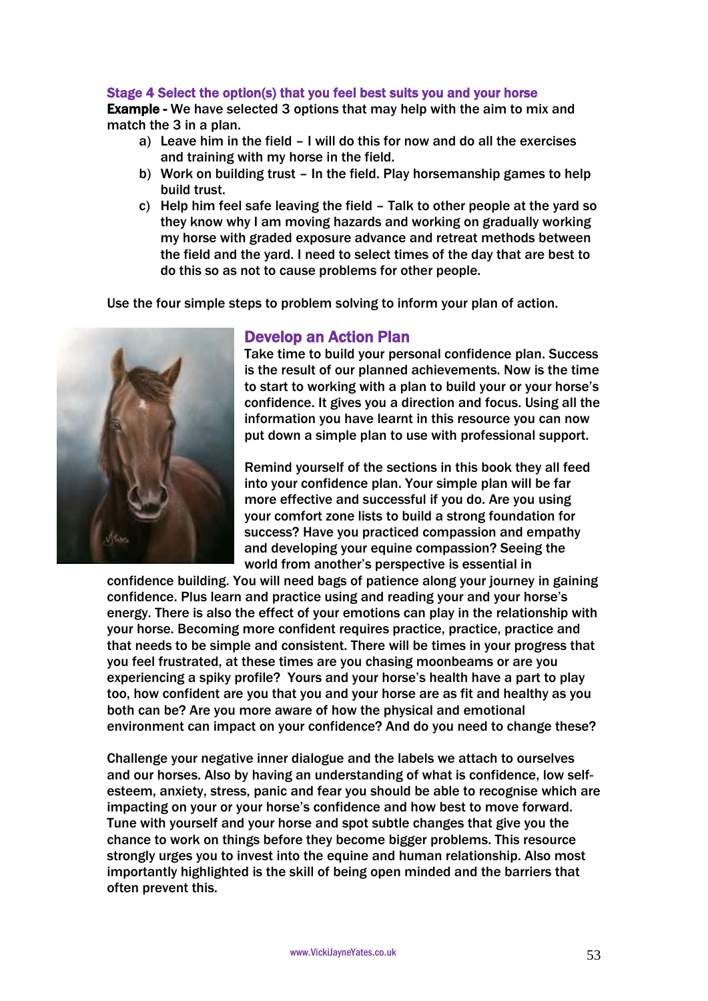#### Stage 4 Select the option(s) that you feel best suits you and your horse

Example - We have selected 3 options that may help with the aim to mix and match the 3 in a plan.

- a) Leave him in the field I will do this for now and do all the exercises and training with my horse in the field.
- b) Work on building trust In the field. Play horsemanship games to help build trust.
- c) Help him feel safe leaving the field Talk to other people at the yard so they know why I am moving hazards and working on gradually working my horse with graded exposure advance and retreat methods between the field and the yard. I need to select times of the day that are best to do this so as not to cause problems for other people.

Use the four simple steps to problem solving to inform your plan of action.



# Develop an Action Plan

Take time to build your personal confidence plan. Success is the result of our planned achievements. Now is the time to start to working with a plan to build your or your horse's confidence. It gives you a direction and focus. Using all the information you have learnt in this resource you can now put down a simple plan to use with professional support.

Remind yourself of the sections in this book they all feed into your confidence plan. Your simple plan will be far more effective and successful if you do. Are you using your comfort zone lists to build a strong foundation for success? Have you practiced compassion and empathy and developing your equine compassion? Seeing the world from another's perspective is essential in

confidence building. You will need bags of patience along your journey in gaining confidence. Plus learn and practice using and reading your and your horse's energy. There is also the effect of your emotions can play in the relationship with your horse. Becoming more confident requires practice, practice, practice and that needs to be simple and consistent. There will be times in your progress that you feel frustrated, at these times are you chasing moonbeams or are you experiencing a spiky profile? Yours and your horse's health have a part to play too, how confident are you that you and your horse are as fit and healthy as you both can be? Are you more aware of how the physical and emotional environment can impact on your confidence? And do you need to change these?

Challenge your negative inner dialogue and the labels we attach to ourselves and our horses. Also by having an understanding of what is confidence, low selfesteem, anxiety, stress, panic and fear you should be able to recognise which are impacting on your or your horse's confidence and how best to move forward. Tune with yourself and your horse and spot subtle changes that give you the chance to work on things before they become bigger problems. This resource strongly urges you to invest into the equine and human relationship. Also most importantly highlighted is the skill of being open minded and the barriers that often prevent this.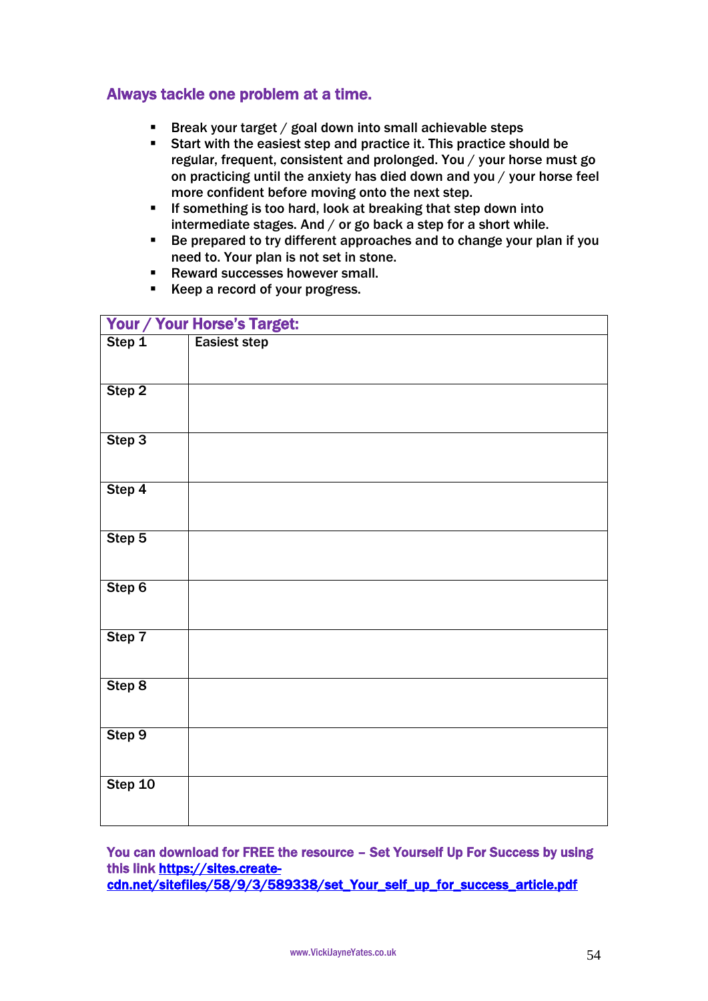# Always tackle one problem at a time.

- Break your target / goal down into small achievable steps
- Start with the easiest step and practice it. This practice should be regular, frequent, consistent and prolonged. You / your horse must go on practicing until the anxiety has died down and you / your horse feel more confident before moving onto the next step.
- If something is too hard, look at breaking that step down into intermediate stages. And / or go back a step for a short while.
- Be prepared to try different approaches and to change your plan if you need to. Your plan is not set in stone.
- Reward successes however small.
- Keep a record of your progress.

| Your / Your Horse's Target: |                     |  |
|-----------------------------|---------------------|--|
| Step 1                      | <b>Easiest step</b> |  |
|                             |                     |  |
| Step 2                      |                     |  |
|                             |                     |  |
|                             |                     |  |
| Step 3                      |                     |  |
|                             |                     |  |
| Step 4                      |                     |  |
|                             |                     |  |
| Step 5                      |                     |  |
|                             |                     |  |
| Step 6                      |                     |  |
|                             |                     |  |
| Step 7                      |                     |  |
|                             |                     |  |
|                             |                     |  |
| Step 8                      |                     |  |
|                             |                     |  |
| Step 9                      |                     |  |
|                             |                     |  |
| Step 10                     |                     |  |
|                             |                     |  |
|                             |                     |  |

You can download for FREE the resource – Set Yourself Up For Success by using this link [https://sites.create](https://sites.create-cdn.net/sitefiles/58/9/3/589338/set_Your_self_up_for_success_article.pdf)[cdn.net/sitefiles/58/9/3/589338/set\\_Your\\_self\\_up\\_for\\_success\\_article.pdf](https://sites.create-cdn.net/sitefiles/58/9/3/589338/set_Your_self_up_for_success_article.pdf)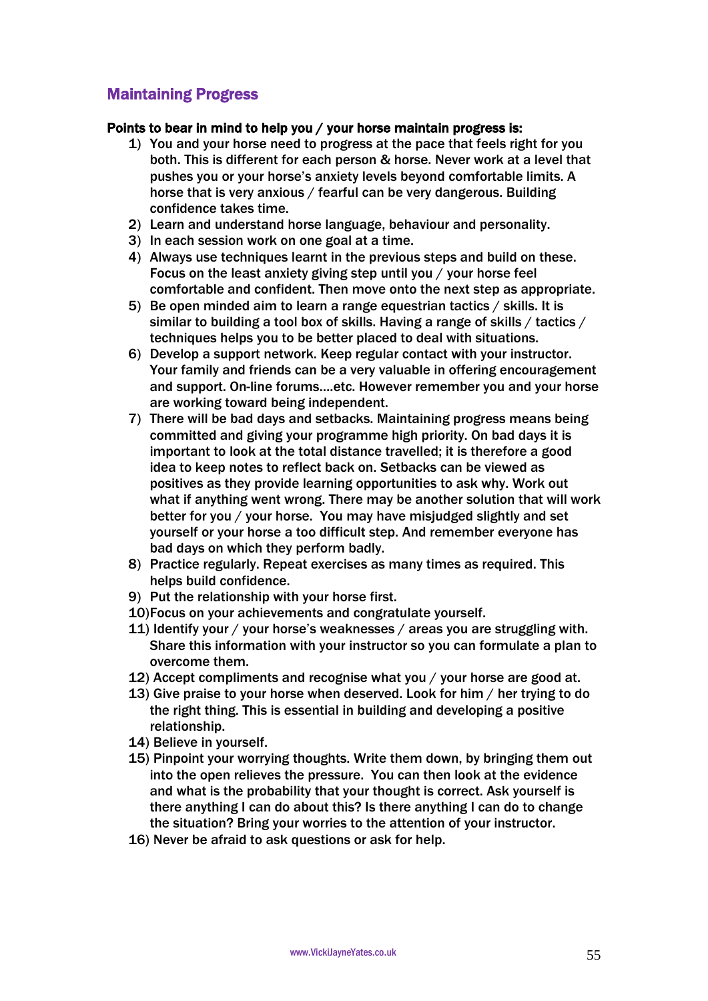# Maintaining Progress

### Points to bear in mind to help you / your horse maintain progress is:

- 1) You and your horse need to progress at the pace that feels right for you both. This is different for each person & horse. Never work at a level that pushes you or your horse's anxiety levels beyond comfortable limits. A horse that is very anxious / fearful can be very dangerous. Building confidence takes time.
- 2) Learn and understand horse language, behaviour and personality.
- 3) In each session work on one goal at a time.
- 4) Always use techniques learnt in the previous steps and build on these. Focus on the least anxiety giving step until you / your horse feel comfortable and confident. Then move onto the next step as appropriate.
- 5) Be open minded aim to learn a range equestrian tactics / skills. It is similar to building a tool box of skills. Having a range of skills / tactics / techniques helps you to be better placed to deal with situations.
- 6) Develop a support network. Keep regular contact with your instructor. Your family and friends can be a very valuable in offering encouragement and support. On-line forums….etc. However remember you and your horse are working toward being independent.
- 7) There will be bad days and setbacks. Maintaining progress means being committed and giving your programme high priority. On bad days it is important to look at the total distance travelled; it is therefore a good idea to keep notes to reflect back on. Setbacks can be viewed as positives as they provide learning opportunities to ask why. Work out what if anything went wrong. There may be another solution that will work better for you / your horse. You may have misjudged slightly and set yourself or your horse a too difficult step. And remember everyone has bad days on which they perform badly.
- 8) Practice regularly. Repeat exercises as many times as required. This helps build confidence.
- 9) Put the relationship with your horse first.
- 10)Focus on your achievements and congratulate yourself.
- 11) Identify your / your horse's weaknesses / areas you are struggling with. Share this information with your instructor so you can formulate a plan to overcome them.
- 12) Accept compliments and recognise what you / your horse are good at.
- 13) Give praise to your horse when deserved. Look for him / her trying to do the right thing. This is essential in building and developing a positive relationship.
- 14) Believe in yourself.
- 15) Pinpoint your worrying thoughts. Write them down, by bringing them out into the open relieves the pressure. You can then look at the evidence and what is the probability that your thought is correct. Ask yourself is there anything I can do about this? Is there anything I can do to change the situation? Bring your worries to the attention of your instructor.
- 16) Never be afraid to ask questions or ask for help.